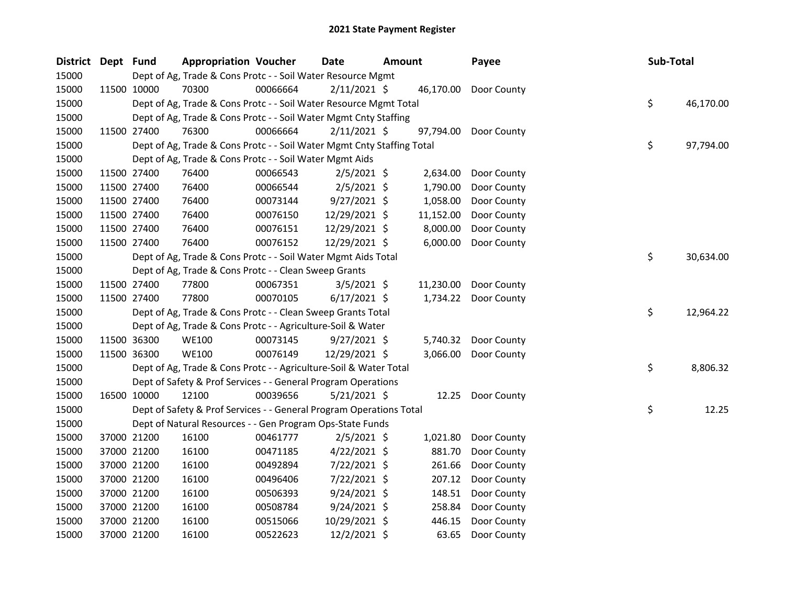| District | Dept Fund |             | <b>Appropriation Voucher</b>                                           |          | Date           | <b>Amount</b> |           | Payee       |  | Sub-Total |           |
|----------|-----------|-------------|------------------------------------------------------------------------|----------|----------------|---------------|-----------|-------------|--|-----------|-----------|
| 15000    |           |             | Dept of Ag, Trade & Cons Protc - - Soil Water Resource Mgmt            |          |                |               |           |             |  |           |           |
| 15000    |           | 11500 10000 | 70300                                                                  | 00066664 | $2/11/2021$ \$ |               | 46,170.00 | Door County |  |           |           |
| 15000    |           |             | Dept of Ag, Trade & Cons Protc - - Soil Water Resource Mgmt Total      |          |                |               |           |             |  | \$        | 46,170.00 |
| 15000    |           |             | Dept of Ag, Trade & Cons Protc - - Soil Water Mgmt Cnty Staffing       |          |                |               |           |             |  |           |           |
| 15000    |           | 11500 27400 | 76300                                                                  | 00066664 | $2/11/2021$ \$ |               | 97,794.00 | Door County |  |           |           |
| 15000    |           |             | Dept of Ag, Trade & Cons Protc - - Soil Water Mgmt Cnty Staffing Total |          |                |               |           |             |  | \$        | 97,794.00 |
| 15000    |           |             | Dept of Ag, Trade & Cons Protc - - Soil Water Mgmt Aids                |          |                |               |           |             |  |           |           |
| 15000    |           | 11500 27400 | 76400                                                                  | 00066543 | $2/5/2021$ \$  |               | 2,634.00  | Door County |  |           |           |
| 15000    |           | 11500 27400 | 76400                                                                  | 00066544 | $2/5/2021$ \$  |               | 1,790.00  | Door County |  |           |           |
| 15000    |           | 11500 27400 | 76400                                                                  | 00073144 | $9/27/2021$ \$ |               | 1,058.00  | Door County |  |           |           |
| 15000    |           | 11500 27400 | 76400                                                                  | 00076150 | 12/29/2021 \$  |               | 11,152.00 | Door County |  |           |           |
| 15000    |           | 11500 27400 | 76400                                                                  | 00076151 | 12/29/2021 \$  |               | 8,000.00  | Door County |  |           |           |
| 15000    |           | 11500 27400 | 76400                                                                  | 00076152 | 12/29/2021 \$  |               | 6,000.00  | Door County |  |           |           |
| 15000    |           |             | Dept of Ag, Trade & Cons Protc - - Soil Water Mgmt Aids Total          |          |                |               |           |             |  | \$        | 30,634.00 |
| 15000    |           |             | Dept of Ag, Trade & Cons Protc - - Clean Sweep Grants                  |          |                |               |           |             |  |           |           |
| 15000    |           | 11500 27400 | 77800                                                                  | 00067351 | $3/5/2021$ \$  |               | 11,230.00 | Door County |  |           |           |
| 15000    |           | 11500 27400 | 77800                                                                  | 00070105 | $6/17/2021$ \$ |               | 1,734.22  | Door County |  |           |           |
| 15000    |           |             | Dept of Ag, Trade & Cons Protc - - Clean Sweep Grants Total            |          |                |               |           |             |  | \$        | 12,964.22 |
| 15000    |           |             | Dept of Ag, Trade & Cons Protc - - Agriculture-Soil & Water            |          |                |               |           |             |  |           |           |
| 15000    |           | 11500 36300 | <b>WE100</b>                                                           | 00073145 | $9/27/2021$ \$ |               | 5,740.32  | Door County |  |           |           |
| 15000    |           | 11500 36300 | <b>WE100</b>                                                           | 00076149 | 12/29/2021 \$  |               | 3,066.00  | Door County |  |           |           |
| 15000    |           |             | Dept of Ag, Trade & Cons Protc - - Agriculture-Soil & Water Total      |          |                |               |           |             |  | \$        | 8,806.32  |
| 15000    |           |             | Dept of Safety & Prof Services - - General Program Operations          |          |                |               |           |             |  |           |           |
| 15000    |           | 16500 10000 | 12100                                                                  | 00039656 | $5/21/2021$ \$ |               | 12.25     | Door County |  |           |           |
| 15000    |           |             | Dept of Safety & Prof Services - - General Program Operations Total    |          |                |               |           |             |  | \$        | 12.25     |
| 15000    |           |             | Dept of Natural Resources - - Gen Program Ops-State Funds              |          |                |               |           |             |  |           |           |
| 15000    |           | 37000 21200 | 16100                                                                  | 00461777 | $2/5/2021$ \$  |               | 1,021.80  | Door County |  |           |           |
| 15000    |           | 37000 21200 | 16100                                                                  | 00471185 | $4/22/2021$ \$ |               | 881.70    | Door County |  |           |           |
| 15000    |           | 37000 21200 | 16100                                                                  | 00492894 | 7/22/2021 \$   |               | 261.66    | Door County |  |           |           |
| 15000    |           | 37000 21200 | 16100                                                                  | 00496406 | 7/22/2021 \$   |               | 207.12    | Door County |  |           |           |
| 15000    |           | 37000 21200 | 16100                                                                  | 00506393 | $9/24/2021$ \$ |               | 148.51    | Door County |  |           |           |
| 15000    |           | 37000 21200 | 16100                                                                  | 00508784 | $9/24/2021$ \$ |               | 258.84    | Door County |  |           |           |
| 15000    |           | 37000 21200 | 16100                                                                  | 00515066 | 10/29/2021 \$  |               | 446.15    | Door County |  |           |           |
| 15000    |           | 37000 21200 | 16100                                                                  | 00522623 | 12/2/2021 \$   |               | 63.65     | Door County |  |           |           |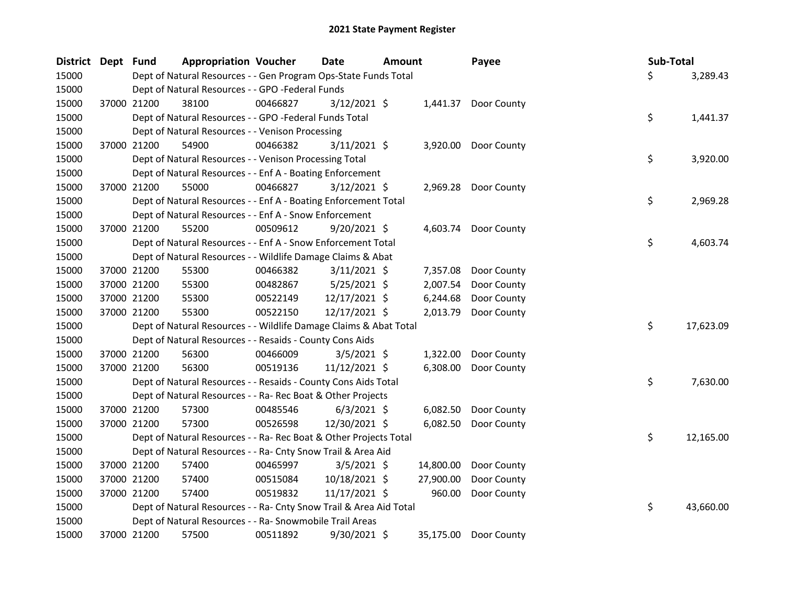| <b>District</b> | Dept Fund |             | <b>Appropriation Voucher</b>                                       |          | Date           | <b>Amount</b> |           | Payee                | Sub-Total |           |
|-----------------|-----------|-------------|--------------------------------------------------------------------|----------|----------------|---------------|-----------|----------------------|-----------|-----------|
| 15000           |           |             | Dept of Natural Resources - - Gen Program Ops-State Funds Total    |          |                |               |           |                      | \$        | 3,289.43  |
| 15000           |           |             | Dept of Natural Resources - - GPO -Federal Funds                   |          |                |               |           |                      |           |           |
| 15000           |           | 37000 21200 | 38100                                                              | 00466827 | $3/12/2021$ \$ |               |           | 1,441.37 Door County |           |           |
| 15000           |           |             | Dept of Natural Resources - - GPO -Federal Funds Total             |          |                |               |           |                      | \$        | 1,441.37  |
| 15000           |           |             | Dept of Natural Resources - - Venison Processing                   |          |                |               |           |                      |           |           |
| 15000           |           | 37000 21200 | 54900                                                              | 00466382 | $3/11/2021$ \$ |               | 3,920.00  | Door County          |           |           |
| 15000           |           |             | Dept of Natural Resources - - Venison Processing Total             |          |                |               |           |                      | \$        | 3,920.00  |
| 15000           |           |             | Dept of Natural Resources - - Enf A - Boating Enforcement          |          |                |               |           |                      |           |           |
| 15000           |           | 37000 21200 | 55000                                                              | 00466827 | $3/12/2021$ \$ |               |           | 2,969.28 Door County |           |           |
| 15000           |           |             | Dept of Natural Resources - - Enf A - Boating Enforcement Total    |          |                |               |           |                      | \$        | 2,969.28  |
| 15000           |           |             | Dept of Natural Resources - - Enf A - Snow Enforcement             |          |                |               |           |                      |           |           |
| 15000           |           | 37000 21200 | 55200                                                              | 00509612 | $9/20/2021$ \$ |               |           | 4,603.74 Door County |           |           |
| 15000           |           |             | Dept of Natural Resources - - Enf A - Snow Enforcement Total       |          |                |               |           |                      | \$        | 4,603.74  |
| 15000           |           |             | Dept of Natural Resources - - Wildlife Damage Claims & Abat        |          |                |               |           |                      |           |           |
| 15000           |           | 37000 21200 | 55300                                                              | 00466382 | $3/11/2021$ \$ |               | 7,357.08  | Door County          |           |           |
| 15000           |           | 37000 21200 | 55300                                                              | 00482867 | $5/25/2021$ \$ |               | 2,007.54  | Door County          |           |           |
| 15000           |           | 37000 21200 | 55300                                                              | 00522149 | 12/17/2021 \$  |               | 6,244.68  | Door County          |           |           |
| 15000           |           | 37000 21200 | 55300                                                              | 00522150 | 12/17/2021 \$  |               | 2,013.79  | Door County          |           |           |
| 15000           |           |             | Dept of Natural Resources - - Wildlife Damage Claims & Abat Total  |          |                |               |           |                      | \$        | 17,623.09 |
| 15000           |           |             | Dept of Natural Resources - - Resaids - County Cons Aids           |          |                |               |           |                      |           |           |
| 15000           |           | 37000 21200 | 56300                                                              | 00466009 | $3/5/2021$ \$  |               | 1,322.00  | Door County          |           |           |
| 15000           |           | 37000 21200 | 56300                                                              | 00519136 | 11/12/2021 \$  |               | 6,308.00  | Door County          |           |           |
| 15000           |           |             | Dept of Natural Resources - - Resaids - County Cons Aids Total     |          |                |               |           |                      | \$        | 7,630.00  |
| 15000           |           |             | Dept of Natural Resources - - Ra- Rec Boat & Other Projects        |          |                |               |           |                      |           |           |
| 15000           |           | 37000 21200 | 57300                                                              | 00485546 | $6/3/2021$ \$  |               | 6,082.50  | Door County          |           |           |
| 15000           |           | 37000 21200 | 57300                                                              | 00526598 | 12/30/2021 \$  |               | 6,082.50  | Door County          |           |           |
| 15000           |           |             | Dept of Natural Resources - - Ra- Rec Boat & Other Projects Total  |          |                |               |           |                      | \$        | 12,165.00 |
| 15000           |           |             | Dept of Natural Resources - - Ra- Cnty Snow Trail & Area Aid       |          |                |               |           |                      |           |           |
| 15000           |           | 37000 21200 | 57400                                                              | 00465997 | $3/5/2021$ \$  |               | 14,800.00 | Door County          |           |           |
| 15000           |           | 37000 21200 | 57400                                                              | 00515084 | 10/18/2021 \$  |               | 27,900.00 | Door County          |           |           |
| 15000           |           | 37000 21200 | 57400                                                              | 00519832 | 11/17/2021 \$  |               | 960.00    | Door County          |           |           |
| 15000           |           |             | Dept of Natural Resources - - Ra- Cnty Snow Trail & Area Aid Total |          |                |               |           |                      | \$        | 43,660.00 |
| 15000           |           |             | Dept of Natural Resources - - Ra- Snowmobile Trail Areas           |          |                |               |           |                      |           |           |
| 15000           |           | 37000 21200 | 57500                                                              | 00511892 | 9/30/2021 \$   |               | 35,175.00 | Door County          |           |           |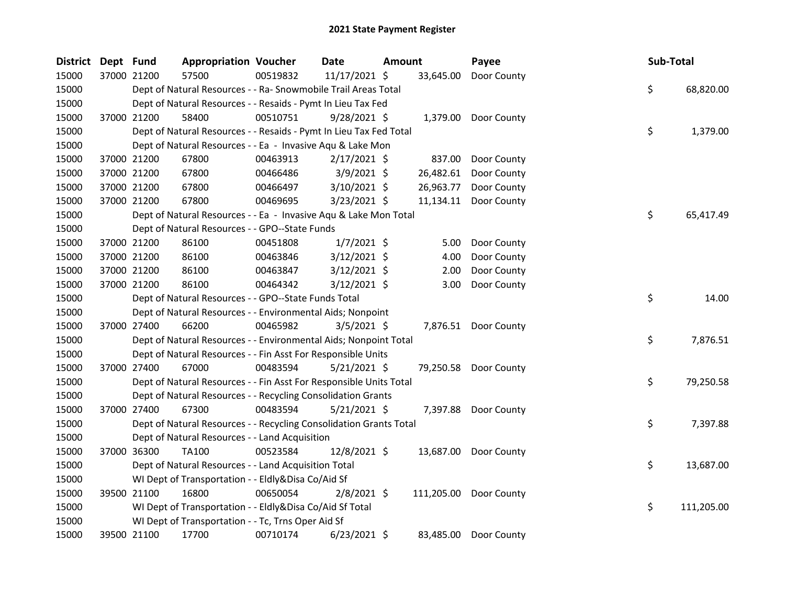| District Dept Fund |             | <b>Appropriation Voucher</b>                                       |          | Date           | Amount |           | Payee                  | Sub-Total |            |
|--------------------|-------------|--------------------------------------------------------------------|----------|----------------|--------|-----------|------------------------|-----------|------------|
| 15000              | 37000 21200 | 57500                                                              | 00519832 | 11/17/2021 \$  |        | 33,645.00 | Door County            |           |            |
| 15000              |             | Dept of Natural Resources - - Ra- Snowmobile Trail Areas Total     |          |                |        |           |                        | \$        | 68,820.00  |
| 15000              |             | Dept of Natural Resources - - Resaids - Pymt In Lieu Tax Fed       |          |                |        |           |                        |           |            |
| 15000              | 37000 21200 | 58400                                                              | 00510751 | $9/28/2021$ \$ |        |           | 1,379.00 Door County   |           |            |
| 15000              |             | Dept of Natural Resources - - Resaids - Pymt In Lieu Tax Fed Total |          |                |        |           |                        | \$        | 1,379.00   |
| 15000              |             | Dept of Natural Resources - - Ea - Invasive Aqu & Lake Mon         |          |                |        |           |                        |           |            |
| 15000              | 37000 21200 | 67800                                                              | 00463913 | $2/17/2021$ \$ |        | 837.00    | Door County            |           |            |
| 15000              | 37000 21200 | 67800                                                              | 00466486 | $3/9/2021$ \$  |        | 26,482.61 | Door County            |           |            |
| 15000              | 37000 21200 | 67800                                                              | 00466497 | 3/10/2021 \$   |        | 26,963.77 | Door County            |           |            |
| 15000              | 37000 21200 | 67800                                                              | 00469695 | $3/23/2021$ \$ |        | 11,134.11 | Door County            |           |            |
| 15000              |             | Dept of Natural Resources - - Ea - Invasive Aqu & Lake Mon Total   |          |                |        |           |                        | \$        | 65,417.49  |
| 15000              |             | Dept of Natural Resources - - GPO--State Funds                     |          |                |        |           |                        |           |            |
| 15000              | 37000 21200 | 86100                                                              | 00451808 | $1/7/2021$ \$  |        | 5.00      | Door County            |           |            |
| 15000              | 37000 21200 | 86100                                                              | 00463846 | $3/12/2021$ \$ |        | 4.00      | Door County            |           |            |
| 15000              | 37000 21200 | 86100                                                              | 00463847 | 3/12/2021 \$   |        | 2.00      | Door County            |           |            |
| 15000              | 37000 21200 | 86100                                                              | 00464342 | $3/12/2021$ \$ |        | 3.00      | Door County            |           |            |
| 15000              |             | Dept of Natural Resources - - GPO--State Funds Total               |          |                |        |           |                        | \$        | 14.00      |
| 15000              |             | Dept of Natural Resources - - Environmental Aids; Nonpoint         |          |                |        |           |                        |           |            |
| 15000              | 37000 27400 | 66200                                                              | 00465982 | $3/5/2021$ \$  |        |           | 7,876.51 Door County   |           |            |
| 15000              |             | Dept of Natural Resources - - Environmental Aids; Nonpoint Total   |          |                |        |           |                        | \$        | 7,876.51   |
| 15000              |             | Dept of Natural Resources - - Fin Asst For Responsible Units       |          |                |        |           |                        |           |            |
| 15000              | 37000 27400 | 67000                                                              | 00483594 | $5/21/2021$ \$ |        |           | 79,250.58 Door County  |           |            |
| 15000              |             | Dept of Natural Resources - - Fin Asst For Responsible Units Total |          |                |        |           |                        | \$        | 79,250.58  |
| 15000              |             | Dept of Natural Resources - - Recycling Consolidation Grants       |          |                |        |           |                        |           |            |
| 15000              | 37000 27400 | 67300                                                              | 00483594 | $5/21/2021$ \$ |        |           | 7,397.88 Door County   |           |            |
| 15000              |             | Dept of Natural Resources - - Recycling Consolidation Grants Total |          |                |        |           |                        | \$        | 7,397.88   |
| 15000              |             | Dept of Natural Resources - - Land Acquisition                     |          |                |        |           |                        |           |            |
| 15000              | 37000 36300 | TA100                                                              | 00523584 | 12/8/2021 \$   |        |           | 13,687.00 Door County  |           |            |
| 15000              |             | Dept of Natural Resources - - Land Acquisition Total               |          |                |        |           |                        | \$        | 13,687.00  |
| 15000              |             | WI Dept of Transportation - - Eldly&Disa Co/Aid Sf                 |          |                |        |           |                        |           |            |
| 15000              | 39500 21100 | 16800                                                              | 00650054 | $2/8/2021$ \$  |        |           | 111,205.00 Door County |           |            |
| 15000              |             | WI Dept of Transportation - - Eldly&Disa Co/Aid Sf Total           |          |                |        |           |                        | \$        | 111,205.00 |
| 15000              |             | WI Dept of Transportation - - Tc, Trns Oper Aid Sf                 |          |                |        |           |                        |           |            |
| 15000              | 39500 21100 | 17700                                                              | 00710174 | $6/23/2021$ \$ |        | 83,485.00 | Door County            |           |            |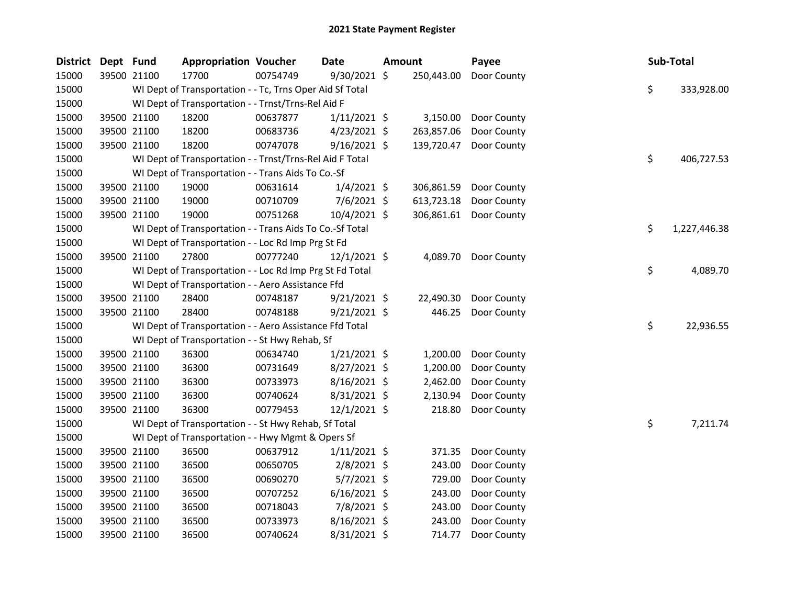| <b>District</b> | Dept Fund   |             | <b>Appropriation Voucher</b>                             |          | Date           | <b>Amount</b> | Payee                  |    | Sub-Total    |
|-----------------|-------------|-------------|----------------------------------------------------------|----------|----------------|---------------|------------------------|----|--------------|
| 15000           | 39500 21100 |             | 17700                                                    | 00754749 | 9/30/2021 \$   | 250,443.00    | Door County            |    |              |
| 15000           |             |             | WI Dept of Transportation - - Tc, Trns Oper Aid Sf Total |          |                |               |                        | \$ | 333,928.00   |
| 15000           |             |             | WI Dept of Transportation - - Trnst/Trns-Rel Aid F       |          |                |               |                        |    |              |
| 15000           | 39500 21100 |             | 18200                                                    | 00637877 | $1/11/2021$ \$ | 3,150.00      | Door County            |    |              |
| 15000           | 39500 21100 |             | 18200                                                    | 00683736 | $4/23/2021$ \$ | 263,857.06    | Door County            |    |              |
| 15000           | 39500 21100 |             | 18200                                                    | 00747078 | $9/16/2021$ \$ | 139,720.47    | Door County            |    |              |
| 15000           |             |             | WI Dept of Transportation - - Trnst/Trns-Rel Aid F Total |          |                |               |                        | \$ | 406,727.53   |
| 15000           |             |             | WI Dept of Transportation - - Trans Aids To Co.-Sf       |          |                |               |                        |    |              |
| 15000           |             | 39500 21100 | 19000                                                    | 00631614 | $1/4/2021$ \$  | 306,861.59    | Door County            |    |              |
| 15000           |             | 39500 21100 | 19000                                                    | 00710709 | $7/6/2021$ \$  | 613,723.18    | Door County            |    |              |
| 15000           | 39500 21100 |             | 19000                                                    | 00751268 | 10/4/2021 \$   |               | 306,861.61 Door County |    |              |
| 15000           |             |             | WI Dept of Transportation - - Trans Aids To Co.-Sf Total |          |                |               |                        | \$ | 1,227,446.38 |
| 15000           |             |             | WI Dept of Transportation - - Loc Rd Imp Prg St Fd       |          |                |               |                        |    |              |
| 15000           | 39500 21100 |             | 27800                                                    | 00777240 | $12/1/2021$ \$ | 4,089.70      | Door County            |    |              |
| 15000           |             |             | WI Dept of Transportation - - Loc Rd Imp Prg St Fd Total |          |                |               |                        | \$ | 4,089.70     |
| 15000           |             |             | WI Dept of Transportation - - Aero Assistance Ffd        |          |                |               |                        |    |              |
| 15000           | 39500 21100 |             | 28400                                                    | 00748187 | $9/21/2021$ \$ | 22,490.30     | Door County            |    |              |
| 15000           | 39500 21100 |             | 28400                                                    | 00748188 | $9/21/2021$ \$ | 446.25        | Door County            |    |              |
| 15000           |             |             | WI Dept of Transportation - - Aero Assistance Ffd Total  |          |                |               |                        | \$ | 22,936.55    |
| 15000           |             |             | WI Dept of Transportation - - St Hwy Rehab, Sf           |          |                |               |                        |    |              |
| 15000           |             | 39500 21100 | 36300                                                    | 00634740 | $1/21/2021$ \$ | 1,200.00      | Door County            |    |              |
| 15000           | 39500 21100 |             | 36300                                                    | 00731649 | 8/27/2021 \$   | 1,200.00      | Door County            |    |              |
| 15000           |             | 39500 21100 | 36300                                                    | 00733973 | $8/16/2021$ \$ | 2,462.00      | Door County            |    |              |
| 15000           | 39500 21100 |             | 36300                                                    | 00740624 | 8/31/2021 \$   | 2,130.94      | Door County            |    |              |
| 15000           | 39500 21100 |             | 36300                                                    | 00779453 | $12/1/2021$ \$ | 218.80        | Door County            |    |              |
| 15000           |             |             | WI Dept of Transportation - - St Hwy Rehab, Sf Total     |          |                |               |                        | \$ | 7,211.74     |
| 15000           |             |             | WI Dept of Transportation - - Hwy Mgmt & Opers Sf        |          |                |               |                        |    |              |
| 15000           |             | 39500 21100 | 36500                                                    | 00637912 | $1/11/2021$ \$ | 371.35        | Door County            |    |              |
| 15000           | 39500 21100 |             | 36500                                                    | 00650705 | $2/8/2021$ \$  | 243.00        | Door County            |    |              |
| 15000           | 39500 21100 |             | 36500                                                    | 00690270 | $5/7/2021$ \$  | 729.00        | Door County            |    |              |
| 15000           | 39500 21100 |             | 36500                                                    | 00707252 | $6/16/2021$ \$ | 243.00        | Door County            |    |              |
| 15000           | 39500 21100 |             | 36500                                                    | 00718043 | 7/8/2021 \$    | 243.00        | Door County            |    |              |
| 15000           | 39500 21100 |             | 36500                                                    | 00733973 | 8/16/2021 \$   | 243.00        | Door County            |    |              |
| 15000           | 39500 21100 |             | 36500                                                    | 00740624 | 8/31/2021 \$   | 714.77        | Door County            |    |              |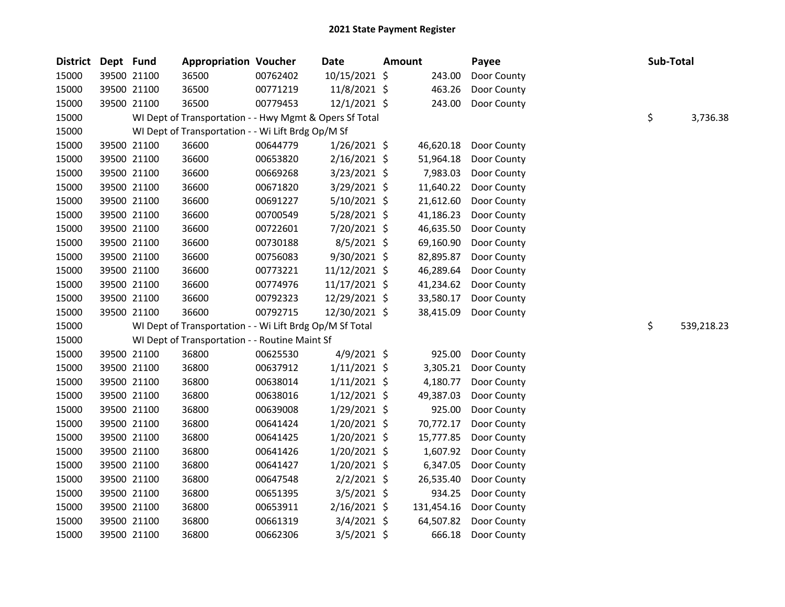| <b>District</b> | Dept Fund |             | <b>Appropriation Voucher</b>                             |          | <b>Date</b>    | <b>Amount</b> |            | Payee       | Sub-Total |            |
|-----------------|-----------|-------------|----------------------------------------------------------|----------|----------------|---------------|------------|-------------|-----------|------------|
| 15000           |           | 39500 21100 | 36500                                                    | 00762402 | 10/15/2021 \$  |               | 243.00     | Door County |           |            |
| 15000           |           | 39500 21100 | 36500                                                    | 00771219 | 11/8/2021 \$   |               | 463.26     | Door County |           |            |
| 15000           |           | 39500 21100 | 36500                                                    | 00779453 | 12/1/2021 \$   |               | 243.00     | Door County |           |            |
| 15000           |           |             | WI Dept of Transportation - - Hwy Mgmt & Opers Sf Total  |          |                |               |            |             | \$        | 3,736.38   |
| 15000           |           |             | WI Dept of Transportation - - Wi Lift Brdg Op/M Sf       |          |                |               |            |             |           |            |
| 15000           |           | 39500 21100 | 36600                                                    | 00644779 | $1/26/2021$ \$ |               | 46,620.18  | Door County |           |            |
| 15000           |           | 39500 21100 | 36600                                                    | 00653820 | $2/16/2021$ \$ |               | 51,964.18  | Door County |           |            |
| 15000           |           | 39500 21100 | 36600                                                    | 00669268 | $3/23/2021$ \$ |               | 7,983.03   | Door County |           |            |
| 15000           |           | 39500 21100 | 36600                                                    | 00671820 | 3/29/2021 \$   |               | 11,640.22  | Door County |           |            |
| 15000           |           | 39500 21100 | 36600                                                    | 00691227 | 5/10/2021 \$   |               | 21,612.60  | Door County |           |            |
| 15000           |           | 39500 21100 | 36600                                                    | 00700549 | 5/28/2021 \$   |               | 41,186.23  | Door County |           |            |
| 15000           |           | 39500 21100 | 36600                                                    | 00722601 | 7/20/2021 \$   |               | 46,635.50  | Door County |           |            |
| 15000           |           | 39500 21100 | 36600                                                    | 00730188 | $8/5/2021$ \$  |               | 69,160.90  | Door County |           |            |
| 15000           |           | 39500 21100 | 36600                                                    | 00756083 | 9/30/2021 \$   |               | 82,895.87  | Door County |           |            |
| 15000           |           | 39500 21100 | 36600                                                    | 00773221 | 11/12/2021 \$  |               | 46,289.64  | Door County |           |            |
| 15000           |           | 39500 21100 | 36600                                                    | 00774976 | 11/17/2021 \$  |               | 41,234.62  | Door County |           |            |
| 15000           |           | 39500 21100 | 36600                                                    | 00792323 | 12/29/2021 \$  |               | 33,580.17  | Door County |           |            |
| 15000           |           | 39500 21100 | 36600                                                    | 00792715 | 12/30/2021 \$  |               | 38,415.09  | Door County |           |            |
| 15000           |           |             | WI Dept of Transportation - - Wi Lift Brdg Op/M Sf Total |          |                |               |            |             | \$        | 539,218.23 |
| 15000           |           |             | WI Dept of Transportation - - Routine Maint Sf           |          |                |               |            |             |           |            |
| 15000           |           | 39500 21100 | 36800                                                    | 00625530 | $4/9/2021$ \$  |               | 925.00     | Door County |           |            |
| 15000           |           | 39500 21100 | 36800                                                    | 00637912 | $1/11/2021$ \$ |               | 3,305.21   | Door County |           |            |
| 15000           |           | 39500 21100 | 36800                                                    | 00638014 | $1/11/2021$ \$ |               | 4,180.77   | Door County |           |            |
| 15000           |           | 39500 21100 | 36800                                                    | 00638016 | $1/12/2021$ \$ |               | 49,387.03  | Door County |           |            |
| 15000           |           | 39500 21100 | 36800                                                    | 00639008 | 1/29/2021 \$   |               | 925.00     | Door County |           |            |
| 15000           |           | 39500 21100 | 36800                                                    | 00641424 | $1/20/2021$ \$ |               | 70,772.17  | Door County |           |            |
| 15000           |           | 39500 21100 | 36800                                                    | 00641425 | $1/20/2021$ \$ |               | 15,777.85  | Door County |           |            |
| 15000           |           | 39500 21100 | 36800                                                    | 00641426 | 1/20/2021 \$   |               | 1,607.92   | Door County |           |            |
| 15000           |           | 39500 21100 | 36800                                                    | 00641427 | 1/20/2021 \$   |               | 6,347.05   | Door County |           |            |
| 15000           |           | 39500 21100 | 36800                                                    | 00647548 | $2/2/2021$ \$  |               | 26,535.40  | Door County |           |            |
| 15000           |           | 39500 21100 | 36800                                                    | 00651395 | 3/5/2021 \$    |               | 934.25     | Door County |           |            |
| 15000           |           | 39500 21100 | 36800                                                    | 00653911 | $2/16/2021$ \$ |               | 131,454.16 | Door County |           |            |
| 15000           |           | 39500 21100 | 36800                                                    | 00661319 | $3/4/2021$ \$  |               | 64,507.82  | Door County |           |            |
| 15000           |           | 39500 21100 | 36800                                                    | 00662306 | $3/5/2021$ \$  |               | 666.18     | Door County |           |            |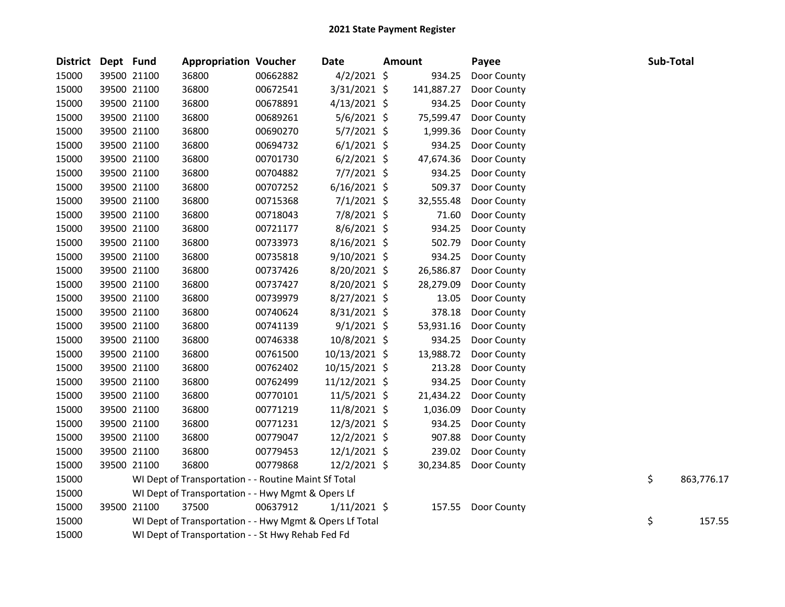| <b>District</b> | Dept Fund |             | <b>Appropriation Voucher</b>                            |          | Date           | <b>Amount</b> | Payee       |    | Sub-Total  |
|-----------------|-----------|-------------|---------------------------------------------------------|----------|----------------|---------------|-------------|----|------------|
| 15000           |           | 39500 21100 | 36800                                                   | 00662882 | $4/2/2021$ \$  | 934.25        | Door County |    |            |
| 15000           |           | 39500 21100 | 36800                                                   | 00672541 | 3/31/2021 \$   | 141,887.27    | Door County |    |            |
| 15000           |           | 39500 21100 | 36800                                                   | 00678891 | $4/13/2021$ \$ | 934.25        | Door County |    |            |
| 15000           |           | 39500 21100 | 36800                                                   | 00689261 | $5/6/2021$ \$  | 75,599.47     | Door County |    |            |
| 15000           |           | 39500 21100 | 36800                                                   | 00690270 | $5/7/2021$ \$  | 1,999.36      | Door County |    |            |
| 15000           |           | 39500 21100 | 36800                                                   | 00694732 | $6/1/2021$ \$  | 934.25        | Door County |    |            |
| 15000           |           | 39500 21100 | 36800                                                   | 00701730 | $6/2/2021$ \$  | 47,674.36     | Door County |    |            |
| 15000           |           | 39500 21100 | 36800                                                   | 00704882 | $7/7/2021$ \$  | 934.25        | Door County |    |            |
| 15000           |           | 39500 21100 | 36800                                                   | 00707252 | $6/16/2021$ \$ | 509.37        | Door County |    |            |
| 15000           |           | 39500 21100 | 36800                                                   | 00715368 | $7/1/2021$ \$  | 32,555.48     | Door County |    |            |
| 15000           |           | 39500 21100 | 36800                                                   | 00718043 | 7/8/2021 \$    | 71.60         | Door County |    |            |
| 15000           |           | 39500 21100 | 36800                                                   | 00721177 | $8/6/2021$ \$  | 934.25        | Door County |    |            |
| 15000           |           | 39500 21100 | 36800                                                   | 00733973 | 8/16/2021 \$   | 502.79        | Door County |    |            |
| 15000           |           | 39500 21100 | 36800                                                   | 00735818 | $9/10/2021$ \$ | 934.25        | Door County |    |            |
| 15000           |           | 39500 21100 | 36800                                                   | 00737426 | 8/20/2021 \$   | 26,586.87     | Door County |    |            |
| 15000           |           | 39500 21100 | 36800                                                   | 00737427 | 8/20/2021 \$   | 28,279.09     | Door County |    |            |
| 15000           |           | 39500 21100 | 36800                                                   | 00739979 | $8/27/2021$ \$ | 13.05         | Door County |    |            |
| 15000           |           | 39500 21100 | 36800                                                   | 00740624 | $8/31/2021$ \$ | 378.18        | Door County |    |            |
| 15000           |           | 39500 21100 | 36800                                                   | 00741139 | $9/1/2021$ \$  | 53,931.16     | Door County |    |            |
| 15000           |           | 39500 21100 | 36800                                                   | 00746338 | 10/8/2021 \$   | 934.25        | Door County |    |            |
| 15000           |           | 39500 21100 | 36800                                                   | 00761500 | 10/13/2021 \$  | 13,988.72     | Door County |    |            |
| 15000           |           | 39500 21100 | 36800                                                   | 00762402 | 10/15/2021 \$  | 213.28        | Door County |    |            |
| 15000           |           | 39500 21100 | 36800                                                   | 00762499 | 11/12/2021 \$  | 934.25        | Door County |    |            |
| 15000           |           | 39500 21100 | 36800                                                   | 00770101 | $11/5/2021$ \$ | 21,434.22     | Door County |    |            |
| 15000           |           | 39500 21100 | 36800                                                   | 00771219 | 11/8/2021 \$   | 1,036.09      | Door County |    |            |
| 15000           |           | 39500 21100 | 36800                                                   | 00771231 | 12/3/2021 \$   | 934.25        | Door County |    |            |
| 15000           |           | 39500 21100 | 36800                                                   | 00779047 | $12/2/2021$ \$ | 907.88        | Door County |    |            |
| 15000           |           | 39500 21100 | 36800                                                   | 00779453 | $12/1/2021$ \$ | 239.02        | Door County |    |            |
| 15000           |           | 39500 21100 | 36800                                                   | 00779868 | $12/2/2021$ \$ | 30,234.85     | Door County |    |            |
| 15000           |           |             | WI Dept of Transportation - - Routine Maint Sf Total    |          |                |               |             | \$ | 863,776.17 |
| 15000           |           |             | WI Dept of Transportation - - Hwy Mgmt & Opers Lf       |          |                |               |             |    |            |
| 15000           |           | 39500 21100 | 37500                                                   | 00637912 | $1/11/2021$ \$ | 157.55        | Door County |    |            |
| 15000           |           |             | WI Dept of Transportation - - Hwy Mgmt & Opers Lf Total |          |                |               |             | \$ | 157.55     |
| 15000           |           |             | WI Dept of Transportation - - St Hwy Rehab Fed Fd       |          |                |               |             |    |            |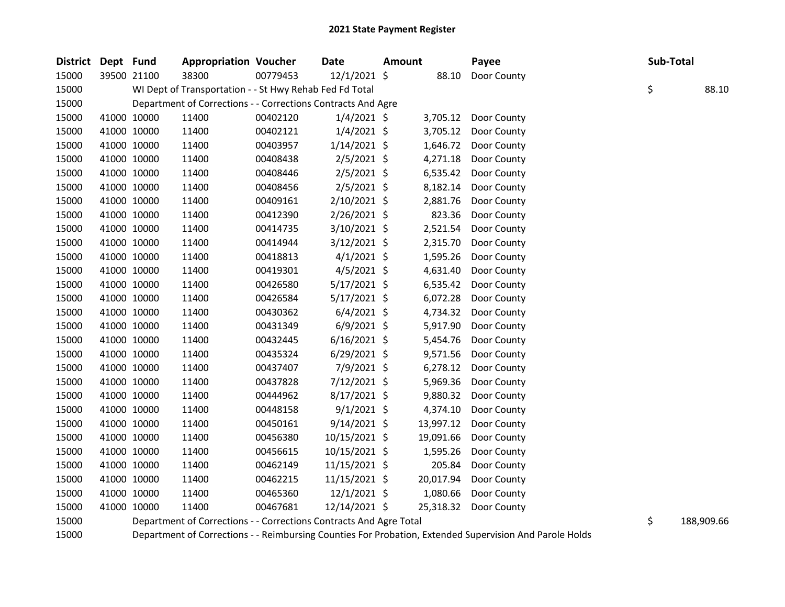| District Dept Fund |             |             | <b>Appropriation Voucher</b>                                       |          | <b>Date</b>    | <b>Amount</b> |           | Payee       | Sub-Total |            |
|--------------------|-------------|-------------|--------------------------------------------------------------------|----------|----------------|---------------|-----------|-------------|-----------|------------|
| 15000              |             | 39500 21100 | 38300                                                              | 00779453 | 12/1/2021 \$   |               | 88.10     | Door County |           |            |
| 15000              |             |             | WI Dept of Transportation - - St Hwy Rehab Fed Fd Total            |          |                |               |           |             | \$        | 88.10      |
| 15000              |             |             | Department of Corrections - - Corrections Contracts And Agre       |          |                |               |           |             |           |            |
| 15000              | 41000 10000 |             | 11400                                                              | 00402120 | $1/4/2021$ \$  |               | 3,705.12  | Door County |           |            |
| 15000              | 41000 10000 |             | 11400                                                              | 00402121 | $1/4/2021$ \$  |               | 3,705.12  | Door County |           |            |
| 15000              |             | 41000 10000 | 11400                                                              | 00403957 | $1/14/2021$ \$ |               | 1,646.72  | Door County |           |            |
| 15000              | 41000 10000 |             | 11400                                                              | 00408438 | $2/5/2021$ \$  |               | 4,271.18  | Door County |           |            |
| 15000              | 41000 10000 |             | 11400                                                              | 00408446 | $2/5/2021$ \$  |               | 6,535.42  | Door County |           |            |
| 15000              | 41000 10000 |             | 11400                                                              | 00408456 | $2/5/2021$ \$  |               | 8,182.14  | Door County |           |            |
| 15000              | 41000 10000 |             | 11400                                                              | 00409161 | 2/10/2021 \$   |               | 2,881.76  | Door County |           |            |
| 15000              |             | 41000 10000 | 11400                                                              | 00412390 | $2/26/2021$ \$ |               | 823.36    | Door County |           |            |
| 15000              | 41000 10000 |             | 11400                                                              | 00414735 | $3/10/2021$ \$ |               | 2,521.54  | Door County |           |            |
| 15000              | 41000 10000 |             | 11400                                                              | 00414944 | $3/12/2021$ \$ |               | 2,315.70  | Door County |           |            |
| 15000              | 41000 10000 |             | 11400                                                              | 00418813 | $4/1/2021$ \$  |               | 1,595.26  | Door County |           |            |
| 15000              | 41000 10000 |             | 11400                                                              | 00419301 | $4/5/2021$ \$  |               | 4,631.40  | Door County |           |            |
| 15000              |             | 41000 10000 | 11400                                                              | 00426580 | $5/17/2021$ \$ |               | 6,535.42  | Door County |           |            |
| 15000              |             | 41000 10000 | 11400                                                              | 00426584 | $5/17/2021$ \$ |               | 6,072.28  | Door County |           |            |
| 15000              | 41000 10000 |             | 11400                                                              | 00430362 | $6/4/2021$ \$  |               | 4,734.32  | Door County |           |            |
| 15000              | 41000 10000 |             | 11400                                                              | 00431349 | $6/9/2021$ \$  |               | 5,917.90  | Door County |           |            |
| 15000              | 41000 10000 |             | 11400                                                              | 00432445 | $6/16/2021$ \$ |               | 5,454.76  | Door County |           |            |
| 15000              | 41000 10000 |             | 11400                                                              | 00435324 | $6/29/2021$ \$ |               | 9,571.56  | Door County |           |            |
| 15000              |             | 41000 10000 | 11400                                                              | 00437407 | 7/9/2021 \$    |               | 6,278.12  | Door County |           |            |
| 15000              | 41000 10000 |             | 11400                                                              | 00437828 | 7/12/2021 \$   |               | 5,969.36  | Door County |           |            |
| 15000              | 41000 10000 |             | 11400                                                              | 00444962 | $8/17/2021$ \$ |               | 9,880.32  | Door County |           |            |
| 15000              | 41000 10000 |             | 11400                                                              | 00448158 | $9/1/2021$ \$  |               | 4,374.10  | Door County |           |            |
| 15000              |             | 41000 10000 | 11400                                                              | 00450161 | $9/14/2021$ \$ |               | 13,997.12 | Door County |           |            |
| 15000              |             | 41000 10000 | 11400                                                              | 00456380 | 10/15/2021 \$  |               | 19,091.66 | Door County |           |            |
| 15000              | 41000 10000 |             | 11400                                                              | 00456615 | 10/15/2021 \$  |               | 1,595.26  | Door County |           |            |
| 15000              | 41000 10000 |             | 11400                                                              | 00462149 | 11/15/2021 \$  |               | 205.84    | Door County |           |            |
| 15000              | 41000 10000 |             | 11400                                                              | 00462215 | 11/15/2021 \$  |               | 20,017.94 | Door County |           |            |
| 15000              |             | 41000 10000 | 11400                                                              | 00465360 | $12/1/2021$ \$ |               | 1,080.66  | Door County |           |            |
| 15000              |             | 41000 10000 | 11400                                                              | 00467681 | 12/14/2021 \$  |               | 25,318.32 | Door County |           |            |
| 15000              |             |             | Department of Corrections - - Corrections Contracts And Agre Total |          |                |               |           |             | \$        | 188,909.66 |

Department of Corrections - - Reimbursing Counties For Probation, Extended Supervision And Parole Holds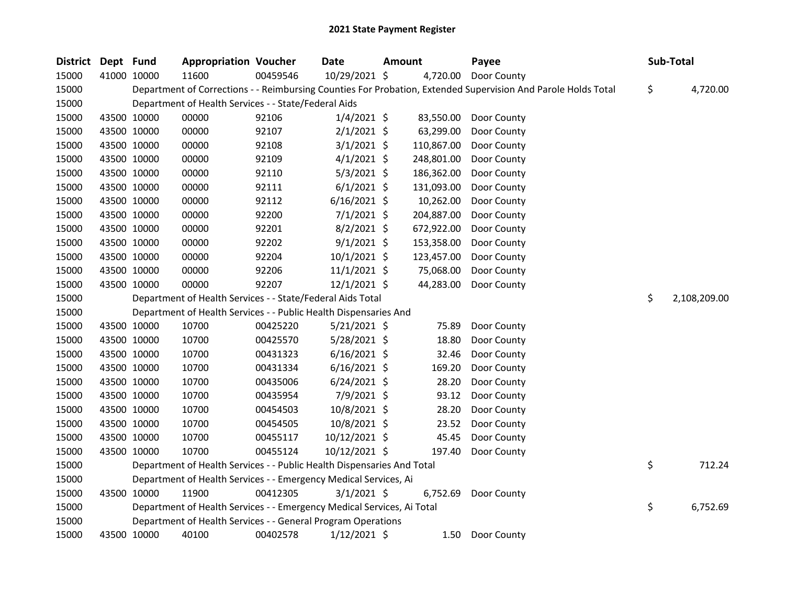| District | Dept Fund   |             | <b>Appropriation Voucher</b>                                           |          | Date           | <b>Amount</b> |            | Payee                                                                                                         | Sub-Total          |
|----------|-------------|-------------|------------------------------------------------------------------------|----------|----------------|---------------|------------|---------------------------------------------------------------------------------------------------------------|--------------------|
| 15000    | 41000 10000 |             | 11600                                                                  | 00459546 | 10/29/2021 \$  |               | 4,720.00   | Door County                                                                                                   |                    |
| 15000    |             |             |                                                                        |          |                |               |            | Department of Corrections - - Reimbursing Counties For Probation, Extended Supervision And Parole Holds Total | \$<br>4,720.00     |
| 15000    |             |             | Department of Health Services - - State/Federal Aids                   |          |                |               |            |                                                                                                               |                    |
| 15000    |             | 43500 10000 | 00000                                                                  | 92106    | $1/4/2021$ \$  |               | 83,550.00  | Door County                                                                                                   |                    |
| 15000    | 43500 10000 |             | 00000                                                                  | 92107    | $2/1/2021$ \$  |               | 63,299.00  | Door County                                                                                                   |                    |
| 15000    | 43500 10000 |             | 00000                                                                  | 92108    | $3/1/2021$ \$  |               | 110,867.00 | Door County                                                                                                   |                    |
| 15000    | 43500 10000 |             | 00000                                                                  | 92109    | $4/1/2021$ \$  |               | 248,801.00 | Door County                                                                                                   |                    |
| 15000    | 43500 10000 |             | 00000                                                                  | 92110    | $5/3/2021$ \$  |               | 186,362.00 | Door County                                                                                                   |                    |
| 15000    | 43500 10000 |             | 00000                                                                  | 92111    | $6/1/2021$ \$  |               | 131,093.00 | Door County                                                                                                   |                    |
| 15000    | 43500 10000 |             | 00000                                                                  | 92112    | $6/16/2021$ \$ |               | 10,262.00  | Door County                                                                                                   |                    |
| 15000    | 43500 10000 |             | 00000                                                                  | 92200    | $7/1/2021$ \$  |               | 204,887.00 | Door County                                                                                                   |                    |
| 15000    | 43500 10000 |             | 00000                                                                  | 92201    | $8/2/2021$ \$  |               | 672,922.00 | Door County                                                                                                   |                    |
| 15000    | 43500 10000 |             | 00000                                                                  | 92202    | $9/1/2021$ \$  |               | 153,358.00 | Door County                                                                                                   |                    |
| 15000    | 43500 10000 |             | 00000                                                                  | 92204    | $10/1/2021$ \$ |               | 123,457.00 | Door County                                                                                                   |                    |
| 15000    | 43500 10000 |             | 00000                                                                  | 92206    | $11/1/2021$ \$ |               | 75,068.00  | Door County                                                                                                   |                    |
| 15000    | 43500 10000 |             | 00000                                                                  | 92207    | 12/1/2021 \$   |               | 44,283.00  | Door County                                                                                                   |                    |
| 15000    |             |             | Department of Health Services - - State/Federal Aids Total             |          |                |               |            |                                                                                                               | \$<br>2,108,209.00 |
| 15000    |             |             | Department of Health Services - - Public Health Dispensaries And       |          |                |               |            |                                                                                                               |                    |
| 15000    |             | 43500 10000 | 10700                                                                  | 00425220 | $5/21/2021$ \$ |               | 75.89      | Door County                                                                                                   |                    |
| 15000    |             | 43500 10000 | 10700                                                                  | 00425570 | 5/28/2021 \$   |               | 18.80      | Door County                                                                                                   |                    |
| 15000    | 43500 10000 |             | 10700                                                                  | 00431323 | $6/16/2021$ \$ |               | 32.46      | Door County                                                                                                   |                    |
| 15000    | 43500 10000 |             | 10700                                                                  | 00431334 | $6/16/2021$ \$ |               | 169.20     | Door County                                                                                                   |                    |
| 15000    | 43500 10000 |             | 10700                                                                  | 00435006 | $6/24/2021$ \$ |               | 28.20      | Door County                                                                                                   |                    |
| 15000    | 43500 10000 |             | 10700                                                                  | 00435954 | 7/9/2021 \$    |               | 93.12      | Door County                                                                                                   |                    |
| 15000    | 43500 10000 |             | 10700                                                                  | 00454503 | 10/8/2021 \$   |               | 28.20      | Door County                                                                                                   |                    |
| 15000    | 43500 10000 |             | 10700                                                                  | 00454505 | 10/8/2021 \$   |               | 23.52      | Door County                                                                                                   |                    |
| 15000    | 43500 10000 |             | 10700                                                                  | 00455117 | 10/12/2021 \$  |               | 45.45      | Door County                                                                                                   |                    |
| 15000    | 43500 10000 |             | 10700                                                                  | 00455124 | 10/12/2021 \$  |               | 197.40     | Door County                                                                                                   |                    |
| 15000    |             |             | Department of Health Services - - Public Health Dispensaries And Total |          |                |               |            |                                                                                                               | \$<br>712.24       |
| 15000    |             |             | Department of Health Services - - Emergency Medical Services, Ai       |          |                |               |            |                                                                                                               |                    |
| 15000    | 43500 10000 |             | 11900                                                                  | 00412305 | $3/1/2021$ \$  |               | 6,752.69   | Door County                                                                                                   |                    |
| 15000    |             |             | Department of Health Services - - Emergency Medical Services, Ai Total |          |                |               |            |                                                                                                               | \$<br>6,752.69     |
| 15000    |             |             | Department of Health Services - - General Program Operations           |          |                |               |            |                                                                                                               |                    |
| 15000    | 43500 10000 |             | 40100                                                                  | 00402578 | $1/12/2021$ \$ |               | 1.50       | Door County                                                                                                   |                    |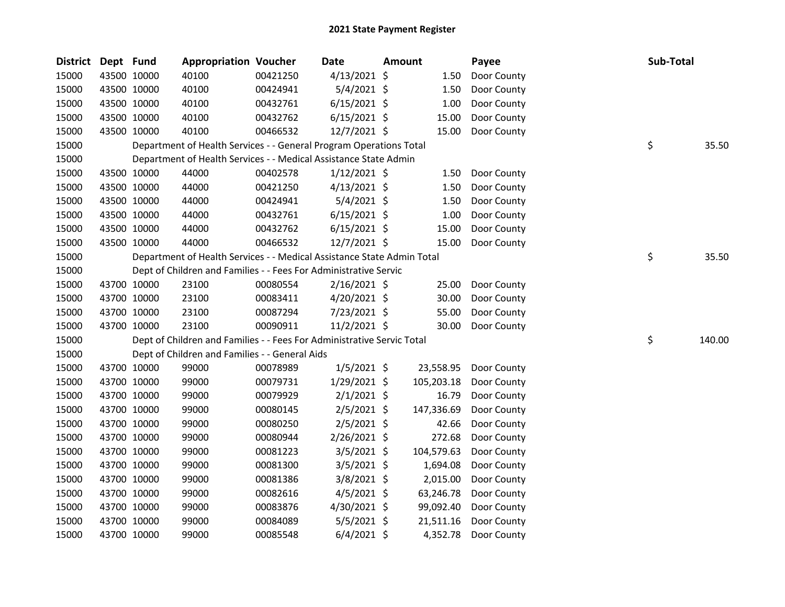| District Dept Fund |             | <b>Appropriation Voucher</b>                                           |          | <b>Date</b>    | <b>Amount</b> |            | Payee       | Sub-Total |        |
|--------------------|-------------|------------------------------------------------------------------------|----------|----------------|---------------|------------|-------------|-----------|--------|
| 15000              | 43500 10000 | 40100                                                                  | 00421250 | $4/13/2021$ \$ |               | 1.50       | Door County |           |        |
| 15000              | 43500 10000 | 40100                                                                  | 00424941 | $5/4/2021$ \$  |               | 1.50       | Door County |           |        |
| 15000              | 43500 10000 | 40100                                                                  | 00432761 | $6/15/2021$ \$ |               | 1.00       | Door County |           |        |
| 15000              | 43500 10000 | 40100                                                                  | 00432762 | $6/15/2021$ \$ |               | 15.00      | Door County |           |        |
| 15000              | 43500 10000 | 40100                                                                  | 00466532 | 12/7/2021 \$   |               | 15.00      | Door County |           |        |
| 15000              |             | Department of Health Services - - General Program Operations Total     |          |                |               |            |             | \$        | 35.50  |
| 15000              |             | Department of Health Services - - Medical Assistance State Admin       |          |                |               |            |             |           |        |
| 15000              | 43500 10000 | 44000                                                                  | 00402578 | $1/12/2021$ \$ |               | 1.50       | Door County |           |        |
| 15000              | 43500 10000 | 44000                                                                  | 00421250 | $4/13/2021$ \$ |               | 1.50       | Door County |           |        |
| 15000              | 43500 10000 | 44000                                                                  | 00424941 | $5/4/2021$ \$  |               | 1.50       | Door County |           |        |
| 15000              | 43500 10000 | 44000                                                                  | 00432761 | $6/15/2021$ \$ |               | 1.00       | Door County |           |        |
| 15000              | 43500 10000 | 44000                                                                  | 00432762 | $6/15/2021$ \$ |               | 15.00      | Door County |           |        |
| 15000              | 43500 10000 | 44000                                                                  | 00466532 | 12/7/2021 \$   |               | 15.00      | Door County |           |        |
| 15000              |             | Department of Health Services - - Medical Assistance State Admin Total |          |                |               |            |             | \$        | 35.50  |
| 15000              |             | Dept of Children and Families - - Fees For Administrative Servic       |          |                |               |            |             |           |        |
| 15000              | 43700 10000 | 23100                                                                  | 00080554 | $2/16/2021$ \$ |               | 25.00      | Door County |           |        |
| 15000              | 43700 10000 | 23100                                                                  | 00083411 | $4/20/2021$ \$ |               | 30.00      | Door County |           |        |
| 15000              | 43700 10000 | 23100                                                                  | 00087294 | 7/23/2021 \$   |               | 55.00      | Door County |           |        |
| 15000              | 43700 10000 | 23100                                                                  | 00090911 | $11/2/2021$ \$ |               | 30.00      | Door County |           |        |
| 15000              |             | Dept of Children and Families - - Fees For Administrative Servic Total |          |                |               |            |             | \$        | 140.00 |
| 15000              |             | Dept of Children and Families - - General Aids                         |          |                |               |            |             |           |        |
| 15000              | 43700 10000 | 99000                                                                  | 00078989 | $1/5/2021$ \$  |               | 23,558.95  | Door County |           |        |
| 15000              | 43700 10000 | 99000                                                                  | 00079731 | 1/29/2021 \$   |               | 105,203.18 | Door County |           |        |
| 15000              | 43700 10000 | 99000                                                                  | 00079929 | $2/1/2021$ \$  |               | 16.79      | Door County |           |        |
| 15000              | 43700 10000 | 99000                                                                  | 00080145 | $2/5/2021$ \$  |               | 147,336.69 | Door County |           |        |
| 15000              | 43700 10000 | 99000                                                                  | 00080250 | $2/5/2021$ \$  |               | 42.66      | Door County |           |        |
| 15000              | 43700 10000 | 99000                                                                  | 00080944 | 2/26/2021 \$   |               | 272.68     | Door County |           |        |
| 15000              | 43700 10000 | 99000                                                                  | 00081223 | $3/5/2021$ \$  |               | 104,579.63 | Door County |           |        |
| 15000              | 43700 10000 | 99000                                                                  | 00081300 | $3/5/2021$ \$  |               | 1,694.08   | Door County |           |        |
| 15000              | 43700 10000 | 99000                                                                  | 00081386 | $3/8/2021$ \$  |               | 2,015.00   | Door County |           |        |
| 15000              | 43700 10000 | 99000                                                                  | 00082616 | $4/5/2021$ \$  |               | 63,246.78  | Door County |           |        |
| 15000              | 43700 10000 | 99000                                                                  | 00083876 | 4/30/2021 \$   |               | 99,092.40  | Door County |           |        |
| 15000              | 43700 10000 | 99000                                                                  | 00084089 | $5/5/2021$ \$  |               | 21,511.16  | Door County |           |        |
| 15000              | 43700 10000 | 99000                                                                  | 00085548 | $6/4/2021$ \$  |               | 4,352.78   | Door County |           |        |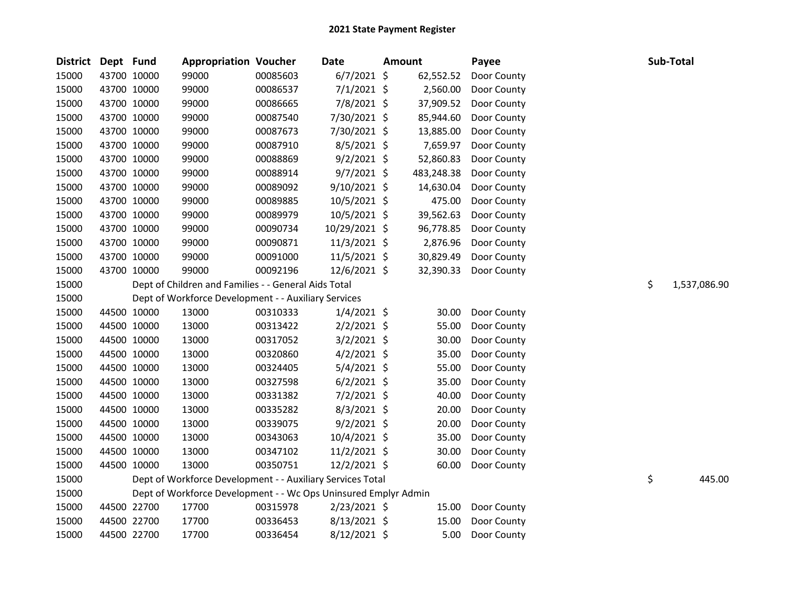| District Dept Fund |             | <b>Appropriation Voucher</b>                                    |          | <b>Date</b>    | <b>Amount</b> | Payee       |    | Sub-Total    |
|--------------------|-------------|-----------------------------------------------------------------|----------|----------------|---------------|-------------|----|--------------|
| 15000              | 43700 10000 | 99000                                                           | 00085603 | $6/7/2021$ \$  | 62,552.52     | Door County |    |              |
| 15000              | 43700 10000 | 99000                                                           | 00086537 | $7/1/2021$ \$  | 2,560.00      | Door County |    |              |
| 15000              | 43700 10000 | 99000                                                           | 00086665 | 7/8/2021 \$    | 37,909.52     | Door County |    |              |
| 15000              | 43700 10000 | 99000                                                           | 00087540 | 7/30/2021 \$   | 85,944.60     | Door County |    |              |
| 15000              | 43700 10000 | 99000                                                           | 00087673 | 7/30/2021 \$   | 13,885.00     | Door County |    |              |
| 15000              | 43700 10000 | 99000                                                           | 00087910 | $8/5/2021$ \$  | 7,659.97      | Door County |    |              |
| 15000              | 43700 10000 | 99000                                                           | 00088869 | $9/2/2021$ \$  | 52,860.83     | Door County |    |              |
| 15000              | 43700 10000 | 99000                                                           | 00088914 | $9/7/2021$ \$  | 483,248.38    | Door County |    |              |
| 15000              | 43700 10000 | 99000                                                           | 00089092 | 9/10/2021 \$   | 14,630.04     | Door County |    |              |
| 15000              | 43700 10000 | 99000                                                           | 00089885 | 10/5/2021 \$   | 475.00        | Door County |    |              |
| 15000              | 43700 10000 | 99000                                                           | 00089979 | 10/5/2021 \$   | 39,562.63     | Door County |    |              |
| 15000              | 43700 10000 | 99000                                                           | 00090734 | 10/29/2021 \$  | 96,778.85     | Door County |    |              |
| 15000              | 43700 10000 | 99000                                                           | 00090871 | $11/3/2021$ \$ | 2,876.96      | Door County |    |              |
| 15000              | 43700 10000 | 99000                                                           | 00091000 | $11/5/2021$ \$ | 30,829.49     | Door County |    |              |
| 15000              | 43700 10000 | 99000                                                           | 00092196 | 12/6/2021 \$   | 32,390.33     | Door County |    |              |
| 15000              |             | Dept of Children and Families - - General Aids Total            |          |                |               |             | \$ | 1,537,086.90 |
| 15000              |             | Dept of Workforce Development - - Auxiliary Services            |          |                |               |             |    |              |
| 15000              | 44500 10000 | 13000                                                           | 00310333 | $1/4/2021$ \$  | 30.00         | Door County |    |              |
| 15000              | 44500 10000 | 13000                                                           | 00313422 | $2/2/2021$ \$  | 55.00         | Door County |    |              |
| 15000              | 44500 10000 | 13000                                                           | 00317052 | $3/2/2021$ \$  | 30.00         | Door County |    |              |
| 15000              | 44500 10000 | 13000                                                           | 00320860 | $4/2/2021$ \$  | 35.00         | Door County |    |              |
| 15000              | 44500 10000 | 13000                                                           | 00324405 | $5/4/2021$ \$  | 55.00         | Door County |    |              |
| 15000              | 44500 10000 | 13000                                                           | 00327598 | $6/2/2021$ \$  | 35.00         | Door County |    |              |
| 15000              | 44500 10000 | 13000                                                           | 00331382 | $7/2/2021$ \$  | 40.00         | Door County |    |              |
| 15000              | 44500 10000 | 13000                                                           | 00335282 | $8/3/2021$ \$  | 20.00         | Door County |    |              |
| 15000              | 44500 10000 | 13000                                                           | 00339075 | $9/2/2021$ \$  | 20.00         | Door County |    |              |
| 15000              | 44500 10000 | 13000                                                           | 00343063 | 10/4/2021 \$   | 35.00         | Door County |    |              |
| 15000              | 44500 10000 | 13000                                                           | 00347102 | 11/2/2021 \$   | 30.00         | Door County |    |              |
| 15000              | 44500 10000 | 13000                                                           | 00350751 | 12/2/2021 \$   | 60.00         | Door County |    |              |
| 15000              |             | Dept of Workforce Development - - Auxiliary Services Total      |          |                |               |             | \$ | 445.00       |
| 15000              |             | Dept of Workforce Development - - Wc Ops Uninsured Emplyr Admin |          |                |               |             |    |              |
| 15000              | 44500 22700 | 17700                                                           | 00315978 | 2/23/2021 \$   | 15.00         | Door County |    |              |
| 15000              | 44500 22700 | 17700                                                           | 00336453 | $8/13/2021$ \$ | 15.00         | Door County |    |              |
| 15000              | 44500 22700 | 17700                                                           | 00336454 | 8/12/2021 \$   | 5.00          | Door County |    |              |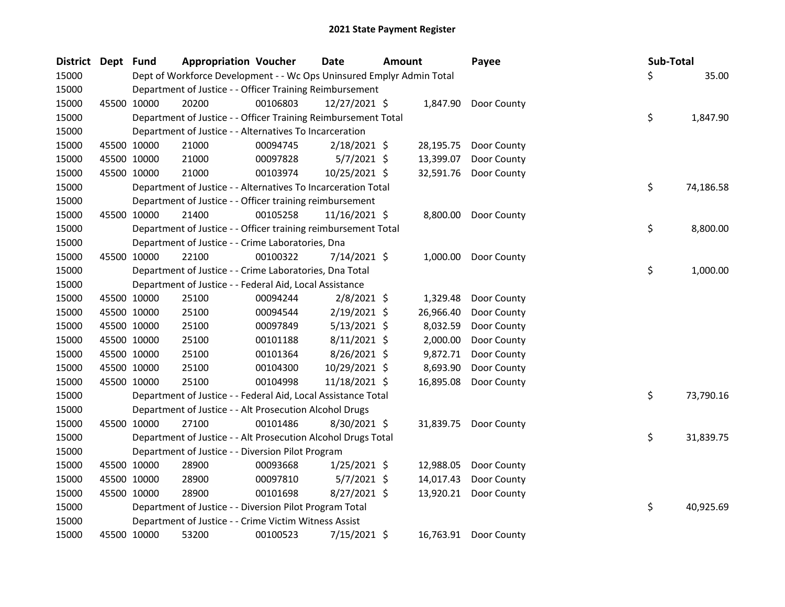| District Dept Fund |             | <b>Appropriation Voucher</b>                                          |          | Date           | <b>Amount</b> |           | Payee                 | Sub-Total |           |
|--------------------|-------------|-----------------------------------------------------------------------|----------|----------------|---------------|-----------|-----------------------|-----------|-----------|
| 15000              |             | Dept of Workforce Development - - Wc Ops Uninsured Emplyr Admin Total |          |                |               |           |                       | \$        | 35.00     |
| 15000              |             | Department of Justice - - Officer Training Reimbursement              |          |                |               |           |                       |           |           |
| 15000              | 45500 10000 | 20200                                                                 | 00106803 | 12/27/2021 \$  |               | 1,847.90  | Door County           |           |           |
| 15000              |             | Department of Justice - - Officer Training Reimbursement Total        |          |                |               |           |                       | \$        | 1,847.90  |
| 15000              |             | Department of Justice - - Alternatives To Incarceration               |          |                |               |           |                       |           |           |
| 15000              | 45500 10000 | 21000                                                                 | 00094745 | $2/18/2021$ \$ |               | 28,195.75 | Door County           |           |           |
| 15000              | 45500 10000 | 21000                                                                 | 00097828 | $5/7/2021$ \$  |               | 13,399.07 | Door County           |           |           |
| 15000              | 45500 10000 | 21000                                                                 | 00103974 | 10/25/2021 \$  |               | 32,591.76 | Door County           |           |           |
| 15000              |             | Department of Justice - - Alternatives To Incarceration Total         |          |                |               |           |                       | \$        | 74,186.58 |
| 15000              |             | Department of Justice - - Officer training reimbursement              |          |                |               |           |                       |           |           |
| 15000              | 45500 10000 | 21400                                                                 | 00105258 | 11/16/2021 \$  |               | 8,800.00  | Door County           |           |           |
| 15000              |             | Department of Justice - - Officer training reimbursement Total        |          |                |               |           |                       | \$        | 8,800.00  |
| 15000              |             | Department of Justice - - Crime Laboratories, Dna                     |          |                |               |           |                       |           |           |
| 15000              | 45500 10000 | 22100                                                                 | 00100322 | 7/14/2021 \$   |               | 1,000.00  | Door County           |           |           |
| 15000              |             | Department of Justice - - Crime Laboratories, Dna Total               |          |                |               |           |                       | \$        | 1,000.00  |
| 15000              |             | Department of Justice - - Federal Aid, Local Assistance               |          |                |               |           |                       |           |           |
| 15000              | 45500 10000 | 25100                                                                 | 00094244 | $2/8/2021$ \$  |               | 1,329.48  | Door County           |           |           |
| 15000              | 45500 10000 | 25100                                                                 | 00094544 | $2/19/2021$ \$ |               | 26,966.40 | Door County           |           |           |
| 15000              | 45500 10000 | 25100                                                                 | 00097849 | $5/13/2021$ \$ |               | 8,032.59  | Door County           |           |           |
| 15000              | 45500 10000 | 25100                                                                 | 00101188 | $8/11/2021$ \$ |               | 2,000.00  | Door County           |           |           |
| 15000              | 45500 10000 | 25100                                                                 | 00101364 | 8/26/2021 \$   |               | 9,872.71  | Door County           |           |           |
| 15000              | 45500 10000 | 25100                                                                 | 00104300 | 10/29/2021 \$  |               | 8,693.90  | Door County           |           |           |
| 15000              | 45500 10000 | 25100                                                                 | 00104998 | 11/18/2021 \$  |               | 16,895.08 | Door County           |           |           |
| 15000              |             | Department of Justice - - Federal Aid, Local Assistance Total         |          |                |               |           |                       | \$        | 73,790.16 |
| 15000              |             | Department of Justice - - Alt Prosecution Alcohol Drugs               |          |                |               |           |                       |           |           |
| 15000              | 45500 10000 | 27100                                                                 | 00101486 | 8/30/2021 \$   |               | 31,839.75 | Door County           |           |           |
| 15000              |             | Department of Justice - - Alt Prosecution Alcohol Drugs Total         |          |                |               |           |                       | \$        | 31,839.75 |
| 15000              |             | Department of Justice - - Diversion Pilot Program                     |          |                |               |           |                       |           |           |
| 15000              | 45500 10000 | 28900                                                                 | 00093668 | $1/25/2021$ \$ |               | 12,988.05 | Door County           |           |           |
| 15000              | 45500 10000 | 28900                                                                 | 00097810 | $5/7/2021$ \$  |               | 14,017.43 | Door County           |           |           |
| 15000              | 45500 10000 | 28900                                                                 | 00101698 | 8/27/2021 \$   |               | 13,920.21 | Door County           |           |           |
| 15000              |             | Department of Justice - - Diversion Pilot Program Total               |          |                |               |           |                       | \$        | 40,925.69 |
| 15000              |             | Department of Justice - - Crime Victim Witness Assist                 |          |                |               |           |                       |           |           |
| 15000              | 45500 10000 | 53200                                                                 | 00100523 | 7/15/2021 \$   |               |           | 16,763.91 Door County |           |           |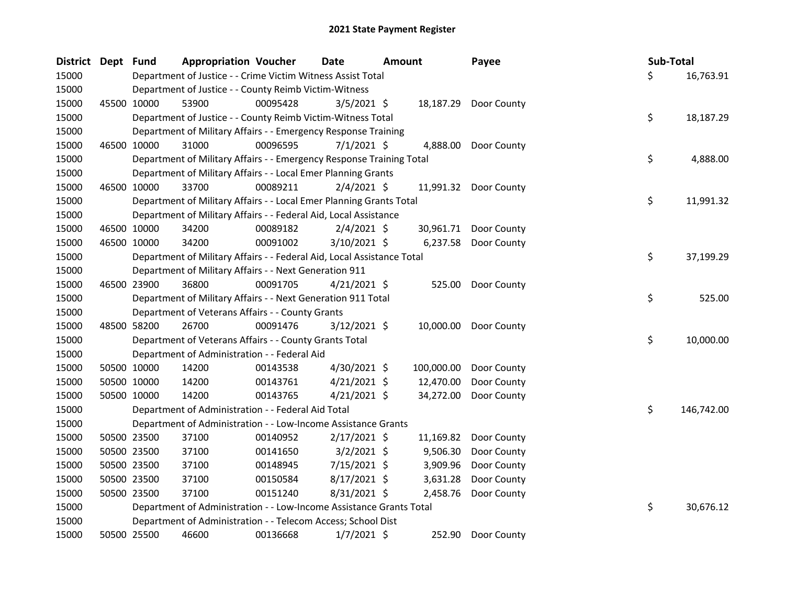| District Dept | <b>Fund</b> | <b>Appropriation Voucher</b>                                           |          | Date           | <b>Amount</b> |            | Payee                 |  | Sub-Total |            |
|---------------|-------------|------------------------------------------------------------------------|----------|----------------|---------------|------------|-----------------------|--|-----------|------------|
| 15000         |             | Department of Justice - - Crime Victim Witness Assist Total            |          |                |               |            |                       |  | \$.       | 16,763.91  |
| 15000         |             | Department of Justice - - County Reimb Victim-Witness                  |          |                |               |            |                       |  |           |            |
| 15000         | 45500 10000 | 53900                                                                  | 00095428 | $3/5/2021$ \$  |               |            | 18,187.29 Door County |  |           |            |
| 15000         |             | Department of Justice - - County Reimb Victim-Witness Total            |          |                |               |            |                       |  | \$        | 18,187.29  |
| 15000         |             | Department of Military Affairs - - Emergency Response Training         |          |                |               |            |                       |  |           |            |
| 15000         | 46500 10000 | 31000                                                                  | 00096595 | $7/1/2021$ \$  |               | 4,888.00   | Door County           |  |           |            |
| 15000         |             | Department of Military Affairs - - Emergency Response Training Total   |          |                |               |            |                       |  | \$        | 4,888.00   |
| 15000         |             | Department of Military Affairs - - Local Emer Planning Grants          |          |                |               |            |                       |  |           |            |
| 15000         | 46500 10000 | 33700                                                                  | 00089211 | $2/4/2021$ \$  |               |            | 11,991.32 Door County |  |           |            |
| 15000         |             | Department of Military Affairs - - Local Emer Planning Grants Total    |          |                |               |            |                       |  | \$        | 11,991.32  |
| 15000         |             | Department of Military Affairs - - Federal Aid, Local Assistance       |          |                |               |            |                       |  |           |            |
| 15000         | 46500 10000 | 34200                                                                  | 00089182 | $2/4/2021$ \$  |               |            | 30,961.71 Door County |  |           |            |
| 15000         | 46500 10000 | 34200                                                                  | 00091002 | 3/10/2021 \$   |               |            | 6,237.58 Door County  |  |           |            |
| 15000         |             | Department of Military Affairs - - Federal Aid, Local Assistance Total |          |                |               |            |                       |  | \$        | 37,199.29  |
| 15000         |             | Department of Military Affairs - - Next Generation 911                 |          |                |               |            |                       |  |           |            |
| 15000         | 46500 23900 | 36800                                                                  | 00091705 | $4/21/2021$ \$ |               |            | 525.00 Door County    |  |           |            |
| 15000         |             | Department of Military Affairs - - Next Generation 911 Total           |          |                |               |            |                       |  | \$        | 525.00     |
| 15000         |             | Department of Veterans Affairs - - County Grants                       |          |                |               |            |                       |  |           |            |
| 15000         | 48500 58200 | 26700                                                                  | 00091476 | $3/12/2021$ \$ |               |            | 10,000.00 Door County |  |           |            |
| 15000         |             | Department of Veterans Affairs - - County Grants Total                 |          |                |               |            |                       |  | \$        | 10,000.00  |
| 15000         |             | Department of Administration - - Federal Aid                           |          |                |               |            |                       |  |           |            |
| 15000         | 50500 10000 | 14200                                                                  | 00143538 | 4/30/2021 \$   |               | 100,000.00 | Door County           |  |           |            |
| 15000         | 50500 10000 | 14200                                                                  | 00143761 | $4/21/2021$ \$ |               | 12,470.00  | Door County           |  |           |            |
| 15000         | 50500 10000 | 14200                                                                  | 00143765 | $4/21/2021$ \$ |               | 34,272.00  | Door County           |  |           |            |
| 15000         |             | Department of Administration - - Federal Aid Total                     |          |                |               |            |                       |  | \$        | 146,742.00 |
| 15000         |             | Department of Administration - - Low-Income Assistance Grants          |          |                |               |            |                       |  |           |            |
| 15000         | 50500 23500 | 37100                                                                  | 00140952 | $2/17/2021$ \$ |               | 11,169.82  | Door County           |  |           |            |
| 15000         | 50500 23500 | 37100                                                                  | 00141650 | $3/2/2021$ \$  |               | 9,506.30   | Door County           |  |           |            |
| 15000         | 50500 23500 | 37100                                                                  | 00148945 | 7/15/2021 \$   |               | 3,909.96   | Door County           |  |           |            |
| 15000         | 50500 23500 | 37100                                                                  | 00150584 | $8/17/2021$ \$ |               | 3,631.28   | Door County           |  |           |            |
| 15000         | 50500 23500 | 37100                                                                  | 00151240 | 8/31/2021 \$   |               | 2,458.76   | Door County           |  |           |            |
| 15000         |             | Department of Administration - - Low-Income Assistance Grants Total    |          |                |               |            |                       |  | \$        | 30,676.12  |
| 15000         |             | Department of Administration - - Telecom Access; School Dist           |          |                |               |            |                       |  |           |            |
| 15000         | 50500 25500 | 46600                                                                  | 00136668 | $1/7/2021$ \$  |               | 252.90     | Door County           |  |           |            |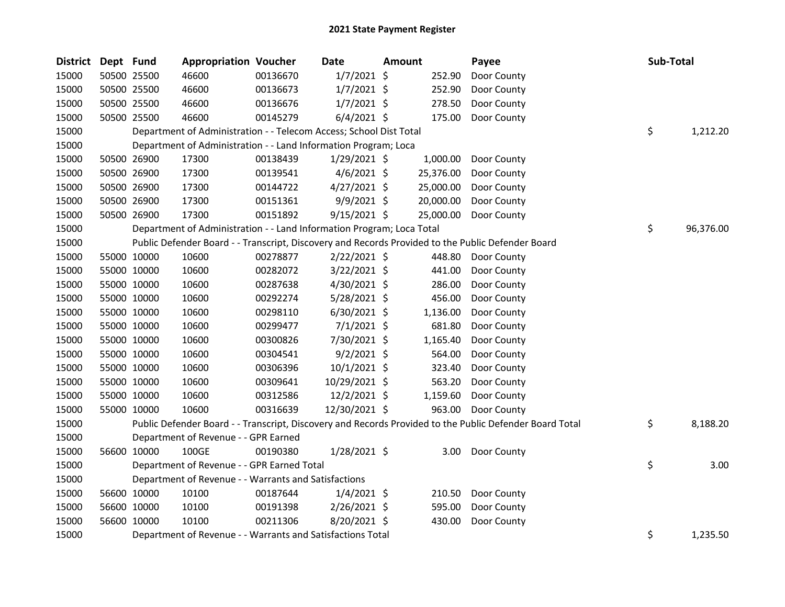| <b>District</b> | Dept Fund |             | <b>Appropriation Voucher</b>                                          |          | Date           | Amount    | Payee                                                                                                   | Sub-Total       |
|-----------------|-----------|-------------|-----------------------------------------------------------------------|----------|----------------|-----------|---------------------------------------------------------------------------------------------------------|-----------------|
| 15000           |           | 50500 25500 | 46600                                                                 | 00136670 | $1/7/2021$ \$  | 252.90    | Door County                                                                                             |                 |
| 15000           |           | 50500 25500 | 46600                                                                 | 00136673 | $1/7/2021$ \$  | 252.90    | Door County                                                                                             |                 |
| 15000           |           | 50500 25500 | 46600                                                                 | 00136676 | $1/7/2021$ \$  | 278.50    | Door County                                                                                             |                 |
| 15000           |           | 50500 25500 | 46600                                                                 | 00145279 | $6/4/2021$ \$  | 175.00    | Door County                                                                                             |                 |
| 15000           |           |             | Department of Administration - - Telecom Access; School Dist Total    |          |                |           |                                                                                                         | \$<br>1,212.20  |
| 15000           |           |             | Department of Administration - - Land Information Program; Loca       |          |                |           |                                                                                                         |                 |
| 15000           |           | 50500 26900 | 17300                                                                 | 00138439 | $1/29/2021$ \$ | 1,000.00  | Door County                                                                                             |                 |
| 15000           |           | 50500 26900 | 17300                                                                 | 00139541 | $4/6/2021$ \$  | 25,376.00 | Door County                                                                                             |                 |
| 15000           |           | 50500 26900 | 17300                                                                 | 00144722 | $4/27/2021$ \$ | 25,000.00 | Door County                                                                                             |                 |
| 15000           |           | 50500 26900 | 17300                                                                 | 00151361 | $9/9/2021$ \$  | 20,000.00 | Door County                                                                                             |                 |
| 15000           |           | 50500 26900 | 17300                                                                 | 00151892 | $9/15/2021$ \$ |           | 25,000.00 Door County                                                                                   |                 |
| 15000           |           |             | Department of Administration - - Land Information Program; Loca Total |          |                |           |                                                                                                         | \$<br>96,376.00 |
| 15000           |           |             |                                                                       |          |                |           | Public Defender Board - - Transcript, Discovery and Records Provided to the Public Defender Board       |                 |
| 15000           |           | 55000 10000 | 10600                                                                 | 00278877 | $2/22/2021$ \$ | 448.80    | Door County                                                                                             |                 |
| 15000           |           | 55000 10000 | 10600                                                                 | 00282072 | $3/22/2021$ \$ | 441.00    | Door County                                                                                             |                 |
| 15000           |           | 55000 10000 | 10600                                                                 | 00287638 | 4/30/2021 \$   | 286.00    | Door County                                                                                             |                 |
| 15000           |           | 55000 10000 | 10600                                                                 | 00292274 | $5/28/2021$ \$ | 456.00    | Door County                                                                                             |                 |
| 15000           |           | 55000 10000 | 10600                                                                 | 00298110 | $6/30/2021$ \$ | 1,136.00  | Door County                                                                                             |                 |
| 15000           |           | 55000 10000 | 10600                                                                 | 00299477 | $7/1/2021$ \$  | 681.80    | Door County                                                                                             |                 |
| 15000           |           | 55000 10000 | 10600                                                                 | 00300826 | 7/30/2021 \$   | 1,165.40  | Door County                                                                                             |                 |
| 15000           |           | 55000 10000 | 10600                                                                 | 00304541 | $9/2/2021$ \$  | 564.00    | Door County                                                                                             |                 |
| 15000           |           | 55000 10000 | 10600                                                                 | 00306396 | $10/1/2021$ \$ | 323.40    | Door County                                                                                             |                 |
| 15000           |           | 55000 10000 | 10600                                                                 | 00309641 | 10/29/2021 \$  | 563.20    | Door County                                                                                             |                 |
| 15000           |           | 55000 10000 | 10600                                                                 | 00312586 | $12/2/2021$ \$ | 1,159.60  | Door County                                                                                             |                 |
| 15000           |           | 55000 10000 | 10600                                                                 | 00316639 | 12/30/2021 \$  | 963.00    | Door County                                                                                             |                 |
| 15000           |           |             |                                                                       |          |                |           | Public Defender Board - - Transcript, Discovery and Records Provided to the Public Defender Board Total | \$<br>8,188.20  |
| 15000           |           |             | Department of Revenue - - GPR Earned                                  |          |                |           |                                                                                                         |                 |
| 15000           |           | 56600 10000 | 100GE                                                                 | 00190380 | $1/28/2021$ \$ |           | 3.00 Door County                                                                                        |                 |
| 15000           |           |             | Department of Revenue - - GPR Earned Total                            |          |                |           |                                                                                                         | \$<br>3.00      |
| 15000           |           |             | Department of Revenue - - Warrants and Satisfactions                  |          |                |           |                                                                                                         |                 |
| 15000           |           | 56600 10000 | 10100                                                                 | 00187644 | $1/4/2021$ \$  | 210.50    | Door County                                                                                             |                 |
| 15000           |           | 56600 10000 | 10100                                                                 | 00191398 | 2/26/2021 \$   | 595.00    | Door County                                                                                             |                 |
| 15000           |           | 56600 10000 | 10100                                                                 | 00211306 | 8/20/2021 \$   | 430.00    | Door County                                                                                             |                 |
| 15000           |           |             | Department of Revenue - - Warrants and Satisfactions Total            |          |                |           |                                                                                                         | \$<br>1,235.50  |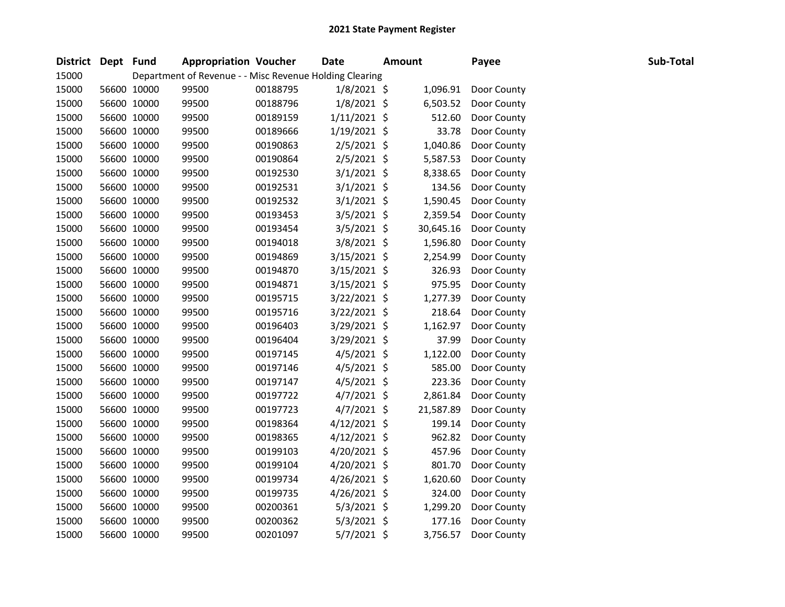| District Dept Fund |             |       | <b>Appropriation Voucher</b>                            | <b>Date</b>    | <b>Amount</b> | Payee       | Sub-Total |  |
|--------------------|-------------|-------|---------------------------------------------------------|----------------|---------------|-------------|-----------|--|
| 15000              |             |       | Department of Revenue - - Misc Revenue Holding Clearing |                |               |             |           |  |
| 15000              | 56600 10000 | 99500 | 00188795                                                | $1/8/2021$ \$  | 1,096.91      | Door County |           |  |
| 15000              | 56600 10000 | 99500 | 00188796                                                | $1/8/2021$ \$  | 6,503.52      | Door County |           |  |
| 15000              | 56600 10000 | 99500 | 00189159                                                | $1/11/2021$ \$ | 512.60        | Door County |           |  |
| 15000              | 56600 10000 | 99500 | 00189666                                                | $1/19/2021$ \$ | 33.78         | Door County |           |  |
| 15000              | 56600 10000 | 99500 | 00190863                                                | 2/5/2021 \$    | 1,040.86      | Door County |           |  |
| 15000              | 56600 10000 | 99500 | 00190864                                                | $2/5/2021$ \$  | 5,587.53      | Door County |           |  |
| 15000              | 56600 10000 | 99500 | 00192530                                                | $3/1/2021$ \$  | 8,338.65      | Door County |           |  |
| 15000              | 56600 10000 | 99500 | 00192531                                                | $3/1/2021$ \$  | 134.56        | Door County |           |  |
| 15000              | 56600 10000 | 99500 | 00192532                                                | $3/1/2021$ \$  | 1,590.45      | Door County |           |  |
| 15000              | 56600 10000 | 99500 | 00193453                                                | $3/5/2021$ \$  | 2,359.54      | Door County |           |  |
| 15000              | 56600 10000 | 99500 | 00193454                                                | $3/5/2021$ \$  | 30,645.16     | Door County |           |  |
| 15000              | 56600 10000 | 99500 | 00194018                                                | 3/8/2021 \$    | 1,596.80      | Door County |           |  |
| 15000              | 56600 10000 | 99500 | 00194869                                                | $3/15/2021$ \$ | 2,254.99      | Door County |           |  |
| 15000              | 56600 10000 | 99500 | 00194870                                                | 3/15/2021 \$   | 326.93        | Door County |           |  |
| 15000              | 56600 10000 | 99500 | 00194871                                                | 3/15/2021 \$   | 975.95        | Door County |           |  |
| 15000              | 56600 10000 | 99500 | 00195715                                                | 3/22/2021 \$   | 1,277.39      | Door County |           |  |
| 15000              | 56600 10000 | 99500 | 00195716                                                | $3/22/2021$ \$ | 218.64        | Door County |           |  |
| 15000              | 56600 10000 | 99500 | 00196403                                                | 3/29/2021 \$   | 1,162.97      | Door County |           |  |
| 15000              | 56600 10000 | 99500 | 00196404                                                | $3/29/2021$ \$ | 37.99         | Door County |           |  |
| 15000              | 56600 10000 | 99500 | 00197145                                                | $4/5/2021$ \$  | 1,122.00      | Door County |           |  |
| 15000              | 56600 10000 | 99500 | 00197146                                                | $4/5/2021$ \$  | 585.00        | Door County |           |  |
| 15000              | 56600 10000 | 99500 | 00197147                                                | 4/5/2021 \$    | 223.36        | Door County |           |  |
| 15000              | 56600 10000 | 99500 | 00197722                                                | $4/7/2021$ \$  | 2,861.84      | Door County |           |  |
| 15000              | 56600 10000 | 99500 | 00197723                                                | $4/7/2021$ \$  | 21,587.89     | Door County |           |  |
| 15000              | 56600 10000 | 99500 | 00198364                                                | $4/12/2021$ \$ | 199.14        | Door County |           |  |
| 15000              | 56600 10000 | 99500 | 00198365                                                | $4/12/2021$ \$ | 962.82        | Door County |           |  |
| 15000              | 56600 10000 | 99500 | 00199103                                                | 4/20/2021 \$   | 457.96        | Door County |           |  |
| 15000              | 56600 10000 | 99500 | 00199104                                                | 4/20/2021 \$   | 801.70        | Door County |           |  |
| 15000              | 56600 10000 | 99500 | 00199734                                                | $4/26/2021$ \$ | 1,620.60      | Door County |           |  |
| 15000              | 56600 10000 | 99500 | 00199735                                                | $4/26/2021$ \$ | 324.00        | Door County |           |  |
| 15000              | 56600 10000 | 99500 | 00200361                                                | $5/3/2021$ \$  | 1,299.20      | Door County |           |  |
| 15000              | 56600 10000 | 99500 | 00200362                                                | $5/3/2021$ \$  | 177.16        | Door County |           |  |
| 15000              | 56600 10000 | 99500 | 00201097                                                | $5/7/2021$ \$  | 3,756.57      | Door County |           |  |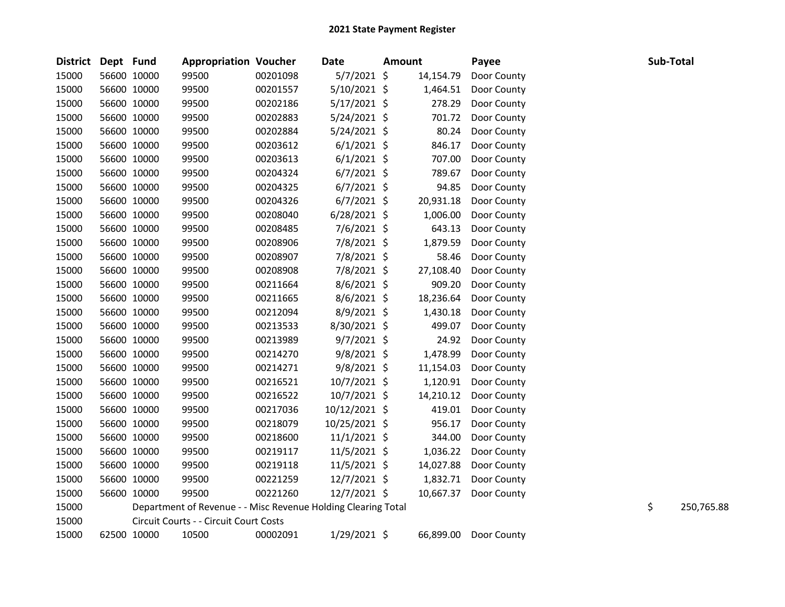| <b>District</b> | Dept Fund |             | <b>Appropriation Voucher</b>                                  |          | <b>Date</b>    | <b>Amount</b> |           | Payee       | Sub-Total |            |
|-----------------|-----------|-------------|---------------------------------------------------------------|----------|----------------|---------------|-----------|-------------|-----------|------------|
| 15000           |           | 56600 10000 | 99500                                                         | 00201098 | $5/7/2021$ \$  |               | 14,154.79 | Door County |           |            |
| 15000           |           | 56600 10000 | 99500                                                         | 00201557 | 5/10/2021 \$   |               | 1,464.51  | Door County |           |            |
| 15000           |           | 56600 10000 | 99500                                                         | 00202186 | $5/17/2021$ \$ |               | 278.29    | Door County |           |            |
| 15000           |           | 56600 10000 | 99500                                                         | 00202883 | $5/24/2021$ \$ |               | 701.72    | Door County |           |            |
| 15000           |           | 56600 10000 | 99500                                                         | 00202884 | $5/24/2021$ \$ |               | 80.24     | Door County |           |            |
| 15000           |           | 56600 10000 | 99500                                                         | 00203612 | $6/1/2021$ \$  |               | 846.17    | Door County |           |            |
| 15000           |           | 56600 10000 | 99500                                                         | 00203613 | $6/1/2021$ \$  |               | 707.00    | Door County |           |            |
| 15000           |           | 56600 10000 | 99500                                                         | 00204324 | $6/7/2021$ \$  |               | 789.67    | Door County |           |            |
| 15000           |           | 56600 10000 | 99500                                                         | 00204325 | $6/7/2021$ \$  |               | 94.85     | Door County |           |            |
| 15000           |           | 56600 10000 | 99500                                                         | 00204326 | $6/7/2021$ \$  |               | 20,931.18 | Door County |           |            |
| 15000           |           | 56600 10000 | 99500                                                         | 00208040 | $6/28/2021$ \$ |               | 1,006.00  | Door County |           |            |
| 15000           |           | 56600 10000 | 99500                                                         | 00208485 | 7/6/2021 \$    |               | 643.13    | Door County |           |            |
| 15000           |           | 56600 10000 | 99500                                                         | 00208906 | 7/8/2021 \$    |               | 1,879.59  | Door County |           |            |
| 15000           |           | 56600 10000 | 99500                                                         | 00208907 | 7/8/2021 \$    |               | 58.46     | Door County |           |            |
| 15000           |           | 56600 10000 | 99500                                                         | 00208908 | 7/8/2021 \$    |               | 27,108.40 | Door County |           |            |
| 15000           |           | 56600 10000 | 99500                                                         | 00211664 | 8/6/2021 \$    |               | 909.20    | Door County |           |            |
| 15000           |           | 56600 10000 | 99500                                                         | 00211665 | 8/6/2021 \$    |               | 18,236.64 | Door County |           |            |
| 15000           |           | 56600 10000 | 99500                                                         | 00212094 | 8/9/2021 \$    |               | 1,430.18  | Door County |           |            |
| 15000           |           | 56600 10000 | 99500                                                         | 00213533 | 8/30/2021 \$   |               | 499.07    | Door County |           |            |
| 15000           |           | 56600 10000 | 99500                                                         | 00213989 | $9/7/2021$ \$  |               | 24.92     | Door County |           |            |
| 15000           |           | 56600 10000 | 99500                                                         | 00214270 | $9/8/2021$ \$  |               | 1,478.99  | Door County |           |            |
| 15000           |           | 56600 10000 | 99500                                                         | 00214271 | 9/8/2021 \$    |               | 11,154.03 | Door County |           |            |
| 15000           |           | 56600 10000 | 99500                                                         | 00216521 | 10/7/2021 \$   |               | 1,120.91  | Door County |           |            |
| 15000           |           | 56600 10000 | 99500                                                         | 00216522 | 10/7/2021 \$   |               | 14,210.12 | Door County |           |            |
| 15000           |           | 56600 10000 | 99500                                                         | 00217036 | 10/12/2021 \$  |               | 419.01    | Door County |           |            |
| 15000           |           | 56600 10000 | 99500                                                         | 00218079 | 10/25/2021 \$  |               | 956.17    | Door County |           |            |
| 15000           |           | 56600 10000 | 99500                                                         | 00218600 | $11/1/2021$ \$ |               | 344.00    | Door County |           |            |
| 15000           |           | 56600 10000 | 99500                                                         | 00219117 | $11/5/2021$ \$ |               | 1,036.22  | Door County |           |            |
| 15000           |           | 56600 10000 | 99500                                                         | 00219118 | $11/5/2021$ \$ |               | 14,027.88 | Door County |           |            |
| 15000           |           | 56600 10000 | 99500                                                         | 00221259 | 12/7/2021 \$   |               | 1,832.71  | Door County |           |            |
| 15000           |           | 56600 10000 | 99500                                                         | 00221260 | 12/7/2021 \$   |               | 10,667.37 | Door County |           |            |
| 15000           |           |             | Department of Revenue - - Misc Revenue Holding Clearing Total |          |                |               |           |             | \$        | 250,765.88 |
| 15000           |           |             | Circuit Courts - - Circuit Court Costs                        |          |                |               |           |             |           |            |
| 15000           |           | 62500 10000 | 10500                                                         | 00002091 | 1/29/2021 \$   |               | 66,899.00 | Door County |           |            |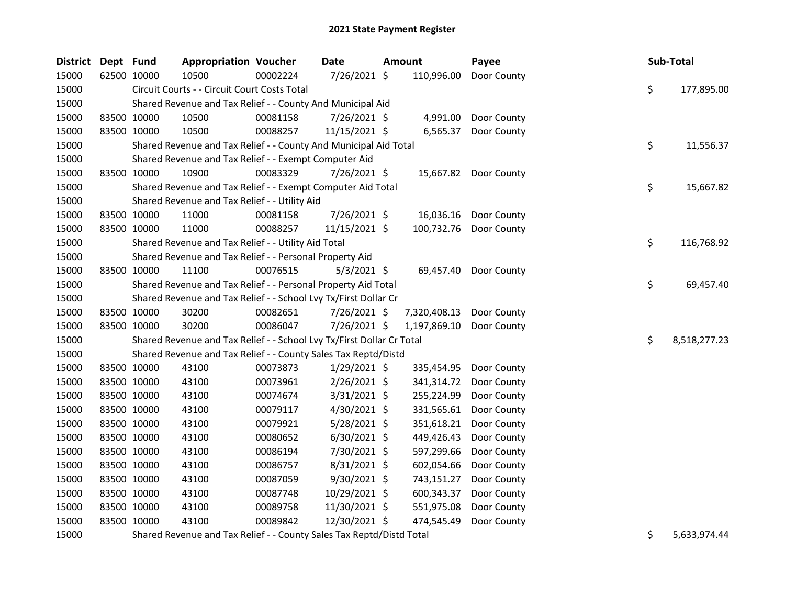| <b>District</b> | Dept Fund |             | <b>Appropriation Voucher</b>                                          |          | Date           | <b>Amount</b>            | Payee                  |    | Sub-Total    |
|-----------------|-----------|-------------|-----------------------------------------------------------------------|----------|----------------|--------------------------|------------------------|----|--------------|
| 15000           |           | 62500 10000 | 10500                                                                 | 00002224 | 7/26/2021 \$   | 110,996.00               | Door County            |    |              |
| 15000           |           |             | Circuit Courts - - Circuit Court Costs Total                          |          |                |                          |                        | \$ | 177,895.00   |
| 15000           |           |             | Shared Revenue and Tax Relief - - County And Municipal Aid            |          |                |                          |                        |    |              |
| 15000           |           | 83500 10000 | 10500                                                                 | 00081158 | 7/26/2021 \$   | 4,991.00                 | Door County            |    |              |
| 15000           |           | 83500 10000 | 10500                                                                 | 00088257 | 11/15/2021 \$  | 6,565.37                 | Door County            |    |              |
| 15000           |           |             | Shared Revenue and Tax Relief - - County And Municipal Aid Total      |          |                |                          |                        | \$ | 11,556.37    |
| 15000           |           |             | Shared Revenue and Tax Relief - - Exempt Computer Aid                 |          |                |                          |                        |    |              |
| 15000           |           | 83500 10000 | 10900                                                                 | 00083329 | 7/26/2021 \$   |                          | 15,667.82 Door County  |    |              |
| 15000           |           |             | Shared Revenue and Tax Relief - - Exempt Computer Aid Total           |          |                |                          |                        | \$ | 15,667.82    |
| 15000           |           |             | Shared Revenue and Tax Relief - - Utility Aid                         |          |                |                          |                        |    |              |
| 15000           |           | 83500 10000 | 11000                                                                 | 00081158 | 7/26/2021 \$   |                          | 16,036.16 Door County  |    |              |
| 15000           |           | 83500 10000 | 11000                                                                 | 00088257 | 11/15/2021 \$  |                          | 100,732.76 Door County |    |              |
| 15000           |           |             | Shared Revenue and Tax Relief - - Utility Aid Total                   |          |                |                          |                        | \$ | 116,768.92   |
| 15000           |           |             | Shared Revenue and Tax Relief - - Personal Property Aid               |          |                |                          |                        |    |              |
| 15000           |           | 83500 10000 | 11100                                                                 | 00076515 | $5/3/2021$ \$  |                          | 69,457.40 Door County  |    |              |
| 15000           |           |             | Shared Revenue and Tax Relief - - Personal Property Aid Total         |          |                |                          |                        | \$ | 69,457.40    |
| 15000           |           |             | Shared Revenue and Tax Relief - - School Lvy Tx/First Dollar Cr       |          |                |                          |                        |    |              |
| 15000           |           | 83500 10000 | 30200                                                                 | 00082651 | 7/26/2021 \$   | 7,320,408.13 Door County |                        |    |              |
| 15000           |           | 83500 10000 | 30200                                                                 | 00086047 | 7/26/2021 \$   | 1,197,869.10             | Door County            |    |              |
| 15000           |           |             | Shared Revenue and Tax Relief - - School Lvy Tx/First Dollar Cr Total |          |                |                          |                        | \$ | 8,518,277.23 |
| 15000           |           |             | Shared Revenue and Tax Relief - - County Sales Tax Reptd/Distd        |          |                |                          |                        |    |              |
| 15000           |           | 83500 10000 | 43100                                                                 | 00073873 | $1/29/2021$ \$ | 335,454.95               | Door County            |    |              |
| 15000           |           | 83500 10000 | 43100                                                                 | 00073961 | 2/26/2021 \$   | 341,314.72               | Door County            |    |              |
| 15000           |           | 83500 10000 | 43100                                                                 | 00074674 | $3/31/2021$ \$ | 255,224.99               | Door County            |    |              |
| 15000           |           | 83500 10000 | 43100                                                                 | 00079117 | $4/30/2021$ \$ | 331,565.61               | Door County            |    |              |
| 15000           |           | 83500 10000 | 43100                                                                 | 00079921 | 5/28/2021 \$   | 351,618.21               | Door County            |    |              |
| 15000           |           | 83500 10000 | 43100                                                                 | 00080652 | $6/30/2021$ \$ | 449,426.43               | Door County            |    |              |
| 15000           |           | 83500 10000 | 43100                                                                 | 00086194 | 7/30/2021 \$   | 597,299.66               | Door County            |    |              |
| 15000           |           | 83500 10000 | 43100                                                                 | 00086757 | 8/31/2021 \$   | 602,054.66               | Door County            |    |              |
| 15000           |           | 83500 10000 | 43100                                                                 | 00087059 | 9/30/2021 \$   | 743,151.27               | Door County            |    |              |
| 15000           |           | 83500 10000 | 43100                                                                 | 00087748 | 10/29/2021 \$  | 600,343.37               | Door County            |    |              |
| 15000           |           | 83500 10000 | 43100                                                                 | 00089758 | 11/30/2021 \$  | 551,975.08               | Door County            |    |              |
| 15000           |           | 83500 10000 | 43100                                                                 | 00089842 | 12/30/2021 \$  | 474,545.49               | Door County            |    |              |
| 15000           |           |             | Shared Revenue and Tax Relief - - County Sales Tax Reptd/Distd Total  |          |                |                          |                        | \$ | 5,633,974.44 |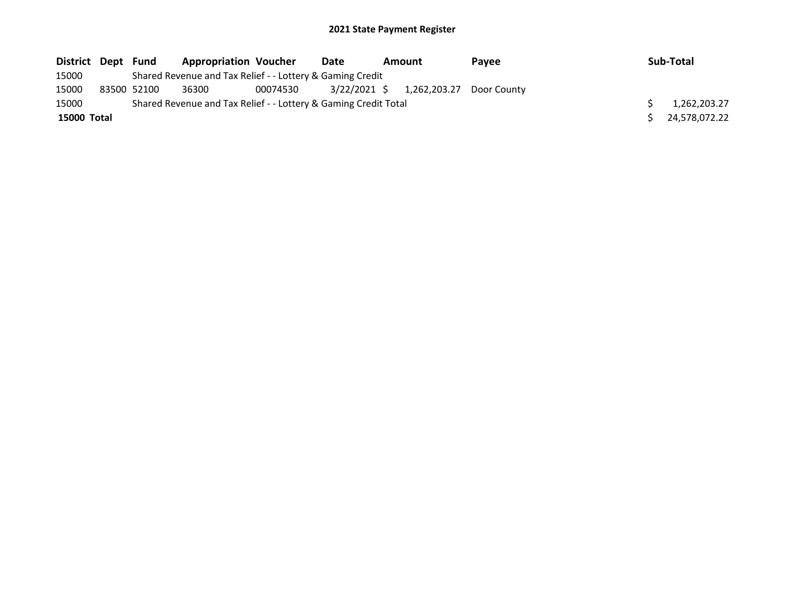| District Dept |             | Fund | <b>Appropriation Voucher</b>                                    |          | Date | Amount                    | Payee       | Sub-Total     |
|---------------|-------------|------|-----------------------------------------------------------------|----------|------|---------------------------|-------------|---------------|
| 15000         |             |      | Shared Revenue and Tax Relief - - Lottery & Gaming Credit       |          |      |                           |             |               |
| 15000         | 83500 52100 |      | 36300                                                           | 00074530 |      | 3/22/2021 \$ 1,262,203.27 | Door County |               |
| 15000         |             |      | Shared Revenue and Tax Relief - - Lottery & Gaming Credit Total |          |      |                           |             | 1,262,203.27  |
| 15000 Total   |             |      |                                                                 |          |      |                           |             | 24,578,072.22 |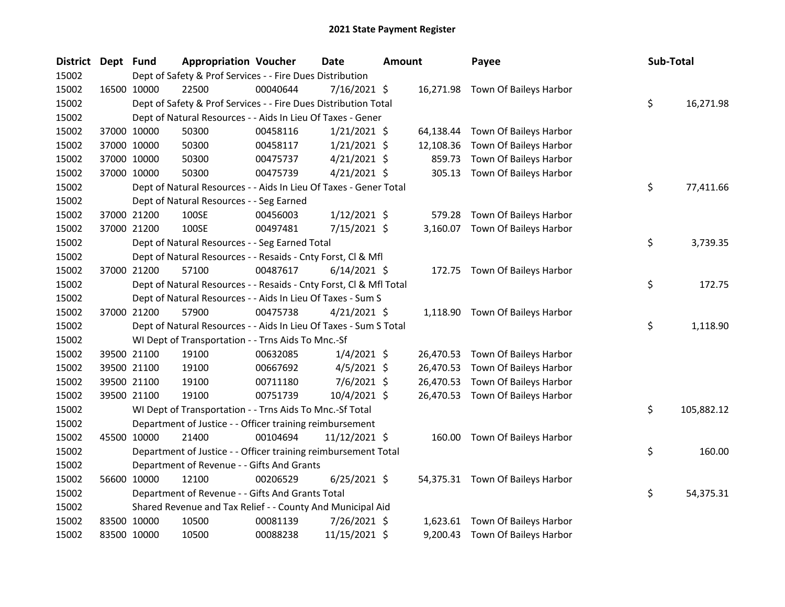| <b>District</b> | Dept Fund |             | <b>Appropriation Voucher</b>                                       |          | <b>Date</b>    | <b>Amount</b> |           | Payee                            | Sub-Total        |
|-----------------|-----------|-------------|--------------------------------------------------------------------|----------|----------------|---------------|-----------|----------------------------------|------------------|
| 15002           |           |             | Dept of Safety & Prof Services - - Fire Dues Distribution          |          |                |               |           |                                  |                  |
| 15002           |           | 16500 10000 | 22500                                                              | 00040644 | 7/16/2021 \$   |               |           | 16,271.98 Town Of Baileys Harbor |                  |
| 15002           |           |             | Dept of Safety & Prof Services - - Fire Dues Distribution Total    |          |                |               |           |                                  | \$<br>16,271.98  |
| 15002           |           |             | Dept of Natural Resources - - Aids In Lieu Of Taxes - Gener        |          |                |               |           |                                  |                  |
| 15002           |           | 37000 10000 | 50300                                                              | 00458116 | $1/21/2021$ \$ |               | 64,138.44 | Town Of Baileys Harbor           |                  |
| 15002           |           | 37000 10000 | 50300                                                              | 00458117 | $1/21/2021$ \$ |               | 12,108.36 | Town Of Baileys Harbor           |                  |
| 15002           |           | 37000 10000 | 50300                                                              | 00475737 | $4/21/2021$ \$ |               | 859.73    | Town Of Baileys Harbor           |                  |
| 15002           |           | 37000 10000 | 50300                                                              | 00475739 | $4/21/2021$ \$ |               | 305.13    | Town Of Baileys Harbor           |                  |
| 15002           |           |             | Dept of Natural Resources - - Aids In Lieu Of Taxes - Gener Total  |          |                |               |           |                                  | \$<br>77,411.66  |
| 15002           |           |             | Dept of Natural Resources - - Seg Earned                           |          |                |               |           |                                  |                  |
| 15002           |           | 37000 21200 | 100SE                                                              | 00456003 | $1/12/2021$ \$ |               | 579.28    | Town Of Baileys Harbor           |                  |
| 15002           |           | 37000 21200 | 100SE                                                              | 00497481 | 7/15/2021 \$   |               |           | 3,160.07 Town Of Baileys Harbor  |                  |
| 15002           |           |             | Dept of Natural Resources - - Seg Earned Total                     |          |                |               |           |                                  | \$<br>3,739.35   |
| 15002           |           |             | Dept of Natural Resources - - Resaids - Cnty Forst, Cl & Mfl       |          |                |               |           |                                  |                  |
| 15002           |           | 37000 21200 | 57100                                                              | 00487617 | $6/14/2021$ \$ |               |           | 172.75 Town Of Baileys Harbor    |                  |
| 15002           |           |             | Dept of Natural Resources - - Resaids - Cnty Forst, CI & Mfl Total |          |                |               |           |                                  | \$<br>172.75     |
| 15002           |           |             | Dept of Natural Resources - - Aids In Lieu Of Taxes - Sum S        |          |                |               |           |                                  |                  |
| 15002           |           | 37000 21200 | 57900                                                              | 00475738 | $4/21/2021$ \$ |               |           | 1,118.90 Town Of Baileys Harbor  |                  |
| 15002           |           |             | Dept of Natural Resources - - Aids In Lieu Of Taxes - Sum S Total  |          |                |               |           |                                  | \$<br>1,118.90   |
| 15002           |           |             | WI Dept of Transportation - - Trns Aids To Mnc.-Sf                 |          |                |               |           |                                  |                  |
| 15002           |           | 39500 21100 | 19100                                                              | 00632085 | $1/4/2021$ \$  |               |           | 26,470.53 Town Of Baileys Harbor |                  |
| 15002           |           | 39500 21100 | 19100                                                              | 00667692 | $4/5/2021$ \$  |               | 26,470.53 | Town Of Baileys Harbor           |                  |
| 15002           |           | 39500 21100 | 19100                                                              | 00711180 | $7/6/2021$ \$  |               | 26,470.53 | Town Of Baileys Harbor           |                  |
| 15002           |           | 39500 21100 | 19100                                                              | 00751739 | 10/4/2021 \$   |               |           | 26,470.53 Town Of Baileys Harbor |                  |
| 15002           |           |             | WI Dept of Transportation - - Trns Aids To Mnc.-Sf Total           |          |                |               |           |                                  | \$<br>105,882.12 |
| 15002           |           |             | Department of Justice - - Officer training reimbursement           |          |                |               |           |                                  |                  |
| 15002           |           | 45500 10000 | 21400                                                              | 00104694 | 11/12/2021 \$  |               |           | 160.00 Town Of Baileys Harbor    |                  |
| 15002           |           |             | Department of Justice - - Officer training reimbursement Total     |          |                |               |           |                                  | \$<br>160.00     |
| 15002           |           |             | Department of Revenue - - Gifts And Grants                         |          |                |               |           |                                  |                  |
| 15002           |           | 56600 10000 | 12100                                                              | 00206529 | $6/25/2021$ \$ |               |           | 54,375.31 Town Of Baileys Harbor |                  |
| 15002           |           |             | Department of Revenue - - Gifts And Grants Total                   |          |                |               |           |                                  | \$<br>54,375.31  |
| 15002           |           |             | Shared Revenue and Tax Relief - - County And Municipal Aid         |          |                |               |           |                                  |                  |
| 15002           |           | 83500 10000 | 10500                                                              | 00081139 | 7/26/2021 \$   |               | 1,623.61  | Town Of Baileys Harbor           |                  |
| 15002           |           | 83500 10000 | 10500                                                              | 00088238 | 11/15/2021 \$  |               | 9,200.43  | Town Of Baileys Harbor           |                  |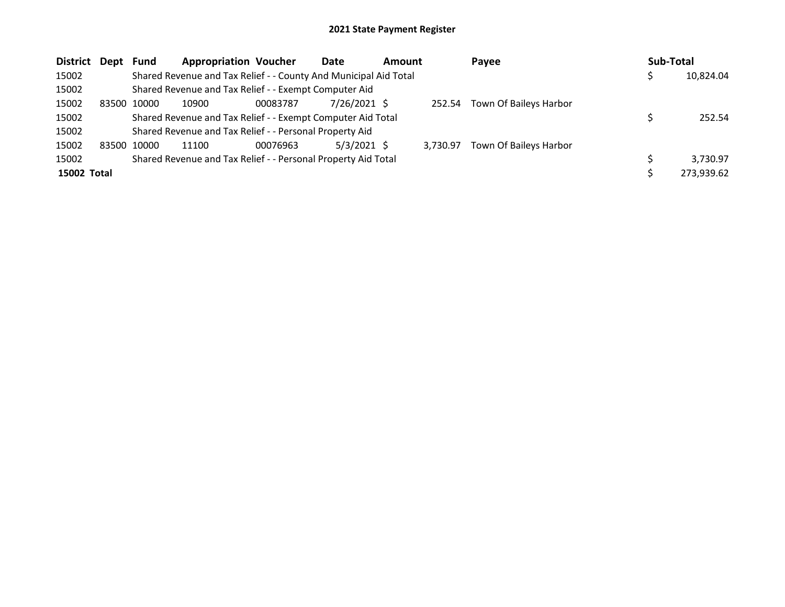| District Dept |       | <b>Fund</b> | <b>Appropriation Voucher</b>                                     |          | Date          | <b>Amount</b> |          | Payee                  | Sub-Total  |
|---------------|-------|-------------|------------------------------------------------------------------|----------|---------------|---------------|----------|------------------------|------------|
| 15002         |       |             | Shared Revenue and Tax Relief - - County And Municipal Aid Total |          |               |               |          |                        | 10,824.04  |
| 15002         |       |             | Shared Revenue and Tax Relief - - Exempt Computer Aid            |          |               |               |          |                        |            |
| 15002         | 83500 | 10000       | 10900                                                            | 00083787 | 7/26/2021 \$  |               | 252.54   | Town Of Baileys Harbor |            |
| 15002         |       |             | Shared Revenue and Tax Relief - - Exempt Computer Aid Total      |          |               |               |          |                        | 252.54     |
| 15002         |       |             | Shared Revenue and Tax Relief - - Personal Property Aid          |          |               |               |          |                        |            |
| 15002         | 83500 | 10000       | 11100                                                            | 00076963 | $5/3/2021$ \$ |               | 3.730.97 | Town Of Baileys Harbor |            |
| 15002         |       |             | Shared Revenue and Tax Relief - - Personal Property Aid Total    |          |               |               |          |                        | 3,730.97   |
| 15002 Total   |       |             |                                                                  |          |               |               |          |                        | 273,939.62 |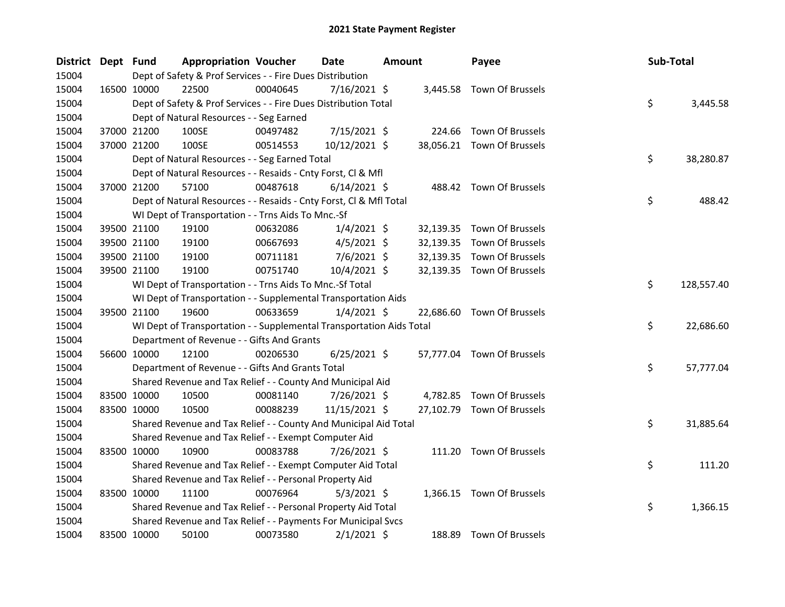| District Dept Fund |             | <b>Appropriation Voucher</b>                                         |          | Date           | <b>Amount</b> | Payee                      | Sub-Total |            |
|--------------------|-------------|----------------------------------------------------------------------|----------|----------------|---------------|----------------------------|-----------|------------|
| 15004              |             | Dept of Safety & Prof Services - - Fire Dues Distribution            |          |                |               |                            |           |            |
| 15004              | 16500 10000 | 22500                                                                | 00040645 | $7/16/2021$ \$ |               | 3,445.58 Town Of Brussels  |           |            |
| 15004              |             | Dept of Safety & Prof Services - - Fire Dues Distribution Total      |          |                |               |                            | \$        | 3,445.58   |
| 15004              |             | Dept of Natural Resources - - Seg Earned                             |          |                |               |                            |           |            |
| 15004              | 37000 21200 | 100SE                                                                | 00497482 | 7/15/2021 \$   |               | 224.66 Town Of Brussels    |           |            |
| 15004              | 37000 21200 | 100SE                                                                | 00514553 | 10/12/2021 \$  |               | 38,056.21 Town Of Brussels |           |            |
| 15004              |             | Dept of Natural Resources - - Seg Earned Total                       |          |                |               |                            | \$        | 38,280.87  |
| 15004              |             | Dept of Natural Resources - - Resaids - Cnty Forst, Cl & Mfl         |          |                |               |                            |           |            |
| 15004              | 37000 21200 | 57100                                                                | 00487618 | $6/14/2021$ \$ |               | 488.42 Town Of Brussels    |           |            |
| 15004              |             | Dept of Natural Resources - - Resaids - Cnty Forst, CI & Mfl Total   |          |                |               |                            | \$        | 488.42     |
| 15004              |             | WI Dept of Transportation - - Trns Aids To Mnc.-Sf                   |          |                |               |                            |           |            |
| 15004              | 39500 21100 | 19100                                                                | 00632086 | $1/4/2021$ \$  |               | 32,139.35 Town Of Brussels |           |            |
| 15004              | 39500 21100 | 19100                                                                | 00667693 | $4/5/2021$ \$  |               | 32,139.35 Town Of Brussels |           |            |
| 15004              | 39500 21100 | 19100                                                                | 00711181 | 7/6/2021 \$    |               | 32,139.35 Town Of Brussels |           |            |
| 15004              | 39500 21100 | 19100                                                                | 00751740 | 10/4/2021 \$   |               | 32,139.35 Town Of Brussels |           |            |
| 15004              |             | WI Dept of Transportation - - Trns Aids To Mnc.-Sf Total             |          |                |               |                            | \$        | 128,557.40 |
| 15004              |             | WI Dept of Transportation - - Supplemental Transportation Aids       |          |                |               |                            |           |            |
| 15004              | 39500 21100 | 19600                                                                | 00633659 | $1/4/2021$ \$  |               | 22,686.60 Town Of Brussels |           |            |
| 15004              |             | WI Dept of Transportation - - Supplemental Transportation Aids Total |          |                |               |                            | \$        | 22,686.60  |
| 15004              |             | Department of Revenue - - Gifts And Grants                           |          |                |               |                            |           |            |
| 15004              | 56600 10000 | 12100                                                                | 00206530 | $6/25/2021$ \$ |               | 57,777.04 Town Of Brussels |           |            |
| 15004              |             | Department of Revenue - - Gifts And Grants Total                     |          |                |               |                            | \$        | 57,777.04  |
| 15004              |             | Shared Revenue and Tax Relief - - County And Municipal Aid           |          |                |               |                            |           |            |
| 15004              | 83500 10000 | 10500                                                                | 00081140 | 7/26/2021 \$   |               | 4,782.85 Town Of Brussels  |           |            |
| 15004              | 83500 10000 | 10500                                                                | 00088239 | 11/15/2021 \$  |               | 27,102.79 Town Of Brussels |           |            |
| 15004              |             | Shared Revenue and Tax Relief - - County And Municipal Aid Total     |          |                |               |                            | \$        | 31,885.64  |
| 15004              |             | Shared Revenue and Tax Relief - - Exempt Computer Aid                |          |                |               |                            |           |            |
| 15004              | 83500 10000 | 10900                                                                | 00083788 | 7/26/2021 \$   |               | 111.20 Town Of Brussels    |           |            |
| 15004              |             | Shared Revenue and Tax Relief - - Exempt Computer Aid Total          |          |                |               |                            | \$        | 111.20     |
| 15004              |             | Shared Revenue and Tax Relief - - Personal Property Aid              |          |                |               |                            |           |            |
| 15004              | 83500 10000 | 11100                                                                | 00076964 | $5/3/2021$ \$  |               | 1,366.15 Town Of Brussels  |           |            |
| 15004              |             | Shared Revenue and Tax Relief - - Personal Property Aid Total        |          |                |               |                            | \$        | 1,366.15   |
| 15004              |             | Shared Revenue and Tax Relief - - Payments For Municipal Svcs        |          |                |               |                            |           |            |
| 15004              | 83500 10000 | 50100                                                                | 00073580 | $2/1/2021$ \$  |               | 188.89 Town Of Brussels    |           |            |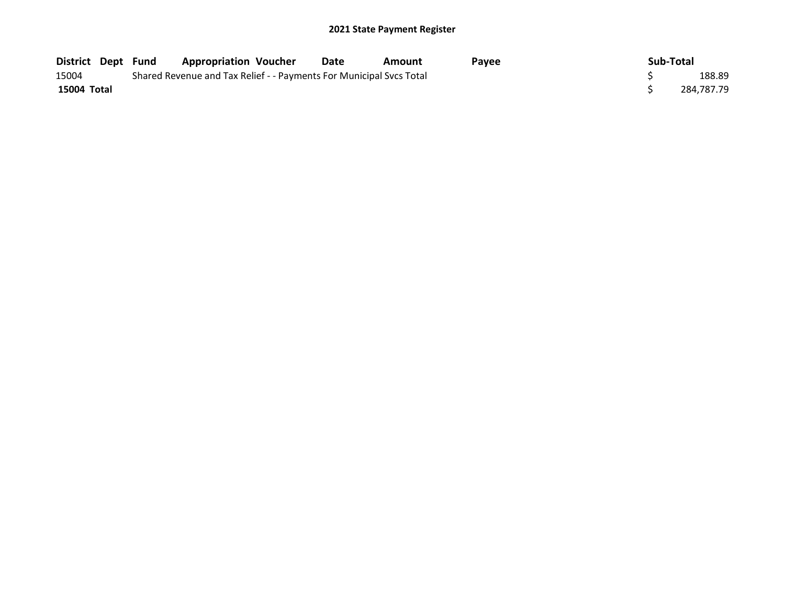| <b>District Dept Fund</b> | <b>Appropriation Voucher</b>                                        | Date | Amount | Pavee | Sub-Total |            |
|---------------------------|---------------------------------------------------------------------|------|--------|-------|-----------|------------|
| 15004                     | Shared Revenue and Tax Relief - - Payments For Municipal Svcs Total |      |        |       |           | 188.89     |
| 15004 Total               |                                                                     |      |        |       |           | 284.787.79 |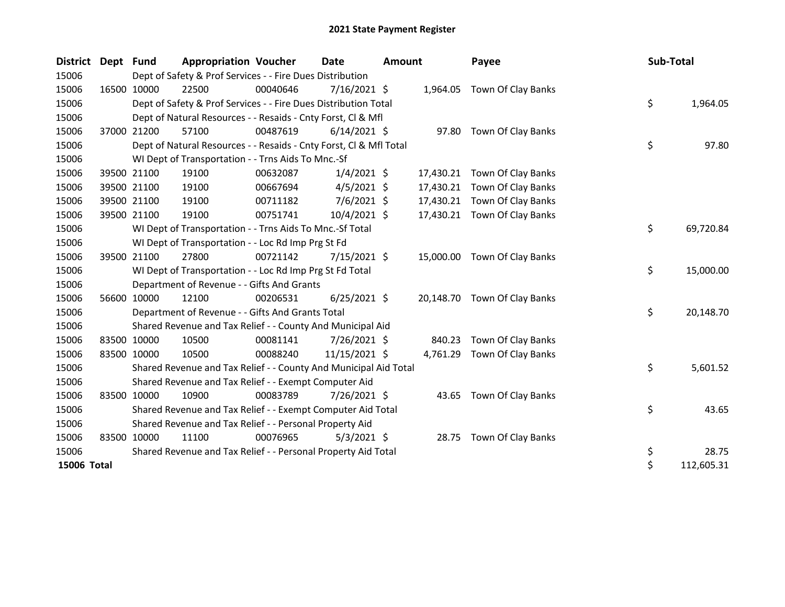| <b>District</b> | Dept | Fund        | <b>Appropriation Voucher</b>                                       |          | Date           | <b>Amount</b> |           | Payee                        | Sub-Total |            |
|-----------------|------|-------------|--------------------------------------------------------------------|----------|----------------|---------------|-----------|------------------------------|-----------|------------|
| 15006           |      |             | Dept of Safety & Prof Services - - Fire Dues Distribution          |          |                |               |           |                              |           |            |
| 15006           |      | 16500 10000 | 22500                                                              | 00040646 | $7/16/2021$ \$ |               | 1,964.05  | Town Of Clay Banks           |           |            |
| 15006           |      |             | Dept of Safety & Prof Services - - Fire Dues Distribution Total    |          |                |               |           |                              | \$        | 1,964.05   |
| 15006           |      |             | Dept of Natural Resources - - Resaids - Cnty Forst, Cl & Mfl       |          |                |               |           |                              |           |            |
| 15006           |      | 37000 21200 | 57100                                                              | 00487619 | $6/14/2021$ \$ |               |           | 97.80 Town Of Clay Banks     |           |            |
| 15006           |      |             | Dept of Natural Resources - - Resaids - Cnty Forst, Cl & Mfl Total |          |                |               |           |                              | \$        | 97.80      |
| 15006           |      |             | WI Dept of Transportation - - Trns Aids To Mnc.-Sf                 |          |                |               |           |                              |           |            |
| 15006           |      | 39500 21100 | 19100                                                              | 00632087 | $1/4/2021$ \$  |               | 17,430.21 | Town Of Clay Banks           |           |            |
| 15006           |      | 39500 21100 | 19100                                                              | 00667694 | $4/5/2021$ \$  |               | 17,430.21 | Town Of Clay Banks           |           |            |
| 15006           |      | 39500 21100 | 19100                                                              | 00711182 | $7/6/2021$ \$  |               | 17,430.21 | Town Of Clay Banks           |           |            |
| 15006           |      | 39500 21100 | 19100                                                              | 00751741 | 10/4/2021 \$   |               |           | 17,430.21 Town Of Clay Banks |           |            |
| 15006           |      |             | WI Dept of Transportation - - Trns Aids To Mnc.-Sf Total           |          |                |               |           |                              | \$        | 69,720.84  |
| 15006           |      |             | WI Dept of Transportation - - Loc Rd Imp Prg St Fd                 |          |                |               |           |                              |           |            |
| 15006           |      | 39500 21100 | 27800                                                              | 00721142 | 7/15/2021 \$   |               | 15,000.00 | Town Of Clay Banks           |           |            |
| 15006           |      |             | WI Dept of Transportation - - Loc Rd Imp Prg St Fd Total           |          |                |               |           |                              | \$        | 15,000.00  |
| 15006           |      |             | Department of Revenue - - Gifts And Grants                         |          |                |               |           |                              |           |            |
| 15006           |      | 56600 10000 | 12100                                                              | 00206531 | $6/25/2021$ \$ |               | 20,148.70 | Town Of Clay Banks           |           |            |
| 15006           |      |             | Department of Revenue - - Gifts And Grants Total                   |          |                |               |           |                              | \$        | 20,148.70  |
| 15006           |      |             | Shared Revenue and Tax Relief - - County And Municipal Aid         |          |                |               |           |                              |           |            |
| 15006           |      | 83500 10000 | 10500                                                              | 00081141 | 7/26/2021 \$   |               | 840.23    | Town Of Clay Banks           |           |            |
| 15006           |      | 83500 10000 | 10500                                                              | 00088240 | 11/15/2021 \$  |               | 4,761.29  | Town Of Clay Banks           |           |            |
| 15006           |      |             | Shared Revenue and Tax Relief - - County And Municipal Aid Total   |          |                |               |           |                              | \$        | 5,601.52   |
| 15006           |      |             | Shared Revenue and Tax Relief - - Exempt Computer Aid              |          |                |               |           |                              |           |            |
| 15006           |      | 83500 10000 | 10900                                                              | 00083789 | 7/26/2021 \$   |               |           | 43.65 Town Of Clay Banks     |           |            |
| 15006           |      |             | Shared Revenue and Tax Relief - - Exempt Computer Aid Total        |          |                |               |           |                              | \$        | 43.65      |
| 15006           |      |             | Shared Revenue and Tax Relief - - Personal Property Aid            |          |                |               |           |                              |           |            |
| 15006           |      | 83500 10000 | 11100                                                              | 00076965 | $5/3/2021$ \$  |               |           | 28.75 Town Of Clay Banks     |           |            |
| 15006           |      |             | Shared Revenue and Tax Relief - - Personal Property Aid Total      |          |                |               |           |                              | \$        | 28.75      |
| 15006 Total     |      |             |                                                                    |          |                |               |           |                              | \$        | 112,605.31 |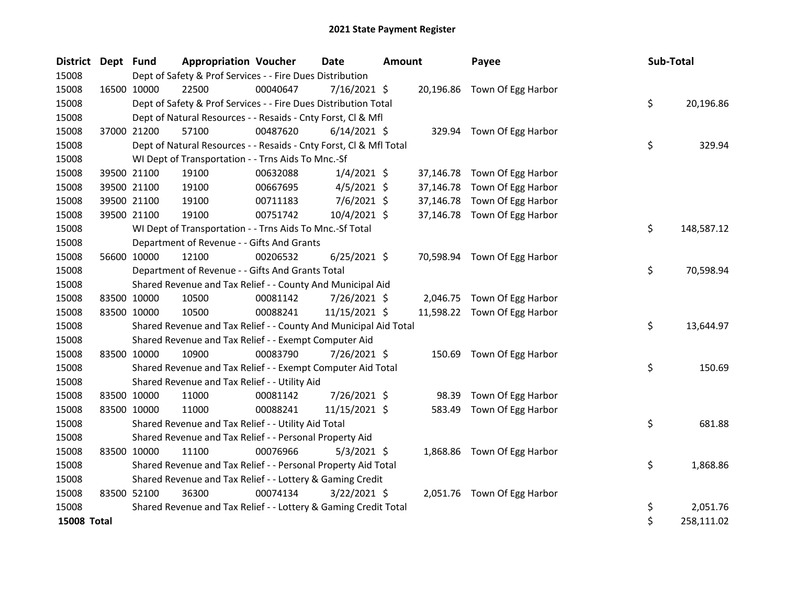| <b>District</b>    | Dept Fund   |             | <b>Appropriation Voucher</b>                                       |          | Date           | <b>Amount</b> |           | Payee                        | Sub-Total |            |
|--------------------|-------------|-------------|--------------------------------------------------------------------|----------|----------------|---------------|-----------|------------------------------|-----------|------------|
| 15008              |             |             | Dept of Safety & Prof Services - - Fire Dues Distribution          |          |                |               |           |                              |           |            |
| 15008              |             | 16500 10000 | 22500                                                              | 00040647 | $7/16/2021$ \$ |               |           | 20,196.86 Town Of Egg Harbor |           |            |
| 15008              |             |             | Dept of Safety & Prof Services - - Fire Dues Distribution Total    |          |                |               |           |                              | \$        | 20,196.86  |
| 15008              |             |             | Dept of Natural Resources - - Resaids - Cnty Forst, Cl & Mfl       |          |                |               |           |                              |           |            |
| 15008              |             | 37000 21200 | 57100                                                              | 00487620 | $6/14/2021$ \$ |               |           | 329.94 Town Of Egg Harbor    |           |            |
| 15008              |             |             | Dept of Natural Resources - - Resaids - Cnty Forst, Cl & Mfl Total |          |                |               |           |                              | \$        | 329.94     |
| 15008              |             |             | WI Dept of Transportation - - Trns Aids To Mnc.-Sf                 |          |                |               |           |                              |           |            |
| 15008              |             | 39500 21100 | 19100                                                              | 00632088 | $1/4/2021$ \$  |               |           | 37,146.78 Town Of Egg Harbor |           |            |
| 15008              |             | 39500 21100 | 19100                                                              | 00667695 | $4/5/2021$ \$  |               | 37,146.78 | Town Of Egg Harbor           |           |            |
| 15008              |             | 39500 21100 | 19100                                                              | 00711183 | $7/6/2021$ \$  |               | 37,146.78 | Town Of Egg Harbor           |           |            |
| 15008              |             | 39500 21100 | 19100                                                              | 00751742 | 10/4/2021 \$   |               |           | 37,146.78 Town Of Egg Harbor |           |            |
| 15008              |             |             | WI Dept of Transportation - - Trns Aids To Mnc.-Sf Total           |          |                |               |           |                              | \$        | 148,587.12 |
| 15008              |             |             | Department of Revenue - - Gifts And Grants                         |          |                |               |           |                              |           |            |
| 15008              |             | 56600 10000 | 12100                                                              | 00206532 | $6/25/2021$ \$ |               |           | 70,598.94 Town Of Egg Harbor |           |            |
| 15008              |             |             | Department of Revenue - - Gifts And Grants Total                   |          |                |               |           |                              | \$        | 70,598.94  |
| 15008              |             |             | Shared Revenue and Tax Relief - - County And Municipal Aid         |          |                |               |           |                              |           |            |
| 15008              |             | 83500 10000 | 10500                                                              | 00081142 | 7/26/2021 \$   |               |           | 2,046.75 Town Of Egg Harbor  |           |            |
| 15008              | 83500 10000 |             | 10500                                                              | 00088241 | 11/15/2021 \$  |               |           | 11,598.22 Town Of Egg Harbor |           |            |
| 15008              |             |             | Shared Revenue and Tax Relief - - County And Municipal Aid Total   |          |                |               |           |                              | \$        | 13,644.97  |
| 15008              |             |             | Shared Revenue and Tax Relief - - Exempt Computer Aid              |          |                |               |           |                              |           |            |
| 15008              | 83500 10000 |             | 10900                                                              | 00083790 | $7/26/2021$ \$ |               |           | 150.69 Town Of Egg Harbor    |           |            |
| 15008              |             |             | Shared Revenue and Tax Relief - - Exempt Computer Aid Total        |          |                |               |           |                              | \$        | 150.69     |
| 15008              |             |             | Shared Revenue and Tax Relief - - Utility Aid                      |          |                |               |           |                              |           |            |
| 15008              |             | 83500 10000 | 11000                                                              | 00081142 | 7/26/2021 \$   |               | 98.39     | Town Of Egg Harbor           |           |            |
| 15008              |             | 83500 10000 | 11000                                                              | 00088241 | 11/15/2021 \$  |               | 583.49    | Town Of Egg Harbor           |           |            |
| 15008              |             |             | Shared Revenue and Tax Relief - - Utility Aid Total                |          |                |               |           |                              | \$        | 681.88     |
| 15008              |             |             | Shared Revenue and Tax Relief - - Personal Property Aid            |          |                |               |           |                              |           |            |
| 15008              | 83500 10000 |             | 11100                                                              | 00076966 | $5/3/2021$ \$  |               |           | 1,868.86 Town Of Egg Harbor  |           |            |
| 15008              |             |             | Shared Revenue and Tax Relief - - Personal Property Aid Total      |          |                |               |           |                              | \$        | 1,868.86   |
| 15008              |             |             | Shared Revenue and Tax Relief - - Lottery & Gaming Credit          |          |                |               |           |                              |           |            |
| 15008              | 83500 52100 |             | 36300                                                              | 00074134 | $3/22/2021$ \$ |               |           | 2,051.76 Town Of Egg Harbor  |           |            |
| 15008              |             |             | Shared Revenue and Tax Relief - - Lottery & Gaming Credit Total    |          |                |               |           |                              | \$        | 2,051.76   |
| <b>15008 Total</b> |             |             |                                                                    |          |                |               |           |                              | \$        | 258,111.02 |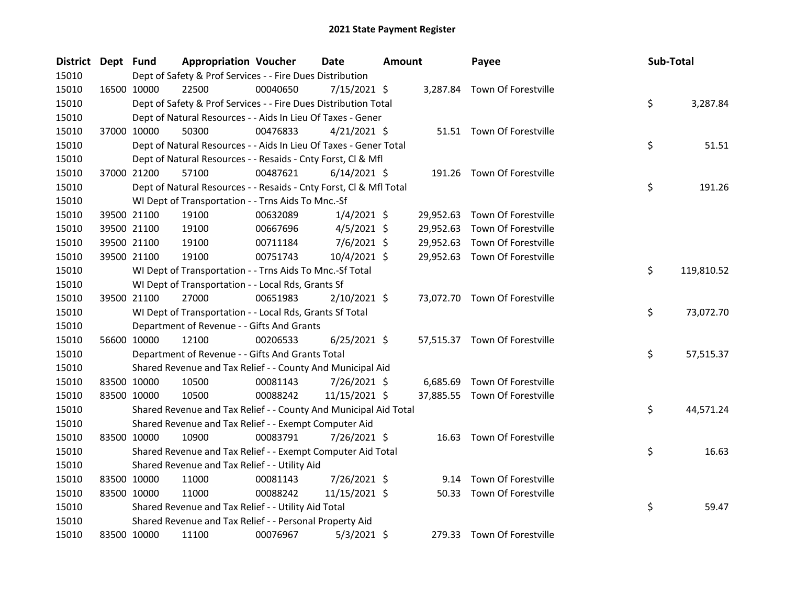| District Dept Fund |             | <b>Appropriation Voucher</b>                                       |          | <b>Date</b>    | <b>Amount</b> |           | Payee                         | Sub-Total |            |
|--------------------|-------------|--------------------------------------------------------------------|----------|----------------|---------------|-----------|-------------------------------|-----------|------------|
| 15010              |             | Dept of Safety & Prof Services - - Fire Dues Distribution          |          |                |               |           |                               |           |            |
| 15010              | 16500 10000 | 22500                                                              | 00040650 | $7/15/2021$ \$ |               |           | 3,287.84 Town Of Forestville  |           |            |
| 15010              |             | Dept of Safety & Prof Services - - Fire Dues Distribution Total    |          |                |               |           |                               | \$        | 3,287.84   |
| 15010              |             | Dept of Natural Resources - - Aids In Lieu Of Taxes - Gener        |          |                |               |           |                               |           |            |
| 15010              | 37000 10000 | 50300                                                              | 00476833 | $4/21/2021$ \$ |               |           | 51.51 Town Of Forestville     |           |            |
| 15010              |             | Dept of Natural Resources - - Aids In Lieu Of Taxes - Gener Total  |          |                |               |           |                               | \$        | 51.51      |
| 15010              |             | Dept of Natural Resources - - Resaids - Cnty Forst, Cl & Mfl       |          |                |               |           |                               |           |            |
| 15010              | 37000 21200 | 57100                                                              | 00487621 | $6/14/2021$ \$ |               |           | 191.26 Town Of Forestville    |           |            |
| 15010              |             | Dept of Natural Resources - - Resaids - Cnty Forst, Cl & Mfl Total |          |                |               |           |                               | \$        | 191.26     |
| 15010              |             | WI Dept of Transportation - - Trns Aids To Mnc.-Sf                 |          |                |               |           |                               |           |            |
| 15010              | 39500 21100 | 19100                                                              | 00632089 | $1/4/2021$ \$  |               | 29,952.63 | Town Of Forestville           |           |            |
| 15010              | 39500 21100 | 19100                                                              | 00667696 | $4/5/2021$ \$  |               | 29,952.63 | Town Of Forestville           |           |            |
| 15010              | 39500 21100 | 19100                                                              | 00711184 | 7/6/2021 \$    |               | 29,952.63 | Town Of Forestville           |           |            |
| 15010              | 39500 21100 | 19100                                                              | 00751743 | 10/4/2021 \$   |               |           | 29,952.63 Town Of Forestville |           |            |
| 15010              |             | WI Dept of Transportation - - Trns Aids To Mnc.-Sf Total           |          |                |               |           |                               | \$        | 119,810.52 |
| 15010              |             | WI Dept of Transportation - - Local Rds, Grants Sf                 |          |                |               |           |                               |           |            |
| 15010              | 39500 21100 | 27000                                                              | 00651983 | $2/10/2021$ \$ |               |           | 73,072.70 Town Of Forestville |           |            |
| 15010              |             | WI Dept of Transportation - - Local Rds, Grants Sf Total           |          |                |               |           |                               | \$        | 73,072.70  |
| 15010              |             | Department of Revenue - - Gifts And Grants                         |          |                |               |           |                               |           |            |
| 15010              | 56600 10000 | 12100                                                              | 00206533 | $6/25/2021$ \$ |               |           | 57,515.37 Town Of Forestville |           |            |
| 15010              |             | Department of Revenue - - Gifts And Grants Total                   |          |                |               |           |                               | \$        | 57,515.37  |
| 15010              |             | Shared Revenue and Tax Relief - - County And Municipal Aid         |          |                |               |           |                               |           |            |
| 15010              | 83500 10000 | 10500                                                              | 00081143 | 7/26/2021 \$   |               | 6,685.69  | Town Of Forestville           |           |            |
| 15010              | 83500 10000 | 10500                                                              | 00088242 | 11/15/2021 \$  |               |           | 37,885.55 Town Of Forestville |           |            |
| 15010              |             | Shared Revenue and Tax Relief - - County And Municipal Aid Total   |          |                |               |           |                               | \$        | 44,571.24  |
| 15010              |             | Shared Revenue and Tax Relief - - Exempt Computer Aid              |          |                |               |           |                               |           |            |
| 15010              | 83500 10000 | 10900                                                              | 00083791 | 7/26/2021 \$   |               |           | 16.63 Town Of Forestville     |           |            |
| 15010              |             | Shared Revenue and Tax Relief - - Exempt Computer Aid Total        |          |                |               |           |                               | \$        | 16.63      |
| 15010              |             | Shared Revenue and Tax Relief - - Utility Aid                      |          |                |               |           |                               |           |            |
| 15010              | 83500 10000 | 11000                                                              | 00081143 | 7/26/2021 \$   |               |           | 9.14 Town Of Forestville      |           |            |
| 15010              | 83500 10000 | 11000                                                              | 00088242 | 11/15/2021 \$  |               |           | 50.33 Town Of Forestville     |           |            |
| 15010              |             | Shared Revenue and Tax Relief - - Utility Aid Total                |          |                |               |           |                               | \$        | 59.47      |
| 15010              |             | Shared Revenue and Tax Relief - - Personal Property Aid            |          |                |               |           |                               |           |            |
| 15010              | 83500 10000 | 11100                                                              | 00076967 | $5/3/2021$ \$  |               |           | 279.33 Town Of Forestville    |           |            |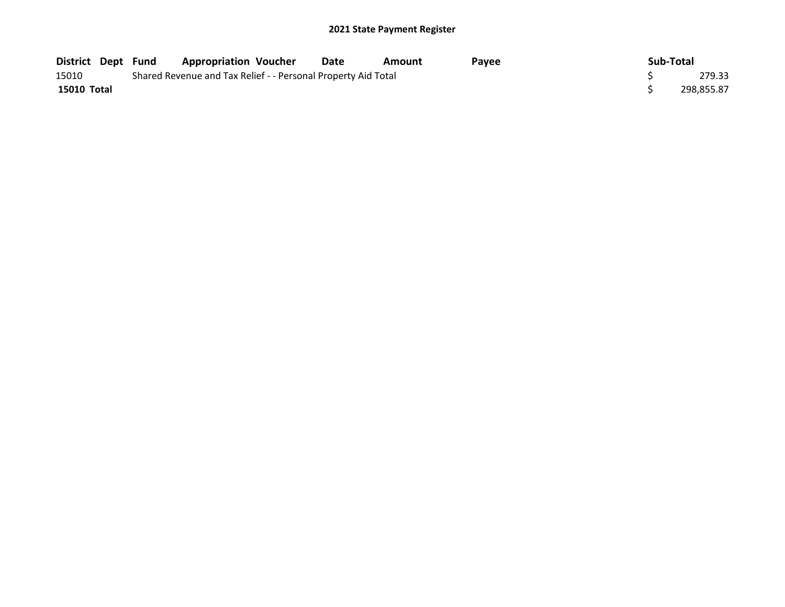| District Dept Fund |  | <b>Appropriation Voucher</b>                                  | Date | Amount | Pavee | Sub-Total  |
|--------------------|--|---------------------------------------------------------------|------|--------|-------|------------|
| 15010              |  | Shared Revenue and Tax Relief - - Personal Property Aid Total |      |        |       | 279.33     |
| 15010 Total        |  |                                                               |      |        |       | 298.855.87 |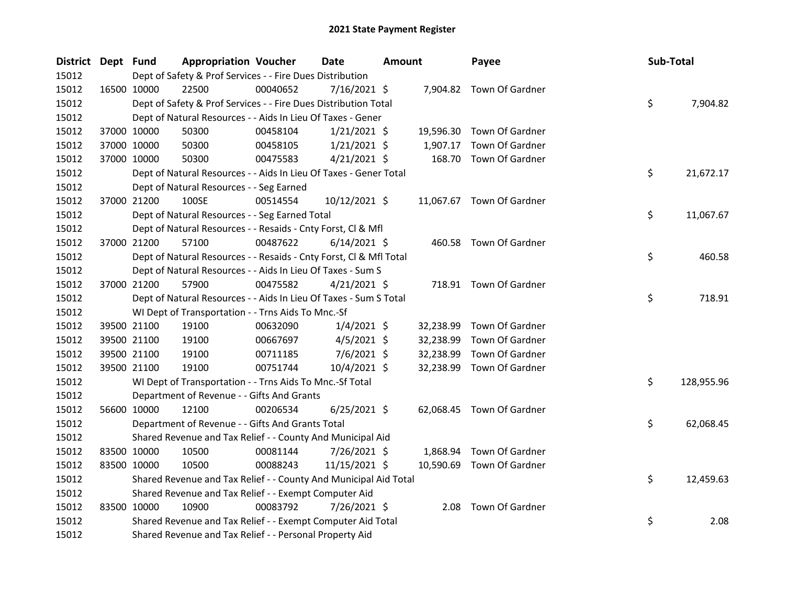| District Dept Fund |             | <b>Appropriation Voucher</b>                                       |          | Date           | <b>Amount</b> |           | Payee                     | Sub-Total |            |
|--------------------|-------------|--------------------------------------------------------------------|----------|----------------|---------------|-----------|---------------------------|-----------|------------|
| 15012              |             | Dept of Safety & Prof Services - - Fire Dues Distribution          |          |                |               |           |                           |           |            |
| 15012              | 16500 10000 | 22500                                                              | 00040652 | $7/16/2021$ \$ |               |           | 7,904.82 Town Of Gardner  |           |            |
| 15012              |             | Dept of Safety & Prof Services - - Fire Dues Distribution Total    |          |                |               |           |                           | \$        | 7,904.82   |
| 15012              |             | Dept of Natural Resources - - Aids In Lieu Of Taxes - Gener        |          |                |               |           |                           |           |            |
| 15012              | 37000 10000 | 50300                                                              | 00458104 | $1/21/2021$ \$ |               |           | 19,596.30 Town Of Gardner |           |            |
| 15012              | 37000 10000 | 50300                                                              | 00458105 | $1/21/2021$ \$ |               | 1,907.17  | Town Of Gardner           |           |            |
| 15012              | 37000 10000 | 50300                                                              | 00475583 | $4/21/2021$ \$ |               | 168.70    | Town Of Gardner           |           |            |
| 15012              |             | Dept of Natural Resources - - Aids In Lieu Of Taxes - Gener Total  |          |                |               |           |                           | \$        | 21,672.17  |
| 15012              |             | Dept of Natural Resources - - Seg Earned                           |          |                |               |           |                           |           |            |
| 15012              | 37000 21200 | 100SE                                                              | 00514554 | 10/12/2021 \$  |               |           | 11,067.67 Town Of Gardner |           |            |
| 15012              |             | Dept of Natural Resources - - Seg Earned Total                     |          |                |               |           |                           | \$        | 11,067.67  |
| 15012              |             | Dept of Natural Resources - - Resaids - Cnty Forst, Cl & Mfl       |          |                |               |           |                           |           |            |
| 15012              | 37000 21200 | 57100                                                              | 00487622 | $6/14/2021$ \$ |               |           | 460.58 Town Of Gardner    |           |            |
| 15012              |             | Dept of Natural Resources - - Resaids - Cnty Forst, CI & Mfl Total |          |                |               |           |                           | \$        | 460.58     |
| 15012              |             | Dept of Natural Resources - - Aids In Lieu Of Taxes - Sum S        |          |                |               |           |                           |           |            |
| 15012              | 37000 21200 | 57900                                                              | 00475582 | $4/21/2021$ \$ |               |           | 718.91 Town Of Gardner    |           |            |
| 15012              |             | Dept of Natural Resources - - Aids In Lieu Of Taxes - Sum S Total  |          |                |               |           |                           | \$        | 718.91     |
| 15012              |             | WI Dept of Transportation - - Trns Aids To Mnc.-Sf                 |          |                |               |           |                           |           |            |
| 15012              | 39500 21100 | 19100                                                              | 00632090 | $1/4/2021$ \$  |               | 32,238.99 | Town Of Gardner           |           |            |
| 15012              | 39500 21100 | 19100                                                              | 00667697 | $4/5/2021$ \$  |               | 32,238.99 | Town Of Gardner           |           |            |
| 15012              | 39500 21100 | 19100                                                              | 00711185 | 7/6/2021 \$    |               | 32,238.99 | Town Of Gardner           |           |            |
| 15012              | 39500 21100 | 19100                                                              | 00751744 | 10/4/2021 \$   |               | 32,238.99 | Town Of Gardner           |           |            |
| 15012              |             | WI Dept of Transportation - - Trns Aids To Mnc.-Sf Total           |          |                |               |           |                           | \$        | 128,955.96 |
| 15012              |             | Department of Revenue - - Gifts And Grants                         |          |                |               |           |                           |           |            |
| 15012              | 56600 10000 | 12100                                                              | 00206534 | $6/25/2021$ \$ |               |           | 62,068.45 Town Of Gardner |           |            |
| 15012              |             | Department of Revenue - - Gifts And Grants Total                   |          |                |               |           |                           | \$        | 62,068.45  |
| 15012              |             | Shared Revenue and Tax Relief - - County And Municipal Aid         |          |                |               |           |                           |           |            |
| 15012              | 83500 10000 | 10500                                                              | 00081144 | 7/26/2021 \$   |               | 1,868.94  | Town Of Gardner           |           |            |
| 15012              | 83500 10000 | 10500                                                              | 00088243 | 11/15/2021 \$  |               |           | 10,590.69 Town Of Gardner |           |            |
| 15012              |             | Shared Revenue and Tax Relief - - County And Municipal Aid Total   |          |                |               |           |                           | \$        | 12,459.63  |
| 15012              |             | Shared Revenue and Tax Relief - - Exempt Computer Aid              |          |                |               |           |                           |           |            |
| 15012              | 83500 10000 | 10900                                                              | 00083792 | 7/26/2021 \$   |               | 2.08      | Town Of Gardner           |           |            |
| 15012              |             | Shared Revenue and Tax Relief - - Exempt Computer Aid Total        |          |                |               |           |                           | \$        | 2.08       |
| 15012              |             | Shared Revenue and Tax Relief - - Personal Property Aid            |          |                |               |           |                           |           |            |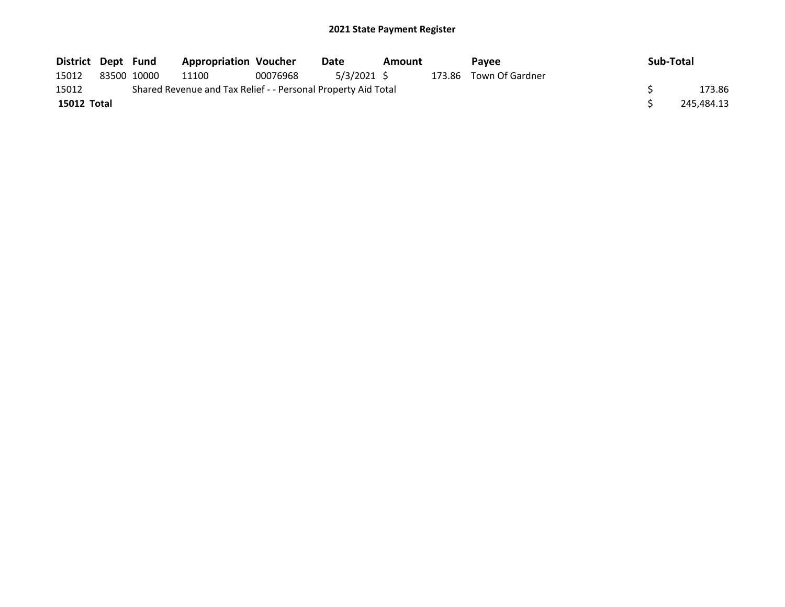| District Dept Fund |             | <b>Appropriation Voucher</b>                                  |          | Date        | Amount | Pavee                  | Sub-Total  |
|--------------------|-------------|---------------------------------------------------------------|----------|-------------|--------|------------------------|------------|
| 15012              | 83500 10000 | 11100                                                         | 00076968 | 5/3/2021 \$ |        | 173.86 Town Of Gardner |            |
| 15012              |             | Shared Revenue and Tax Relief - - Personal Property Aid Total |          |             |        |                        | 173.86     |
| 15012 Total        |             |                                                               |          |             |        |                        | 245,484.13 |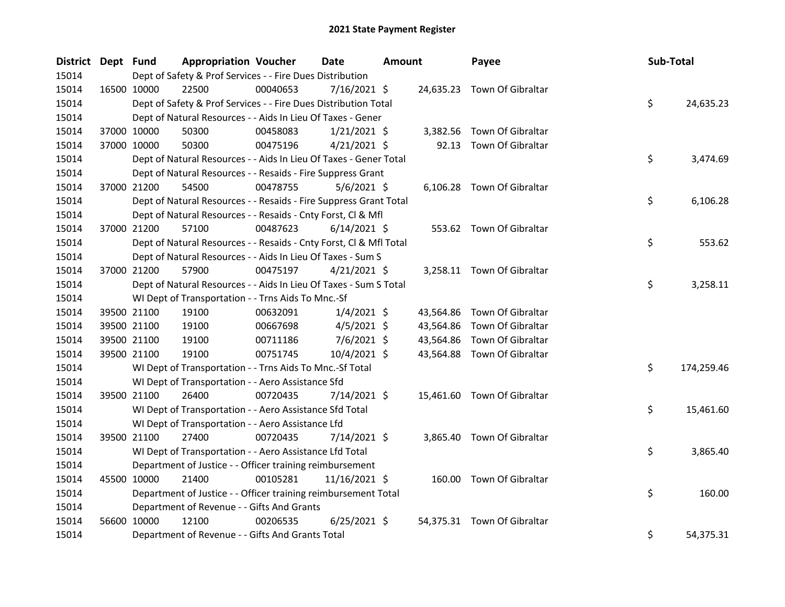| District Dept Fund |             |             | <b>Appropriation Voucher</b>                                       |          | <b>Date</b>    | <b>Amount</b> |           | Payee                       | Sub-Total |            |
|--------------------|-------------|-------------|--------------------------------------------------------------------|----------|----------------|---------------|-----------|-----------------------------|-----------|------------|
| 15014              |             |             | Dept of Safety & Prof Services - - Fire Dues Distribution          |          |                |               |           |                             |           |            |
| 15014              |             | 16500 10000 | 22500                                                              | 00040653 | $7/16/2021$ \$ |               |           | 24,635.23 Town Of Gibraltar |           |            |
| 15014              |             |             | Dept of Safety & Prof Services - - Fire Dues Distribution Total    |          |                |               |           |                             | \$        | 24,635.23  |
| 15014              |             |             | Dept of Natural Resources - - Aids In Lieu Of Taxes - Gener        |          |                |               |           |                             |           |            |
| 15014              |             | 37000 10000 | 50300                                                              | 00458083 | $1/21/2021$ \$ |               | 3,382.56  | Town Of Gibraltar           |           |            |
| 15014              |             | 37000 10000 | 50300                                                              | 00475196 | $4/21/2021$ \$ |               | 92.13     | Town Of Gibraltar           |           |            |
| 15014              |             |             | Dept of Natural Resources - - Aids In Lieu Of Taxes - Gener Total  |          |                |               |           |                             | \$        | 3,474.69   |
| 15014              |             |             | Dept of Natural Resources - - Resaids - Fire Suppress Grant        |          |                |               |           |                             |           |            |
| 15014              |             | 37000 21200 | 54500                                                              | 00478755 | $5/6/2021$ \$  |               |           | 6,106.28 Town Of Gibraltar  |           |            |
| 15014              |             |             | Dept of Natural Resources - - Resaids - Fire Suppress Grant Total  |          |                |               |           |                             | \$        | 6,106.28   |
| 15014              |             |             | Dept of Natural Resources - - Resaids - Cnty Forst, Cl & Mfl       |          |                |               |           |                             |           |            |
| 15014              |             | 37000 21200 | 57100                                                              | 00487623 | $6/14/2021$ \$ |               |           | 553.62 Town Of Gibraltar    |           |            |
| 15014              |             |             | Dept of Natural Resources - - Resaids - Cnty Forst, Cl & Mfl Total |          |                |               |           |                             | \$        | 553.62     |
| 15014              |             |             | Dept of Natural Resources - - Aids In Lieu Of Taxes - Sum S        |          |                |               |           |                             |           |            |
| 15014              |             | 37000 21200 | 57900                                                              | 00475197 | $4/21/2021$ \$ |               |           | 3,258.11 Town Of Gibraltar  |           |            |
| 15014              |             |             | Dept of Natural Resources - - Aids In Lieu Of Taxes - Sum S Total  |          |                |               |           |                             | \$        | 3,258.11   |
| 15014              |             |             | WI Dept of Transportation - - Trns Aids To Mnc.-Sf                 |          |                |               |           |                             |           |            |
| 15014              |             | 39500 21100 | 19100                                                              | 00632091 | $1/4/2021$ \$  |               | 43,564.86 | Town Of Gibraltar           |           |            |
| 15014              |             | 39500 21100 | 19100                                                              | 00667698 | $4/5/2021$ \$  |               | 43,564.86 | Town Of Gibraltar           |           |            |
| 15014              |             | 39500 21100 | 19100                                                              | 00711186 | $7/6/2021$ \$  |               | 43,564.86 | Town Of Gibraltar           |           |            |
| 15014              |             | 39500 21100 | 19100                                                              | 00751745 | 10/4/2021 \$   |               |           | 43,564.88 Town Of Gibraltar |           |            |
| 15014              |             |             | WI Dept of Transportation - - Trns Aids To Mnc.-Sf Total           |          |                |               |           |                             | \$        | 174,259.46 |
| 15014              |             |             | WI Dept of Transportation - - Aero Assistance Sfd                  |          |                |               |           |                             |           |            |
| 15014              |             | 39500 21100 | 26400                                                              | 00720435 | $7/14/2021$ \$ |               |           | 15,461.60 Town Of Gibraltar |           |            |
| 15014              |             |             | WI Dept of Transportation - - Aero Assistance Sfd Total            |          |                |               |           |                             | \$        | 15,461.60  |
| 15014              |             |             | WI Dept of Transportation - - Aero Assistance Lfd                  |          |                |               |           |                             |           |            |
| 15014              |             | 39500 21100 | 27400                                                              | 00720435 | 7/14/2021 \$   |               |           | 3,865.40 Town Of Gibraltar  |           |            |
| 15014              |             |             | WI Dept of Transportation - - Aero Assistance Lfd Total            |          |                |               |           |                             | \$        | 3,865.40   |
| 15014              |             |             | Department of Justice - - Officer training reimbursement           |          |                |               |           |                             |           |            |
| 15014              | 45500 10000 |             | 21400                                                              | 00105281 | 11/16/2021 \$  |               |           | 160.00 Town Of Gibraltar    |           |            |
| 15014              |             |             | Department of Justice - - Officer training reimbursement Total     |          |                |               |           |                             | \$        | 160.00     |
| 15014              |             |             | Department of Revenue - - Gifts And Grants                         |          |                |               |           |                             |           |            |
| 15014              |             | 56600 10000 | 12100                                                              | 00206535 | $6/25/2021$ \$ |               |           | 54,375.31 Town Of Gibraltar |           |            |
| 15014              |             |             | Department of Revenue - - Gifts And Grants Total                   |          |                |               |           |                             | \$        | 54,375.31  |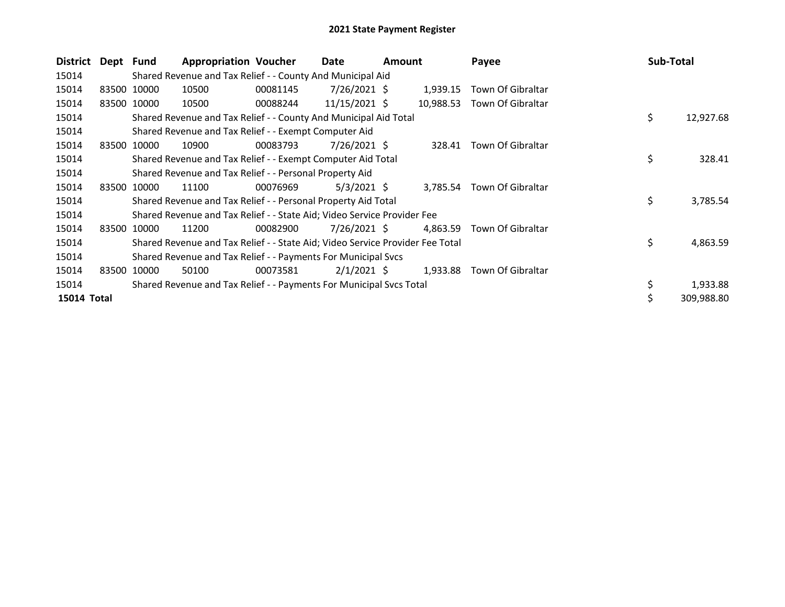| <b>District</b> | Dept Fund |                                                         | <b>Appropriation Voucher</b>                                                  |          | Date            | <b>Amount</b> |           | Payee                    | Sub-Total       |
|-----------------|-----------|---------------------------------------------------------|-------------------------------------------------------------------------------|----------|-----------------|---------------|-----------|--------------------------|-----------------|
| 15014           |           |                                                         | Shared Revenue and Tax Relief - - County And Municipal Aid                    |          |                 |               |           |                          |                 |
| 15014           |           | 83500 10000                                             | 10500                                                                         | 00081145 | $7/26/2021$ \$  |               | 1,939.15  | Town Of Gibraltar        |                 |
| 15014           | 83500     | 10000                                                   | 10500                                                                         | 00088244 | $11/15/2021$ \$ |               | 10,988.53 | Town Of Gibraltar        |                 |
| 15014           |           |                                                         | Shared Revenue and Tax Relief - - County And Municipal Aid Total              |          |                 |               |           |                          | \$<br>12,927.68 |
| 15014           |           |                                                         | Shared Revenue and Tax Relief - - Exempt Computer Aid                         |          |                 |               |           |                          |                 |
| 15014           | 83500     | 10000                                                   | 10900                                                                         | 00083793 | 7/26/2021 S     |               |           | 328.41 Town Of Gibraltar |                 |
| 15014           |           |                                                         | Shared Revenue and Tax Relief - - Exempt Computer Aid Total                   |          |                 |               |           |                          | \$<br>328.41    |
| 15014           |           | Shared Revenue and Tax Relief - - Personal Property Aid |                                                                               |          |                 |               |           |                          |                 |
| 15014           | 83500     | 10000                                                   | 11100                                                                         | 00076969 | $5/3/2021$ \$   |               | 3,785.54  | Town Of Gibraltar        |                 |
| 15014           |           |                                                         | Shared Revenue and Tax Relief - - Personal Property Aid Total                 |          |                 |               |           |                          | \$<br>3,785.54  |
| 15014           |           |                                                         | Shared Revenue and Tax Relief - - State Aid; Video Service Provider Fee       |          |                 |               |           |                          |                 |
| 15014           | 83500     | 10000                                                   | 11200                                                                         | 00082900 | 7/26/2021 \$    |               | 4,863.59  | Town Of Gibraltar        |                 |
| 15014           |           |                                                         | Shared Revenue and Tax Relief - - State Aid; Video Service Provider Fee Total |          |                 |               |           |                          | \$<br>4,863.59  |
| 15014           |           |                                                         | Shared Revenue and Tax Relief - - Payments For Municipal Svcs                 |          |                 |               |           |                          |                 |
| 15014           | 83500     | 10000                                                   | 50100                                                                         | 00073581 | $2/1/2021$ \$   |               | 1,933.88  | Town Of Gibraltar        |                 |
| 15014           |           |                                                         | Shared Revenue and Tax Relief - - Payments For Municipal Svcs Total           |          |                 |               |           |                          | 1,933.88        |
| 15014 Total     |           |                                                         |                                                                               |          |                 |               |           |                          | 309,988.80      |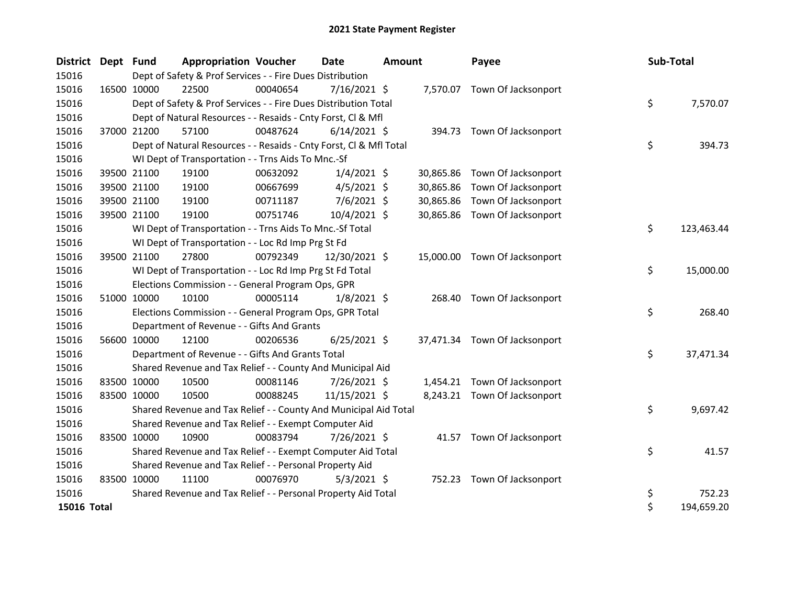| <b>District</b> | Dept Fund |             | <b>Appropriation Voucher</b>                                       |          | <b>Date</b>    | <b>Amount</b> |           | Payee                         | Sub-Total |            |
|-----------------|-----------|-------------|--------------------------------------------------------------------|----------|----------------|---------------|-----------|-------------------------------|-----------|------------|
| 15016           |           |             | Dept of Safety & Prof Services - - Fire Dues Distribution          |          |                |               |           |                               |           |            |
| 15016           |           | 16500 10000 | 22500                                                              | 00040654 | $7/16/2021$ \$ |               |           | 7,570.07 Town Of Jacksonport  |           |            |
| 15016           |           |             | Dept of Safety & Prof Services - - Fire Dues Distribution Total    |          |                |               |           |                               | \$        | 7,570.07   |
| 15016           |           |             | Dept of Natural Resources - - Resaids - Cnty Forst, CI & Mfl       |          |                |               |           |                               |           |            |
| 15016           |           | 37000 21200 | 57100                                                              | 00487624 | $6/14/2021$ \$ |               |           | 394.73 Town Of Jacksonport    |           |            |
| 15016           |           |             | Dept of Natural Resources - - Resaids - Cnty Forst, Cl & Mfl Total |          |                |               |           |                               | \$        | 394.73     |
| 15016           |           |             | WI Dept of Transportation - - Trns Aids To Mnc.-Sf                 |          |                |               |           |                               |           |            |
| 15016           |           | 39500 21100 | 19100                                                              | 00632092 | $1/4/2021$ \$  |               | 30,865.86 | Town Of Jacksonport           |           |            |
| 15016           |           | 39500 21100 | 19100                                                              | 00667699 | $4/5/2021$ \$  |               | 30,865.86 | Town Of Jacksonport           |           |            |
| 15016           |           | 39500 21100 | 19100                                                              | 00711187 | $7/6/2021$ \$  |               | 30,865.86 | Town Of Jacksonport           |           |            |
| 15016           |           | 39500 21100 | 19100                                                              | 00751746 | 10/4/2021 \$   |               |           | 30,865.86 Town Of Jacksonport |           |            |
| 15016           |           |             | WI Dept of Transportation - - Trns Aids To Mnc.-Sf Total           |          |                |               |           |                               | \$        | 123,463.44 |
| 15016           |           |             | WI Dept of Transportation - - Loc Rd Imp Prg St Fd                 |          |                |               |           |                               |           |            |
| 15016           |           | 39500 21100 | 27800                                                              | 00792349 | 12/30/2021 \$  |               |           | 15,000.00 Town Of Jacksonport |           |            |
| 15016           |           |             | WI Dept of Transportation - - Loc Rd Imp Prg St Fd Total           |          |                |               |           |                               | \$        | 15,000.00  |
| 15016           |           |             | Elections Commission - - General Program Ops, GPR                  |          |                |               |           |                               |           |            |
| 15016           |           | 51000 10000 | 10100                                                              | 00005114 | $1/8/2021$ \$  |               |           | 268.40 Town Of Jacksonport    |           |            |
| 15016           |           |             | Elections Commission - - General Program Ops, GPR Total            |          |                |               |           |                               | \$        | 268.40     |
| 15016           |           |             | Department of Revenue - - Gifts And Grants                         |          |                |               |           |                               |           |            |
| 15016           |           | 56600 10000 | 12100                                                              | 00206536 | $6/25/2021$ \$ |               |           | 37,471.34 Town Of Jacksonport |           |            |
| 15016           |           |             | Department of Revenue - - Gifts And Grants Total                   |          |                |               |           |                               | \$        | 37,471.34  |
| 15016           |           |             | Shared Revenue and Tax Relief - - County And Municipal Aid         |          |                |               |           |                               |           |            |
| 15016           |           | 83500 10000 | 10500                                                              | 00081146 | $7/26/2021$ \$ |               |           | 1,454.21 Town Of Jacksonport  |           |            |
| 15016           |           | 83500 10000 | 10500                                                              | 00088245 | 11/15/2021 \$  |               |           | 8,243.21 Town Of Jacksonport  |           |            |
| 15016           |           |             | Shared Revenue and Tax Relief - - County And Municipal Aid Total   |          |                |               |           |                               | \$        | 9,697.42   |
| 15016           |           |             | Shared Revenue and Tax Relief - - Exempt Computer Aid              |          |                |               |           |                               |           |            |
| 15016           |           | 83500 10000 | 10900                                                              | 00083794 | 7/26/2021 \$   |               |           | 41.57 Town Of Jacksonport     |           |            |
| 15016           |           |             | Shared Revenue and Tax Relief - - Exempt Computer Aid Total        |          |                |               |           |                               | \$        | 41.57      |
| 15016           |           |             | Shared Revenue and Tax Relief - - Personal Property Aid            |          |                |               |           |                               |           |            |
| 15016           |           | 83500 10000 | 11100                                                              | 00076970 | $5/3/2021$ \$  |               |           | 752.23 Town Of Jacksonport    |           |            |
| 15016           |           |             | Shared Revenue and Tax Relief - - Personal Property Aid Total      |          |                |               |           |                               | \$        | 752.23     |
| 15016 Total     |           |             |                                                                    |          |                |               |           |                               | \$        | 194,659.20 |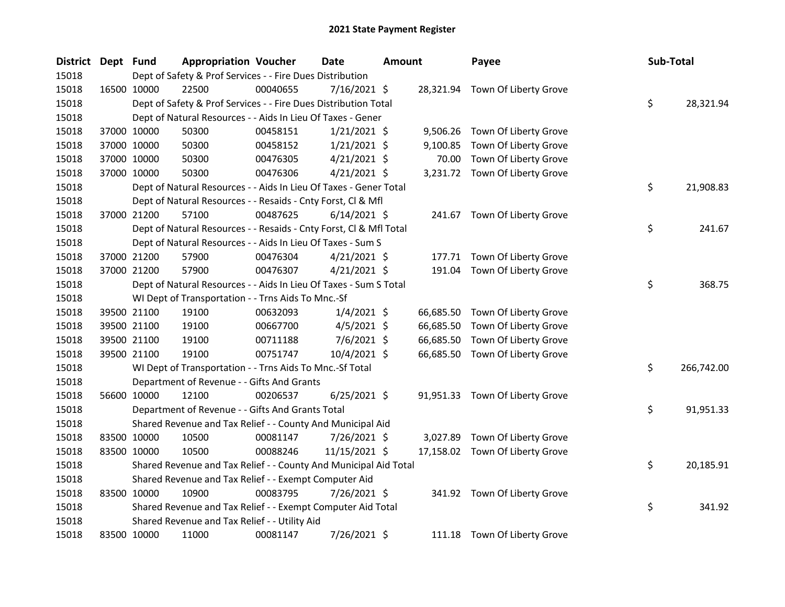| District Dept Fund |             |             | <b>Appropriation Voucher</b>                                       |          | Date           | <b>Amount</b> |           | Payee                           | Sub-Total |            |
|--------------------|-------------|-------------|--------------------------------------------------------------------|----------|----------------|---------------|-----------|---------------------------------|-----------|------------|
| 15018              |             |             | Dept of Safety & Prof Services - - Fire Dues Distribution          |          |                |               |           |                                 |           |            |
| 15018              |             | 16500 10000 | 22500                                                              | 00040655 | $7/16/2021$ \$ |               |           | 28,321.94 Town Of Liberty Grove |           |            |
| 15018              |             |             | Dept of Safety & Prof Services - - Fire Dues Distribution Total    |          |                |               |           |                                 | \$        | 28,321.94  |
| 15018              |             |             | Dept of Natural Resources - - Aids In Lieu Of Taxes - Gener        |          |                |               |           |                                 |           |            |
| 15018              |             | 37000 10000 | 50300                                                              | 00458151 | $1/21/2021$ \$ |               |           | 9,506.26 Town Of Liberty Grove  |           |            |
| 15018              |             | 37000 10000 | 50300                                                              | 00458152 | $1/21/2021$ \$ |               | 9,100.85  | Town Of Liberty Grove           |           |            |
| 15018              |             | 37000 10000 | 50300                                                              | 00476305 | $4/21/2021$ \$ |               | 70.00     | Town Of Liberty Grove           |           |            |
| 15018              |             | 37000 10000 | 50300                                                              | 00476306 | $4/21/2021$ \$ |               |           | 3,231.72 Town Of Liberty Grove  |           |            |
| 15018              |             |             | Dept of Natural Resources - - Aids In Lieu Of Taxes - Gener Total  |          |                |               |           |                                 | \$        | 21,908.83  |
| 15018              |             |             | Dept of Natural Resources - - Resaids - Cnty Forst, Cl & Mfl       |          |                |               |           |                                 |           |            |
| 15018              |             | 37000 21200 | 57100                                                              | 00487625 | $6/14/2021$ \$ |               |           | 241.67 Town Of Liberty Grove    |           |            |
| 15018              |             |             | Dept of Natural Resources - - Resaids - Cnty Forst, Cl & Mfl Total |          |                |               |           |                                 | \$        | 241.67     |
| 15018              |             |             | Dept of Natural Resources - - Aids In Lieu Of Taxes - Sum S        |          |                |               |           |                                 |           |            |
| 15018              |             | 37000 21200 | 57900                                                              | 00476304 | $4/21/2021$ \$ |               | 177.71    | Town Of Liberty Grove           |           |            |
| 15018              |             | 37000 21200 | 57900                                                              | 00476307 | $4/21/2021$ \$ |               | 191.04    | Town Of Liberty Grove           |           |            |
| 15018              |             |             | Dept of Natural Resources - - Aids In Lieu Of Taxes - Sum S Total  |          |                |               |           |                                 | \$        | 368.75     |
| 15018              |             |             | WI Dept of Transportation - - Trns Aids To Mnc.-Sf                 |          |                |               |           |                                 |           |            |
| 15018              |             | 39500 21100 | 19100                                                              | 00632093 | $1/4/2021$ \$  |               | 66,685.50 | Town Of Liberty Grove           |           |            |
| 15018              |             | 39500 21100 | 19100                                                              | 00667700 | $4/5/2021$ \$  |               | 66,685.50 | Town Of Liberty Grove           |           |            |
| 15018              |             | 39500 21100 | 19100                                                              | 00711188 | $7/6/2021$ \$  |               | 66,685.50 | Town Of Liberty Grove           |           |            |
| 15018              |             | 39500 21100 | 19100                                                              | 00751747 | 10/4/2021 \$   |               | 66,685.50 | Town Of Liberty Grove           |           |            |
| 15018              |             |             | WI Dept of Transportation - - Trns Aids To Mnc.-Sf Total           |          |                |               |           |                                 | \$        | 266,742.00 |
| 15018              |             |             | Department of Revenue - - Gifts And Grants                         |          |                |               |           |                                 |           |            |
| 15018              |             | 56600 10000 | 12100                                                              | 00206537 | $6/25/2021$ \$ |               |           | 91,951.33 Town Of Liberty Grove |           |            |
| 15018              |             |             | Department of Revenue - - Gifts And Grants Total                   |          |                |               |           |                                 | \$        | 91,951.33  |
| 15018              |             |             | Shared Revenue and Tax Relief - - County And Municipal Aid         |          |                |               |           |                                 |           |            |
| 15018              |             | 83500 10000 | 10500                                                              | 00081147 | 7/26/2021 \$   |               | 3,027.89  | Town Of Liberty Grove           |           |            |
| 15018              |             | 83500 10000 | 10500                                                              | 00088246 | 11/15/2021 \$  |               | 17,158.02 | Town Of Liberty Grove           |           |            |
| 15018              |             |             | Shared Revenue and Tax Relief - - County And Municipal Aid Total   |          |                |               |           |                                 | \$        | 20,185.91  |
| 15018              |             |             | Shared Revenue and Tax Relief - - Exempt Computer Aid              |          |                |               |           |                                 |           |            |
| 15018              |             | 83500 10000 | 10900                                                              | 00083795 | 7/26/2021 \$   |               |           | 341.92 Town Of Liberty Grove    |           |            |
| 15018              |             |             | Shared Revenue and Tax Relief - - Exempt Computer Aid Total        |          |                |               |           |                                 | \$        | 341.92     |
| 15018              |             |             | Shared Revenue and Tax Relief - - Utility Aid                      |          |                |               |           |                                 |           |            |
| 15018              | 83500 10000 |             | 11000                                                              | 00081147 | 7/26/2021 \$   |               |           | 111.18 Town Of Liberty Grove    |           |            |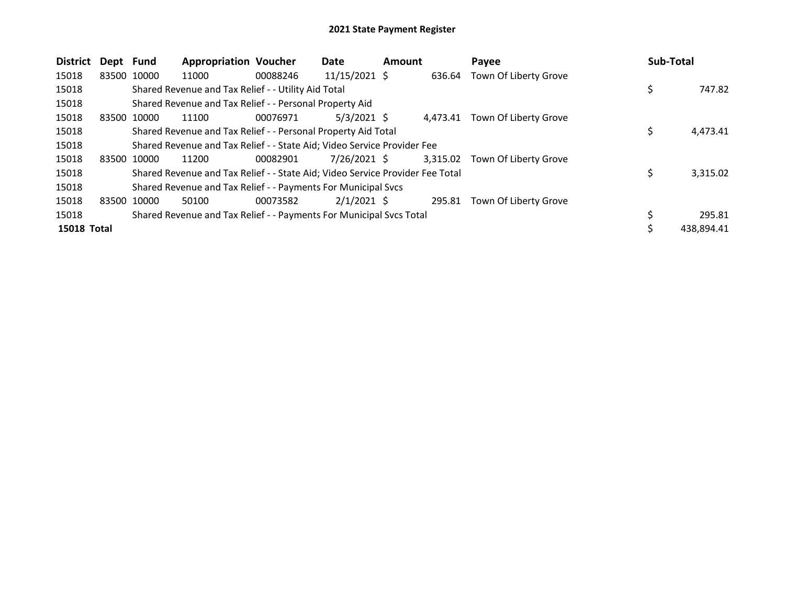| <b>District</b>    | Dept Fund |             | <b>Appropriation Voucher</b>                                                  |          | Date            | Amount |          | Payee                 | Sub-Total  |
|--------------------|-----------|-------------|-------------------------------------------------------------------------------|----------|-----------------|--------|----------|-----------------------|------------|
| 15018              |           | 83500 10000 | 11000                                                                         | 00088246 | $11/15/2021$ \$ |        | 636.64   | Town Of Liberty Grove |            |
| 15018              |           |             | Shared Revenue and Tax Relief - - Utility Aid Total                           |          |                 |        |          |                       | 747.82     |
| 15018              |           |             | Shared Revenue and Tax Relief - - Personal Property Aid                       |          |                 |        |          |                       |            |
| 15018              |           | 83500 10000 | 11100                                                                         | 00076971 | $5/3/2021$ \$   |        | 4.473.41 | Town Of Liberty Grove |            |
| 15018              |           |             | Shared Revenue and Tax Relief - - Personal Property Aid Total                 |          |                 |        |          |                       | 4,473.41   |
| 15018              |           |             | Shared Revenue and Tax Relief - - State Aid; Video Service Provider Fee       |          |                 |        |          |                       |            |
| 15018              |           | 83500 10000 | 11200                                                                         | 00082901 | 7/26/2021 \$    |        | 3,315.02 | Town Of Liberty Grove |            |
| 15018              |           |             | Shared Revenue and Tax Relief - - State Aid; Video Service Provider Fee Total |          |                 |        |          |                       | 3,315.02   |
| 15018              |           |             | Shared Revenue and Tax Relief - - Payments For Municipal Svcs                 |          |                 |        |          |                       |            |
| 15018              | 83500     | 10000       | 50100                                                                         | 00073582 | $2/1/2021$ \$   |        | 295.81   | Town Of Liberty Grove |            |
| 15018              |           |             | Shared Revenue and Tax Relief - - Payments For Municipal Svcs Total           |          |                 |        |          |                       | 295.81     |
| <b>15018 Total</b> |           |             |                                                                               |          |                 |        |          |                       | 438,894.41 |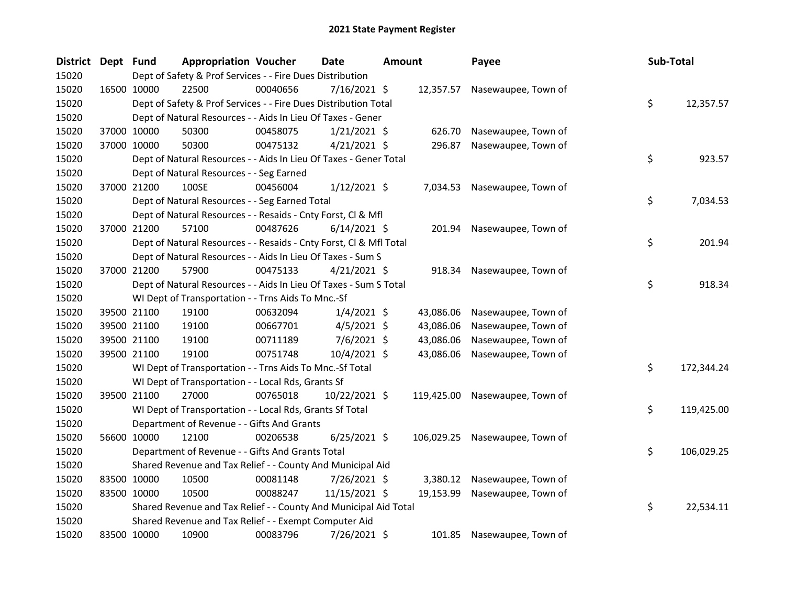| District Dept Fund |             | <b>Appropriation Voucher</b>                                       |          | Date           | <b>Amount</b> |            | Payee                          | Sub-Total |            |
|--------------------|-------------|--------------------------------------------------------------------|----------|----------------|---------------|------------|--------------------------------|-----------|------------|
| 15020              |             | Dept of Safety & Prof Services - - Fire Dues Distribution          |          |                |               |            |                                |           |            |
| 15020              | 16500 10000 | 22500                                                              | 00040656 | 7/16/2021 \$   |               | 12,357.57  | Nasewaupee, Town of            |           |            |
| 15020              |             | Dept of Safety & Prof Services - - Fire Dues Distribution Total    |          |                |               |            |                                | \$        | 12,357.57  |
| 15020              |             | Dept of Natural Resources - - Aids In Lieu Of Taxes - Gener        |          |                |               |            |                                |           |            |
| 15020              | 37000 10000 | 50300                                                              | 00458075 | $1/21/2021$ \$ |               | 626.70     | Nasewaupee, Town of            |           |            |
| 15020              | 37000 10000 | 50300                                                              | 00475132 | $4/21/2021$ \$ |               | 296.87     | Nasewaupee, Town of            |           |            |
| 15020              |             | Dept of Natural Resources - - Aids In Lieu Of Taxes - Gener Total  |          |                |               |            |                                | \$        | 923.57     |
| 15020              |             | Dept of Natural Resources - - Seg Earned                           |          |                |               |            |                                |           |            |
| 15020              | 37000 21200 | 100SE                                                              | 00456004 | $1/12/2021$ \$ |               | 7,034.53   | Nasewaupee, Town of            |           |            |
| 15020              |             | Dept of Natural Resources - - Seg Earned Total                     |          |                |               |            |                                | \$        | 7,034.53   |
| 15020              |             | Dept of Natural Resources - - Resaids - Cnty Forst, Cl & Mfl       |          |                |               |            |                                |           |            |
| 15020              | 37000 21200 | 57100                                                              | 00487626 | $6/14/2021$ \$ |               | 201.94     | Nasewaupee, Town of            |           |            |
| 15020              |             | Dept of Natural Resources - - Resaids - Cnty Forst, CI & Mfl Total |          |                |               |            |                                | \$        | 201.94     |
| 15020              |             | Dept of Natural Resources - - Aids In Lieu Of Taxes - Sum S        |          |                |               |            |                                |           |            |
| 15020              | 37000 21200 | 57900                                                              | 00475133 | $4/21/2021$ \$ |               | 918.34     | Nasewaupee, Town of            |           |            |
| 15020              |             | Dept of Natural Resources - - Aids In Lieu Of Taxes - Sum S Total  |          |                |               |            |                                | \$        | 918.34     |
| 15020              |             | WI Dept of Transportation - - Trns Aids To Mnc.-Sf                 |          |                |               |            |                                |           |            |
| 15020              | 39500 21100 | 19100                                                              | 00632094 | $1/4/2021$ \$  |               | 43,086.06  | Nasewaupee, Town of            |           |            |
| 15020              | 39500 21100 | 19100                                                              | 00667701 | $4/5/2021$ \$  |               | 43,086.06  | Nasewaupee, Town of            |           |            |
| 15020              | 39500 21100 | 19100                                                              | 00711189 | 7/6/2021 \$    |               | 43,086.06  | Nasewaupee, Town of            |           |            |
| 15020              | 39500 21100 | 19100                                                              | 00751748 | $10/4/2021$ \$ |               | 43,086.06  | Nasewaupee, Town of            |           |            |
| 15020              |             | WI Dept of Transportation - - Trns Aids To Mnc.-Sf Total           |          |                |               |            |                                | \$        | 172,344.24 |
| 15020              |             | WI Dept of Transportation - - Local Rds, Grants Sf                 |          |                |               |            |                                |           |            |
| 15020              | 39500 21100 | 27000                                                              | 00765018 | 10/22/2021 \$  |               | 119,425.00 | Nasewaupee, Town of            |           |            |
| 15020              |             | WI Dept of Transportation - - Local Rds, Grants Sf Total           |          |                |               |            |                                | \$        | 119,425.00 |
| 15020              |             | Department of Revenue - - Gifts And Grants                         |          |                |               |            |                                |           |            |
| 15020              | 56600 10000 | 12100                                                              | 00206538 | $6/25/2021$ \$ |               |            | 106,029.25 Nasewaupee, Town of |           |            |
| 15020              |             | Department of Revenue - - Gifts And Grants Total                   |          |                |               |            |                                | \$        | 106,029.25 |
| 15020              |             | Shared Revenue and Tax Relief - - County And Municipal Aid         |          |                |               |            |                                |           |            |
| 15020              | 83500 10000 | 10500                                                              | 00081148 | 7/26/2021 \$   |               | 3,380.12   | Nasewaupee, Town of            |           |            |
| 15020              | 83500 10000 | 10500                                                              | 00088247 | 11/15/2021 \$  |               | 19,153.99  | Nasewaupee, Town of            |           |            |
| 15020              |             | Shared Revenue and Tax Relief - - County And Municipal Aid Total   |          |                |               |            |                                | \$        | 22,534.11  |
| 15020              |             | Shared Revenue and Tax Relief - - Exempt Computer Aid              |          |                |               |            |                                |           |            |
| 15020              | 83500 10000 | 10900                                                              | 00083796 | 7/26/2021 \$   |               | 101.85     | Nasewaupee, Town of            |           |            |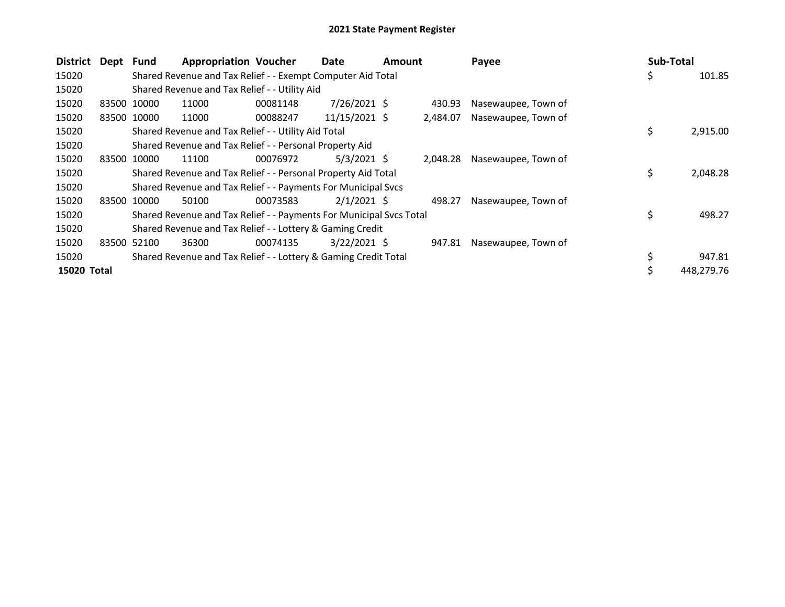| <b>District</b> | Dept Fund |             | <b>Appropriation Voucher</b>                                        |          | Date           | <b>Amount</b> |          | Payee               |    | Sub-Total |            |
|-----------------|-----------|-------------|---------------------------------------------------------------------|----------|----------------|---------------|----------|---------------------|----|-----------|------------|
| 15020           |           |             | Shared Revenue and Tax Relief - - Exempt Computer Aid Total         |          |                |               |          |                     | \$ |           | 101.85     |
| 15020           |           |             | Shared Revenue and Tax Relief - - Utility Aid                       |          |                |               |          |                     |    |           |            |
| 15020           | 83500     | 10000       | 11000                                                               | 00081148 | $7/26/2021$ \$ |               | 430.93   | Nasewaupee, Town of |    |           |            |
| 15020           |           | 83500 10000 | 11000                                                               | 00088247 | 11/15/2021 \$  |               | 2,484.07 | Nasewaupee, Town of |    |           |            |
| 15020           |           |             | Shared Revenue and Tax Relief - - Utility Aid Total                 |          |                |               |          |                     | \$ |           | 2,915.00   |
| 15020           |           |             | Shared Revenue and Tax Relief - - Personal Property Aid             |          |                |               |          |                     |    |           |            |
| 15020           | 83500     | 10000       | 11100                                                               | 00076972 | $5/3/2021$ \$  |               | 2,048.28 | Nasewaupee, Town of |    |           |            |
| 15020           |           |             | Shared Revenue and Tax Relief - - Personal Property Aid Total       |          |                |               |          |                     | \$ |           | 2,048.28   |
| 15020           |           |             | Shared Revenue and Tax Relief - - Payments For Municipal Svcs       |          |                |               |          |                     |    |           |            |
| 15020           |           | 83500 10000 | 50100                                                               | 00073583 | $2/1/2021$ \$  |               | 498.27   | Nasewaupee, Town of |    |           |            |
| 15020           |           |             | Shared Revenue and Tax Relief - - Payments For Municipal Svcs Total |          |                |               |          |                     | \$ |           | 498.27     |
| 15020           |           |             | Shared Revenue and Tax Relief - - Lottery & Gaming Credit           |          |                |               |          |                     |    |           |            |
| 15020           |           | 83500 52100 | 36300                                                               | 00074135 | $3/22/2021$ \$ |               | 947.81   | Nasewaupee, Town of |    |           |            |
| 15020           |           |             | Shared Revenue and Tax Relief - - Lottery & Gaming Credit Total     |          |                |               |          |                     | \$ |           | 947.81     |
| 15020 Total     |           |             |                                                                     |          |                |               |          |                     | Ś  |           | 448,279.76 |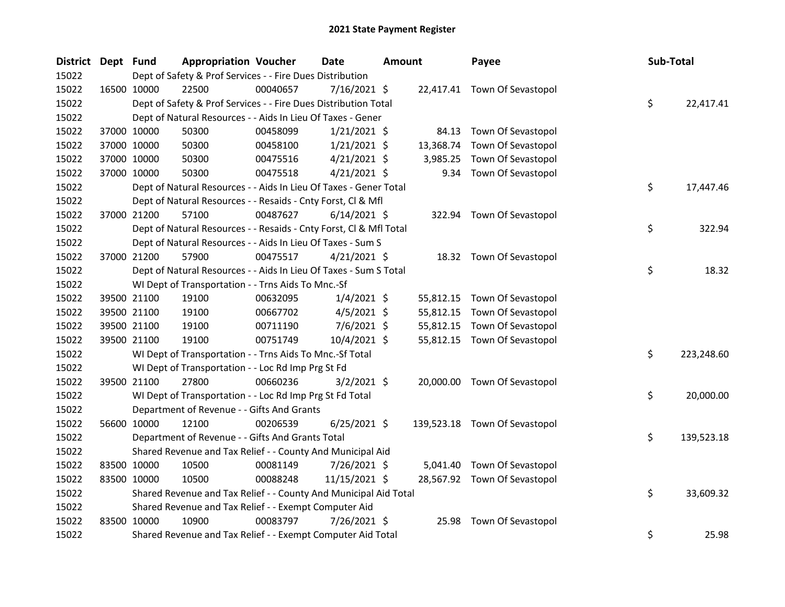| <b>District</b> | Dept Fund |             | <b>Appropriation Voucher</b>                                       |          | <b>Date</b>    | <b>Amount</b> |           | Payee                         | Sub-Total |            |
|-----------------|-----------|-------------|--------------------------------------------------------------------|----------|----------------|---------------|-----------|-------------------------------|-----------|------------|
| 15022           |           |             | Dept of Safety & Prof Services - - Fire Dues Distribution          |          |                |               |           |                               |           |            |
| 15022           |           | 16500 10000 | 22500                                                              | 00040657 | $7/16/2021$ \$ |               |           | 22,417.41 Town Of Sevastopol  |           |            |
| 15022           |           |             | Dept of Safety & Prof Services - - Fire Dues Distribution Total    |          |                |               |           |                               | \$        | 22,417.41  |
| 15022           |           |             | Dept of Natural Resources - - Aids In Lieu Of Taxes - Gener        |          |                |               |           |                               |           |            |
| 15022           |           | 37000 10000 | 50300                                                              | 00458099 | $1/21/2021$ \$ |               | 84.13     | Town Of Sevastopol            |           |            |
| 15022           |           | 37000 10000 | 50300                                                              | 00458100 | $1/21/2021$ \$ |               | 13,368.74 | Town Of Sevastopol            |           |            |
| 15022           |           | 37000 10000 | 50300                                                              | 00475516 | $4/21/2021$ \$ |               | 3,985.25  | Town Of Sevastopol            |           |            |
| 15022           |           | 37000 10000 | 50300                                                              | 00475518 | $4/21/2021$ \$ |               | 9.34      | Town Of Sevastopol            |           |            |
| 15022           |           |             | Dept of Natural Resources - - Aids In Lieu Of Taxes - Gener Total  |          |                |               |           |                               | \$        | 17,447.46  |
| 15022           |           |             | Dept of Natural Resources - - Resaids - Cnty Forst, Cl & Mfl       |          |                |               |           |                               |           |            |
| 15022           |           | 37000 21200 | 57100                                                              | 00487627 | $6/14/2021$ \$ |               |           | 322.94 Town Of Sevastopol     |           |            |
| 15022           |           |             | Dept of Natural Resources - - Resaids - Cnty Forst, Cl & Mfl Total |          |                |               |           |                               | \$        | 322.94     |
| 15022           |           |             | Dept of Natural Resources - - Aids In Lieu Of Taxes - Sum S        |          |                |               |           |                               |           |            |
| 15022           |           | 37000 21200 | 57900                                                              | 00475517 | $4/21/2021$ \$ |               |           | 18.32 Town Of Sevastopol      |           |            |
| 15022           |           |             | Dept of Natural Resources - - Aids In Lieu Of Taxes - Sum S Total  |          |                |               |           |                               | \$        | 18.32      |
| 15022           |           |             | WI Dept of Transportation - - Trns Aids To Mnc.-Sf                 |          |                |               |           |                               |           |            |
| 15022           |           | 39500 21100 | 19100                                                              | 00632095 | $1/4/2021$ \$  |               |           | 55,812.15 Town Of Sevastopol  |           |            |
| 15022           |           | 39500 21100 | 19100                                                              | 00667702 | $4/5/2021$ \$  |               | 55,812.15 | Town Of Sevastopol            |           |            |
| 15022           |           | 39500 21100 | 19100                                                              | 00711190 | $7/6/2021$ \$  |               | 55,812.15 | Town Of Sevastopol            |           |            |
| 15022           |           | 39500 21100 | 19100                                                              | 00751749 | $10/4/2021$ \$ |               |           | 55,812.15 Town Of Sevastopol  |           |            |
| 15022           |           |             | WI Dept of Transportation - - Trns Aids To Mnc.-Sf Total           |          |                |               |           |                               | \$        | 223,248.60 |
| 15022           |           |             | WI Dept of Transportation - - Loc Rd Imp Prg St Fd                 |          |                |               |           |                               |           |            |
| 15022           |           | 39500 21100 | 27800                                                              | 00660236 | $3/2/2021$ \$  |               |           | 20,000.00 Town Of Sevastopol  |           |            |
| 15022           |           |             | WI Dept of Transportation - - Loc Rd Imp Prg St Fd Total           |          |                |               |           |                               | \$        | 20,000.00  |
| 15022           |           |             | Department of Revenue - - Gifts And Grants                         |          |                |               |           |                               |           |            |
| 15022           |           | 56600 10000 | 12100                                                              | 00206539 | $6/25/2021$ \$ |               |           | 139,523.18 Town Of Sevastopol |           |            |
| 15022           |           |             | Department of Revenue - - Gifts And Grants Total                   |          |                |               |           |                               | \$        | 139,523.18 |
| 15022           |           |             | Shared Revenue and Tax Relief - - County And Municipal Aid         |          |                |               |           |                               |           |            |
| 15022           |           | 83500 10000 | 10500                                                              | 00081149 | 7/26/2021 \$   |               | 5,041.40  | Town Of Sevastopol            |           |            |
| 15022           |           | 83500 10000 | 10500                                                              | 00088248 | 11/15/2021 \$  |               |           | 28,567.92 Town Of Sevastopol  |           |            |
| 15022           |           |             | Shared Revenue and Tax Relief - - County And Municipal Aid Total   |          |                |               |           |                               | \$        | 33,609.32  |
| 15022           |           |             | Shared Revenue and Tax Relief - - Exempt Computer Aid              |          |                |               |           |                               |           |            |
| 15022           |           | 83500 10000 | 10900                                                              | 00083797 | 7/26/2021 \$   |               | 25.98     | Town Of Sevastopol            |           |            |
| 15022           |           |             | Shared Revenue and Tax Relief - - Exempt Computer Aid Total        |          |                |               |           |                               | \$        | 25.98      |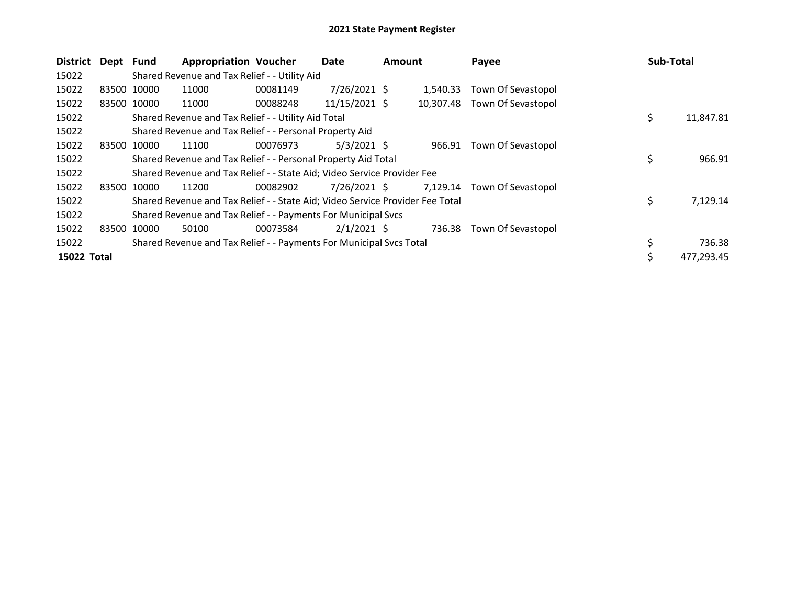| <b>District</b> | Dept  | Fund        | <b>Appropriation Voucher</b>                                                  |          | Date            | <b>Amount</b> |           | Payee              | Sub-Total |            |
|-----------------|-------|-------------|-------------------------------------------------------------------------------|----------|-----------------|---------------|-----------|--------------------|-----------|------------|
| 15022           |       |             | Shared Revenue and Tax Relief - - Utility Aid                                 |          |                 |               |           |                    |           |            |
| 15022           |       | 83500 10000 | 11000                                                                         | 00081149 | $7/26/2021$ \$  |               | 1.540.33  | Town Of Sevastopol |           |            |
| 15022           |       | 83500 10000 | 11000                                                                         | 00088248 | $11/15/2021$ \$ |               | 10,307.48 | Town Of Sevastopol |           |            |
| 15022           |       |             | Shared Revenue and Tax Relief - - Utility Aid Total                           |          |                 |               |           |                    | \$        | 11,847.81  |
| 15022           |       |             | Shared Revenue and Tax Relief - - Personal Property Aid                       |          |                 |               |           |                    |           |            |
| 15022           | 83500 | 10000       | 11100                                                                         | 00076973 | $5/3/2021$ \$   |               | 966.91    | Town Of Sevastopol |           |            |
| 15022           |       |             | Shared Revenue and Tax Relief - - Personal Property Aid Total                 |          |                 |               |           |                    | \$        | 966.91     |
| 15022           |       |             | Shared Revenue and Tax Relief - - State Aid; Video Service Provider Fee       |          |                 |               |           |                    |           |            |
| 15022           |       | 83500 10000 | 11200                                                                         | 00082902 | 7/26/2021 \$    |               | 7,129.14  | Town Of Sevastopol |           |            |
| 15022           |       |             | Shared Revenue and Tax Relief - - State Aid; Video Service Provider Fee Total |          |                 |               |           |                    | \$        | 7,129.14   |
| 15022           |       |             | Shared Revenue and Tax Relief - - Payments For Municipal Svcs                 |          |                 |               |           |                    |           |            |
| 15022           | 83500 | 10000       | 50100                                                                         | 00073584 | $2/1/2021$ \$   |               | 736.38    | Town Of Sevastopol |           |            |
| 15022           |       |             | Shared Revenue and Tax Relief - - Payments For Municipal Svcs Total           |          |                 |               |           |                    | \$        | 736.38     |
| 15022 Total     |       |             |                                                                               |          |                 |               |           |                    | \$.       | 477,293.45 |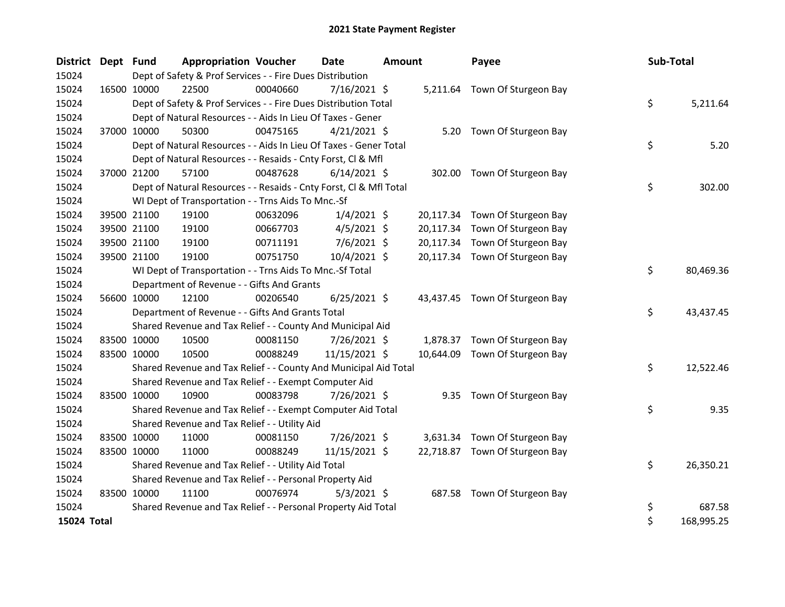| <b>District</b> | Dept Fund   |             | <b>Appropriation Voucher</b>                                       |          | <b>Date</b>    | <b>Amount</b> |           | Payee                          | Sub-Total |            |
|-----------------|-------------|-------------|--------------------------------------------------------------------|----------|----------------|---------------|-----------|--------------------------------|-----------|------------|
| 15024           |             |             | Dept of Safety & Prof Services - - Fire Dues Distribution          |          |                |               |           |                                |           |            |
| 15024           |             | 16500 10000 | 22500                                                              | 00040660 | $7/16/2021$ \$ |               |           | 5,211.64 Town Of Sturgeon Bay  |           |            |
| 15024           |             |             | Dept of Safety & Prof Services - - Fire Dues Distribution Total    |          |                |               |           |                                | \$        | 5,211.64   |
| 15024           |             |             | Dept of Natural Resources - - Aids In Lieu Of Taxes - Gener        |          |                |               |           |                                |           |            |
| 15024           |             | 37000 10000 | 50300                                                              | 00475165 | $4/21/2021$ \$ |               |           | 5.20 Town Of Sturgeon Bay      |           |            |
| 15024           |             |             | Dept of Natural Resources - - Aids In Lieu Of Taxes - Gener Total  |          |                |               |           |                                | \$        | 5.20       |
| 15024           |             |             | Dept of Natural Resources - - Resaids - Cnty Forst, Cl & Mfl       |          |                |               |           |                                |           |            |
| 15024           |             | 37000 21200 | 57100                                                              | 00487628 | $6/14/2021$ \$ |               |           | 302.00 Town Of Sturgeon Bay    |           |            |
| 15024           |             |             | Dept of Natural Resources - - Resaids - Cnty Forst, Cl & Mfl Total |          |                |               |           |                                | \$        | 302.00     |
| 15024           |             |             | WI Dept of Transportation - - Trns Aids To Mnc.-Sf                 |          |                |               |           |                                |           |            |
| 15024           |             | 39500 21100 | 19100                                                              | 00632096 | $1/4/2021$ \$  |               | 20,117.34 | Town Of Sturgeon Bay           |           |            |
| 15024           |             | 39500 21100 | 19100                                                              | 00667703 | $4/5/2021$ \$  |               | 20,117.34 | Town Of Sturgeon Bay           |           |            |
| 15024           |             | 39500 21100 | 19100                                                              | 00711191 | $7/6/2021$ \$  |               | 20,117.34 | Town Of Sturgeon Bay           |           |            |
| 15024           |             | 39500 21100 | 19100                                                              | 00751750 | 10/4/2021 \$   |               |           | 20,117.34 Town Of Sturgeon Bay |           |            |
| 15024           |             |             | WI Dept of Transportation - - Trns Aids To Mnc.-Sf Total           |          |                |               |           |                                | \$        | 80,469.36  |
| 15024           |             |             | Department of Revenue - - Gifts And Grants                         |          |                |               |           |                                |           |            |
| 15024           |             | 56600 10000 | 12100                                                              | 00206540 | $6/25/2021$ \$ |               |           | 43,437.45 Town Of Sturgeon Bay |           |            |
| 15024           |             |             | Department of Revenue - - Gifts And Grants Total                   |          |                |               |           |                                | \$        | 43,437.45  |
| 15024           |             |             | Shared Revenue and Tax Relief - - County And Municipal Aid         |          |                |               |           |                                |           |            |
| 15024           |             | 83500 10000 | 10500                                                              | 00081150 | $7/26/2021$ \$ |               |           | 1,878.37 Town Of Sturgeon Bay  |           |            |
| 15024           |             | 83500 10000 | 10500                                                              | 00088249 | 11/15/2021 \$  |               | 10,644.09 | Town Of Sturgeon Bay           |           |            |
| 15024           |             |             | Shared Revenue and Tax Relief - - County And Municipal Aid Total   |          |                |               |           |                                | \$        | 12,522.46  |
| 15024           |             |             | Shared Revenue and Tax Relief - - Exempt Computer Aid              |          |                |               |           |                                |           |            |
| 15024           |             | 83500 10000 | 10900                                                              | 00083798 | 7/26/2021 \$   |               |           | 9.35 Town Of Sturgeon Bay      |           |            |
| 15024           |             |             | Shared Revenue and Tax Relief - - Exempt Computer Aid Total        |          |                |               |           |                                | \$        | 9.35       |
| 15024           |             |             | Shared Revenue and Tax Relief - - Utility Aid                      |          |                |               |           |                                |           |            |
| 15024           |             | 83500 10000 | 11000                                                              | 00081150 | 7/26/2021 \$   |               | 3,631.34  | Town Of Sturgeon Bay           |           |            |
| 15024           | 83500 10000 |             | 11000                                                              | 00088249 | 11/15/2021 \$  |               |           | 22,718.87 Town Of Sturgeon Bay |           |            |
| 15024           |             |             | Shared Revenue and Tax Relief - - Utility Aid Total                |          |                |               |           |                                | \$        | 26,350.21  |
| 15024           |             |             | Shared Revenue and Tax Relief - - Personal Property Aid            |          |                |               |           |                                |           |            |
| 15024           | 83500 10000 |             | 11100                                                              | 00076974 | $5/3/2021$ \$  |               |           | 687.58 Town Of Sturgeon Bay    |           |            |
| 15024           |             |             | Shared Revenue and Tax Relief - - Personal Property Aid Total      |          |                |               |           |                                | \$        | 687.58     |
| 15024 Total     |             |             |                                                                    |          |                |               |           |                                | \$        | 168,995.25 |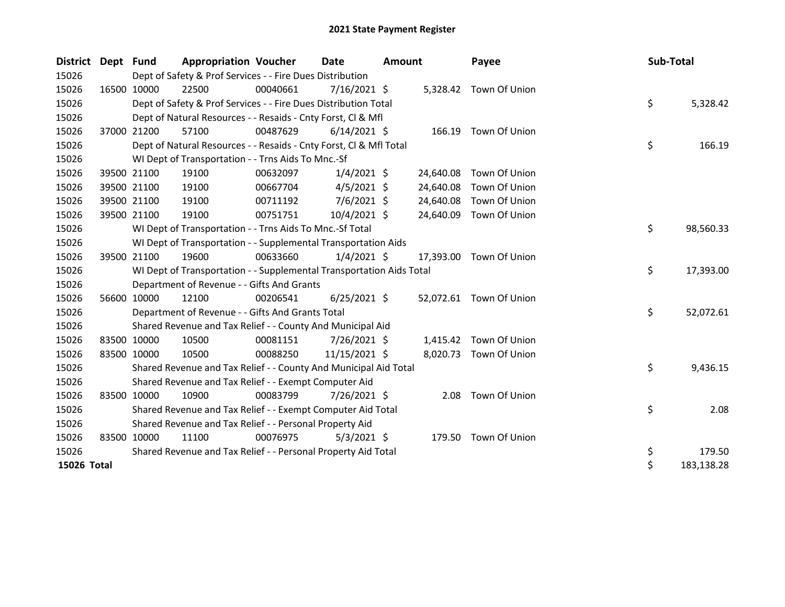| <b>District</b> | Dept Fund |                                                               | <b>Appropriation Voucher</b>                                         |          | Date           | <b>Amount</b> |           | Payee                   |  | Sub-Total |            |
|-----------------|-----------|---------------------------------------------------------------|----------------------------------------------------------------------|----------|----------------|---------------|-----------|-------------------------|--|-----------|------------|
| 15026           |           |                                                               | Dept of Safety & Prof Services - - Fire Dues Distribution            |          |                |               |           |                         |  |           |            |
| 15026           |           | 16500 10000                                                   | 22500                                                                | 00040661 | $7/16/2021$ \$ |               |           | 5,328.42 Town Of Union  |  |           |            |
| 15026           |           |                                                               | Dept of Safety & Prof Services - - Fire Dues Distribution Total      |          |                |               |           |                         |  | \$        | 5,328.42   |
| 15026           |           |                                                               | Dept of Natural Resources - - Resaids - Cnty Forst, Cl & Mfl         |          |                |               |           |                         |  |           |            |
| 15026           |           | 37000 21200                                                   | 57100                                                                | 00487629 | $6/14/2021$ \$ |               |           | 166.19 Town Of Union    |  |           |            |
| 15026           |           |                                                               | Dept of Natural Resources - - Resaids - Cnty Forst, CI & Mfl Total   |          |                |               |           |                         |  | \$        | 166.19     |
| 15026           |           |                                                               | WI Dept of Transportation - - Trns Aids To Mnc.-Sf                   |          |                |               |           |                         |  |           |            |
| 15026           |           | 39500 21100                                                   | 19100                                                                | 00632097 | $1/4/2021$ \$  |               | 24,640.08 | Town Of Union           |  |           |            |
| 15026           |           | 39500 21100                                                   | 19100                                                                | 00667704 | $4/5/2021$ \$  |               | 24,640.08 | Town Of Union           |  |           |            |
| 15026           |           | 39500 21100                                                   | 19100                                                                | 00711192 | 7/6/2021 \$    |               | 24,640.08 | Town Of Union           |  |           |            |
| 15026           |           | 39500 21100                                                   | 19100                                                                | 00751751 | 10/4/2021 \$   |               | 24,640.09 | Town Of Union           |  |           |            |
| 15026           |           |                                                               | WI Dept of Transportation - - Trns Aids To Mnc.-Sf Total             |          |                |               |           |                         |  | \$        | 98,560.33  |
| 15026           |           |                                                               | WI Dept of Transportation - - Supplemental Transportation Aids       |          |                |               |           |                         |  |           |            |
| 15026           |           | 39500 21100                                                   | 19600                                                                | 00633660 | $1/4/2021$ \$  |               | 17,393.00 | Town Of Union           |  |           |            |
| 15026           |           |                                                               | WI Dept of Transportation - - Supplemental Transportation Aids Total |          |                |               |           |                         |  | \$        | 17,393.00  |
| 15026           |           |                                                               | Department of Revenue - - Gifts And Grants                           |          |                |               |           |                         |  |           |            |
| 15026           |           | 56600 10000                                                   | 12100                                                                | 00206541 | $6/25/2021$ \$ |               |           | 52,072.61 Town Of Union |  |           |            |
| 15026           |           |                                                               | Department of Revenue - - Gifts And Grants Total                     |          |                |               |           |                         |  | \$        | 52,072.61  |
| 15026           |           |                                                               | Shared Revenue and Tax Relief - - County And Municipal Aid           |          |                |               |           |                         |  |           |            |
| 15026           |           | 83500 10000                                                   | 10500                                                                | 00081151 | $7/26/2021$ \$ |               |           | 1,415.42 Town Of Union  |  |           |            |
| 15026           |           | 83500 10000                                                   | 10500                                                                | 00088250 | 11/15/2021 \$  |               | 8,020.73  | Town Of Union           |  |           |            |
| 15026           |           |                                                               | Shared Revenue and Tax Relief - - County And Municipal Aid Total     |          |                |               |           |                         |  | \$        | 9,436.15   |
| 15026           |           |                                                               | Shared Revenue and Tax Relief - - Exempt Computer Aid                |          |                |               |           |                         |  |           |            |
| 15026           |           | 83500 10000                                                   | 10900                                                                | 00083799 | 7/26/2021 \$   |               | 2.08      | Town Of Union           |  |           |            |
| 15026           |           |                                                               | Shared Revenue and Tax Relief - - Exempt Computer Aid Total          |          |                |               |           |                         |  | \$        | 2.08       |
| 15026           |           |                                                               | Shared Revenue and Tax Relief - - Personal Property Aid              |          |                |               |           |                         |  |           |            |
| 15026           |           | 83500 10000                                                   | 11100                                                                | 00076975 | $5/3/2021$ \$  |               | 179.50    | Town Of Union           |  |           |            |
| 15026           |           | Shared Revenue and Tax Relief - - Personal Property Aid Total |                                                                      |          |                |               |           |                         |  | \$        | 179.50     |
| 15026 Total     |           |                                                               |                                                                      |          |                |               |           |                         |  | $\zeta$   | 183,138.28 |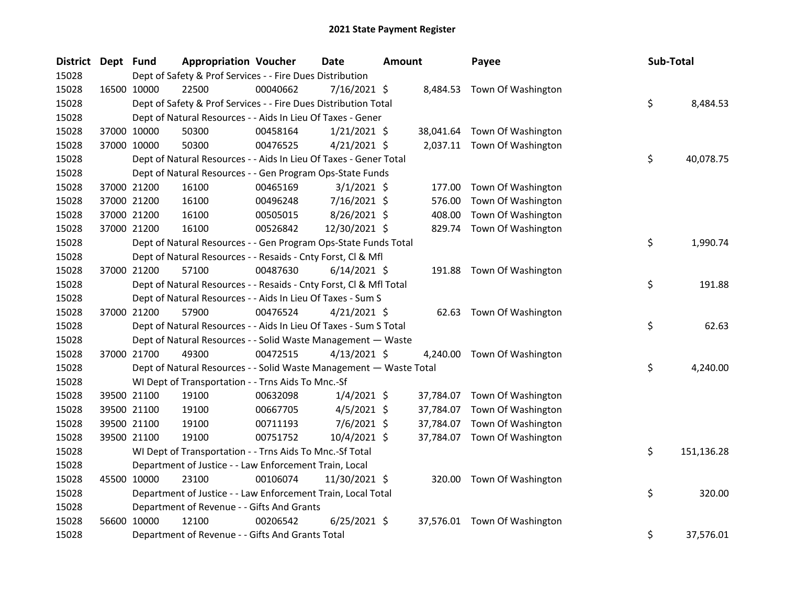| District Dept Fund |             | <b>Appropriation Voucher</b>                                       |          | <b>Date</b>    | <b>Amount</b> |           | Payee                       | Sub-Total |            |
|--------------------|-------------|--------------------------------------------------------------------|----------|----------------|---------------|-----------|-----------------------------|-----------|------------|
| 15028              |             | Dept of Safety & Prof Services - - Fire Dues Distribution          |          |                |               |           |                             |           |            |
| 15028              | 16500 10000 | 22500                                                              | 00040662 | 7/16/2021 \$   |               |           | 8,484.53 Town Of Washington |           |            |
| 15028              |             | Dept of Safety & Prof Services - - Fire Dues Distribution Total    |          |                |               |           |                             | \$        | 8,484.53   |
| 15028              |             | Dept of Natural Resources - - Aids In Lieu Of Taxes - Gener        |          |                |               |           |                             |           |            |
| 15028              | 37000 10000 | 50300                                                              | 00458164 | $1/21/2021$ \$ |               | 38,041.64 | Town Of Washington          |           |            |
| 15028              | 37000 10000 | 50300                                                              | 00476525 | $4/21/2021$ \$ |               |           | 2,037.11 Town Of Washington |           |            |
| 15028              |             | Dept of Natural Resources - - Aids In Lieu Of Taxes - Gener Total  |          |                |               |           |                             | \$        | 40,078.75  |
| 15028              |             | Dept of Natural Resources - - Gen Program Ops-State Funds          |          |                |               |           |                             |           |            |
| 15028              | 37000 21200 | 16100                                                              | 00465169 | $3/1/2021$ \$  |               | 177.00    | Town Of Washington          |           |            |
| 15028              | 37000 21200 | 16100                                                              | 00496248 | 7/16/2021 \$   |               | 576.00    | Town Of Washington          |           |            |
| 15028              | 37000 21200 | 16100                                                              | 00505015 | 8/26/2021 \$   |               | 408.00    | Town Of Washington          |           |            |
| 15028              | 37000 21200 | 16100                                                              | 00526842 | 12/30/2021 \$  |               | 829.74    | Town Of Washington          |           |            |
| 15028              |             | Dept of Natural Resources - - Gen Program Ops-State Funds Total    |          |                |               |           |                             | \$        | 1,990.74   |
| 15028              |             | Dept of Natural Resources - - Resaids - Cnty Forst, Cl & Mfl       |          |                |               |           |                             |           |            |
| 15028              | 37000 21200 | 57100                                                              | 00487630 | $6/14/2021$ \$ |               | 191.88    | Town Of Washington          |           |            |
| 15028              |             | Dept of Natural Resources - - Resaids - Cnty Forst, CI & Mfl Total |          |                |               |           |                             | \$        | 191.88     |
| 15028              |             | Dept of Natural Resources - - Aids In Lieu Of Taxes - Sum S        |          |                |               |           |                             |           |            |
| 15028              | 37000 21200 | 57900                                                              | 00476524 | $4/21/2021$ \$ |               |           | 62.63 Town Of Washington    |           |            |
| 15028              |             | Dept of Natural Resources - - Aids In Lieu Of Taxes - Sum S Total  |          |                |               |           |                             | \$        | 62.63      |
| 15028              |             | Dept of Natural Resources - - Solid Waste Management - Waste       |          |                |               |           |                             |           |            |
| 15028              | 37000 21700 | 49300                                                              | 00472515 | $4/13/2021$ \$ |               | 4,240.00  | Town Of Washington          |           |            |
| 15028              |             | Dept of Natural Resources - - Solid Waste Management - Waste Total |          |                |               |           |                             | \$        | 4,240.00   |
| 15028              |             | WI Dept of Transportation - - Trns Aids To Mnc.-Sf                 |          |                |               |           |                             |           |            |
| 15028              | 39500 21100 | 19100                                                              | 00632098 | $1/4/2021$ \$  |               | 37,784.07 | Town Of Washington          |           |            |
| 15028              | 39500 21100 | 19100                                                              | 00667705 | $4/5/2021$ \$  |               | 37,784.07 | Town Of Washington          |           |            |
| 15028              | 39500 21100 | 19100                                                              | 00711193 | 7/6/2021 \$    |               | 37,784.07 | Town Of Washington          |           |            |
| 15028              | 39500 21100 | 19100                                                              | 00751752 | 10/4/2021 \$   |               | 37,784.07 | Town Of Washington          |           |            |
| 15028              |             | WI Dept of Transportation - - Trns Aids To Mnc.-Sf Total           |          |                |               |           |                             | \$        | 151,136.28 |
| 15028              |             | Department of Justice - - Law Enforcement Train, Local             |          |                |               |           |                             |           |            |
| 15028              | 45500 10000 | 23100                                                              | 00106074 | 11/30/2021 \$  |               |           | 320.00 Town Of Washington   |           |            |
| 15028              |             | Department of Justice - - Law Enforcement Train, Local Total       |          |                |               |           |                             | \$        | 320.00     |
| 15028              |             | Department of Revenue - - Gifts And Grants                         |          |                |               |           |                             |           |            |
| 15028              | 56600 10000 | 12100                                                              | 00206542 | $6/25/2021$ \$ |               | 37,576.01 | Town Of Washington          |           |            |
| 15028              |             | Department of Revenue - - Gifts And Grants Total                   |          |                |               |           |                             | \$        | 37,576.01  |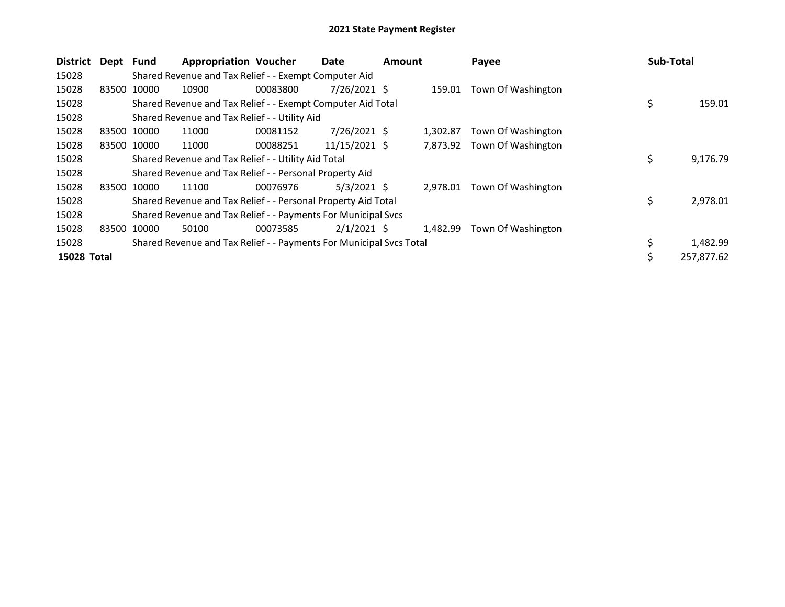| <b>District</b> | Dept Fund |             | <b>Appropriation Voucher</b>                                        |          | Date           | <b>Amount</b> |          | Payee              | <b>Sub-Total</b> |            |
|-----------------|-----------|-------------|---------------------------------------------------------------------|----------|----------------|---------------|----------|--------------------|------------------|------------|
| 15028           |           |             | Shared Revenue and Tax Relief - - Exempt Computer Aid               |          |                |               |          |                    |                  |            |
| 15028           |           | 83500 10000 | 10900                                                               | 00083800 | $7/26/2021$ \$ |               | 159.01   | Town Of Washington |                  |            |
| 15028           |           |             | Shared Revenue and Tax Relief - - Exempt Computer Aid Total         |          |                |               |          |                    | \$               | 159.01     |
| 15028           |           |             | Shared Revenue and Tax Relief - - Utility Aid                       |          |                |               |          |                    |                  |            |
| 15028           |           | 83500 10000 | 11000                                                               | 00081152 | $7/26/2021$ \$ |               | 1.302.87 | Town Of Washington |                  |            |
| 15028           |           | 83500 10000 | 11000                                                               | 00088251 | 11/15/2021 \$  |               | 7,873.92 | Town Of Washington |                  |            |
| 15028           |           |             | Shared Revenue and Tax Relief - - Utility Aid Total                 |          |                |               |          |                    | \$               | 9,176.79   |
| 15028           |           |             | Shared Revenue and Tax Relief - - Personal Property Aid             |          |                |               |          |                    |                  |            |
| 15028           |           | 83500 10000 | 11100                                                               | 00076976 | $5/3/2021$ \$  |               | 2,978.01 | Town Of Washington |                  |            |
| 15028           |           |             | Shared Revenue and Tax Relief - - Personal Property Aid Total       |          |                |               |          |                    | \$               | 2,978.01   |
| 15028           |           |             | Shared Revenue and Tax Relief - - Payments For Municipal Svcs       |          |                |               |          |                    |                  |            |
| 15028           |           | 83500 10000 | 50100                                                               | 00073585 | $2/1/2021$ \$  |               | 1.482.99 | Town Of Washington |                  |            |
| 15028           |           |             | Shared Revenue and Tax Relief - - Payments For Municipal Svcs Total |          |                |               |          |                    | \$               | 1,482.99   |
| 15028 Total     |           |             |                                                                     |          |                |               |          |                    | \$               | 257,877.62 |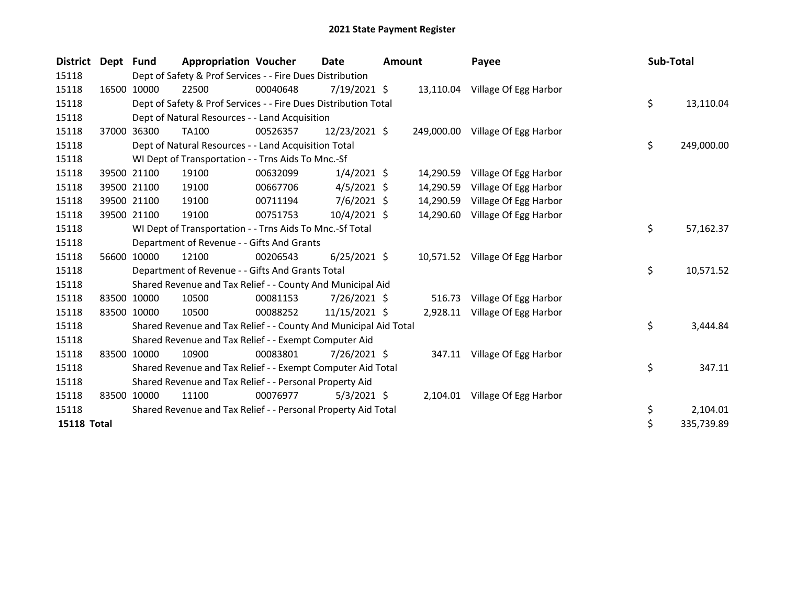| <b>District</b>    | Dept Fund |             | <b>Appropriation Voucher</b>                                     |          | <b>Date</b>    | <b>Amount</b> |           | Payee                            | Sub-Total |            |
|--------------------|-----------|-------------|------------------------------------------------------------------|----------|----------------|---------------|-----------|----------------------------------|-----------|------------|
| 15118              |           |             | Dept of Safety & Prof Services - - Fire Dues Distribution        |          |                |               |           |                                  |           |            |
| 15118              |           | 16500 10000 | 22500                                                            | 00040648 | $7/19/2021$ \$ |               |           | 13,110.04 Village Of Egg Harbor  |           |            |
| 15118              |           |             | Dept of Safety & Prof Services - - Fire Dues Distribution Total  |          |                |               |           |                                  | \$        | 13,110.04  |
| 15118              |           |             | Dept of Natural Resources - - Land Acquisition                   |          |                |               |           |                                  |           |            |
| 15118              | 37000     | 36300       | TA100                                                            | 00526357 | 12/23/2021 \$  |               |           | 249,000.00 Village Of Egg Harbor |           |            |
| 15118              |           |             | Dept of Natural Resources - - Land Acquisition Total             |          |                |               |           |                                  | \$        | 249,000.00 |
| 15118              |           |             | WI Dept of Transportation - - Trns Aids To Mnc.-Sf               |          |                |               |           |                                  |           |            |
| 15118              |           | 39500 21100 | 19100                                                            | 00632099 | $1/4/2021$ \$  |               | 14,290.59 | Village Of Egg Harbor            |           |            |
| 15118              |           | 39500 21100 | 19100                                                            | 00667706 | $4/5/2021$ \$  |               | 14,290.59 | Village Of Egg Harbor            |           |            |
| 15118              |           | 39500 21100 | 19100                                                            | 00711194 | $7/6/2021$ \$  |               | 14,290.59 | Village Of Egg Harbor            |           |            |
| 15118              |           | 39500 21100 | 19100                                                            | 00751753 | 10/4/2021 \$   |               | 14,290.60 | Village Of Egg Harbor            |           |            |
| 15118              |           |             | WI Dept of Transportation - - Trns Aids To Mnc.-Sf Total         |          |                |               |           |                                  | \$        | 57,162.37  |
| 15118              |           |             | Department of Revenue - - Gifts And Grants                       |          |                |               |           |                                  |           |            |
| 15118              | 56600     | 10000       | 12100                                                            | 00206543 | $6/25/2021$ \$ |               |           | 10,571.52 Village Of Egg Harbor  |           |            |
| 15118              |           |             | Department of Revenue - - Gifts And Grants Total                 |          |                |               |           |                                  | \$        | 10,571.52  |
| 15118              |           |             | Shared Revenue and Tax Relief - - County And Municipal Aid       |          |                |               |           |                                  |           |            |
| 15118              |           | 83500 10000 | 10500                                                            | 00081153 | 7/26/2021 \$   |               |           | 516.73 Village Of Egg Harbor     |           |            |
| 15118              |           | 83500 10000 | 10500                                                            | 00088252 | 11/15/2021 \$  |               |           | 2,928.11 Village Of Egg Harbor   |           |            |
| 15118              |           |             | Shared Revenue and Tax Relief - - County And Municipal Aid Total |          |                |               |           |                                  | \$        | 3,444.84   |
| 15118              |           |             | Shared Revenue and Tax Relief - - Exempt Computer Aid            |          |                |               |           |                                  |           |            |
| 15118              |           | 83500 10000 | 10900                                                            | 00083801 | $7/26/2021$ \$ |               |           | 347.11 Village Of Egg Harbor     |           |            |
| 15118              |           |             | Shared Revenue and Tax Relief - - Exempt Computer Aid Total      |          |                |               |           |                                  | \$        | 347.11     |
| 15118              |           |             | Shared Revenue and Tax Relief - - Personal Property Aid          |          |                |               |           |                                  |           |            |
| 15118              | 83500     | 10000       | 11100                                                            | 00076977 | $5/3/2021$ \$  |               |           | 2,104.01 Village Of Egg Harbor   |           |            |
| 15118              |           |             | Shared Revenue and Tax Relief - - Personal Property Aid Total    |          |                |               |           |                                  | \$        | 2,104.01   |
| <b>15118 Total</b> |           |             |                                                                  |          |                |               |           |                                  | \$        | 335,739.89 |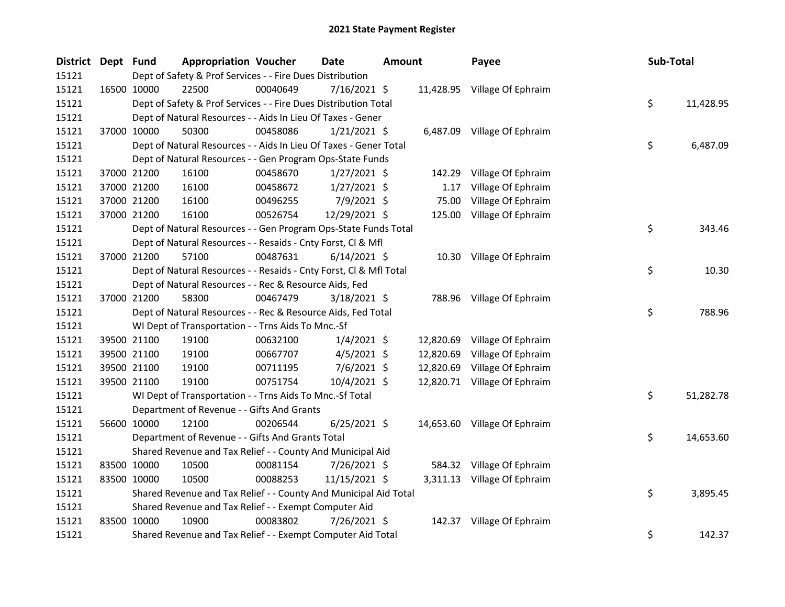| District Dept Fund |             |                                                                    | <b>Appropriation Voucher</b> | Date           | Amount |           | Payee                        | Sub-Total |           |
|--------------------|-------------|--------------------------------------------------------------------|------------------------------|----------------|--------|-----------|------------------------------|-----------|-----------|
| 15121              |             | Dept of Safety & Prof Services - - Fire Dues Distribution          |                              |                |        |           |                              |           |           |
| 15121              |             | 22500<br>16500 10000                                               | 00040649                     | $7/16/2021$ \$ |        |           | 11,428.95 Village Of Ephraim |           |           |
| 15121              |             | Dept of Safety & Prof Services - - Fire Dues Distribution Total    |                              |                |        |           |                              | \$        | 11,428.95 |
| 15121              |             | Dept of Natural Resources - - Aids In Lieu Of Taxes - Gener        |                              |                |        |           |                              |           |           |
| 15121              |             | 37000 10000<br>50300                                               | 00458086                     | $1/21/2021$ \$ |        |           | 6,487.09 Village Of Ephraim  |           |           |
| 15121              |             | Dept of Natural Resources - - Aids In Lieu Of Taxes - Gener Total  |                              |                |        |           |                              | \$        | 6,487.09  |
| 15121              |             | Dept of Natural Resources - - Gen Program Ops-State Funds          |                              |                |        |           |                              |           |           |
| 15121              |             | 37000 21200<br>16100                                               | 00458670                     | $1/27/2021$ \$ |        | 142.29    | Village Of Ephraim           |           |           |
| 15121              |             | 37000 21200<br>16100                                               | 00458672                     | $1/27/2021$ \$ |        | 1.17      | Village Of Ephraim           |           |           |
| 15121              |             | 37000 21200<br>16100                                               | 00496255                     | 7/9/2021 \$    |        | 75.00     | Village Of Ephraim           |           |           |
| 15121              |             | 37000 21200<br>16100                                               | 00526754                     | 12/29/2021 \$  |        |           | 125.00 Village Of Ephraim    |           |           |
| 15121              |             | Dept of Natural Resources - - Gen Program Ops-State Funds Total    |                              |                |        |           |                              | \$        | 343.46    |
| 15121              |             | Dept of Natural Resources - - Resaids - Cnty Forst, Cl & Mfl       |                              |                |        |           |                              |           |           |
| 15121              |             | 37000 21200<br>57100                                               | 00487631                     | $6/14/2021$ \$ |        |           | 10.30 Village Of Ephraim     |           |           |
| 15121              |             | Dept of Natural Resources - - Resaids - Cnty Forst, Cl & Mfl Total |                              |                |        |           |                              | \$        | 10.30     |
| 15121              |             | Dept of Natural Resources - - Rec & Resource Aids, Fed             |                              |                |        |           |                              |           |           |
| 15121              |             | 37000 21200<br>58300                                               | 00467479                     | $3/18/2021$ \$ |        |           | 788.96 Village Of Ephraim    |           |           |
| 15121              |             | Dept of Natural Resources - - Rec & Resource Aids, Fed Total       |                              |                |        |           |                              | \$        | 788.96    |
| 15121              |             | WI Dept of Transportation - - Trns Aids To Mnc.-Sf                 |                              |                |        |           |                              |           |           |
| 15121              |             | 39500 21100<br>19100                                               | 00632100                     | $1/4/2021$ \$  |        |           | 12,820.69 Village Of Ephraim |           |           |
| 15121              |             | 19100<br>39500 21100                                               | 00667707                     | $4/5/2021$ \$  |        | 12,820.69 | Village Of Ephraim           |           |           |
| 15121              |             | 39500 21100<br>19100                                               | 00711195                     | $7/6/2021$ \$  |        | 12,820.69 | Village Of Ephraim           |           |           |
| 15121              |             | 19100<br>39500 21100                                               | 00751754                     | 10/4/2021 \$   |        |           | 12,820.71 Village Of Ephraim |           |           |
| 15121              |             | WI Dept of Transportation - - Trns Aids To Mnc.-Sf Total           |                              |                |        |           |                              | \$        | 51,282.78 |
| 15121              |             | Department of Revenue - - Gifts And Grants                         |                              |                |        |           |                              |           |           |
| 15121              |             | 56600 10000<br>12100                                               | 00206544                     | $6/25/2021$ \$ |        |           | 14,653.60 Village Of Ephraim |           |           |
| 15121              |             | Department of Revenue - - Gifts And Grants Total                   |                              |                |        |           |                              | \$        | 14,653.60 |
| 15121              |             | Shared Revenue and Tax Relief - - County And Municipal Aid         |                              |                |        |           |                              |           |           |
| 15121              |             | 83500 10000<br>10500                                               | 00081154                     | 7/26/2021 \$   |        |           | 584.32 Village Of Ephraim    |           |           |
| 15121              |             | 83500 10000<br>10500                                               | 00088253                     | 11/15/2021 \$  |        |           | 3,311.13 Village Of Ephraim  |           |           |
| 15121              |             | Shared Revenue and Tax Relief - - County And Municipal Aid Total   |                              |                |        |           |                              | \$        | 3,895.45  |
| 15121              |             | Shared Revenue and Tax Relief - - Exempt Computer Aid              |                              |                |        |           |                              |           |           |
| 15121              | 83500 10000 | 10900                                                              | 00083802                     | 7/26/2021 \$   |        |           | 142.37 Village Of Ephraim    |           |           |
| 15121              |             | Shared Revenue and Tax Relief - - Exempt Computer Aid Total        |                              |                |        |           |                              | \$        | 142.37    |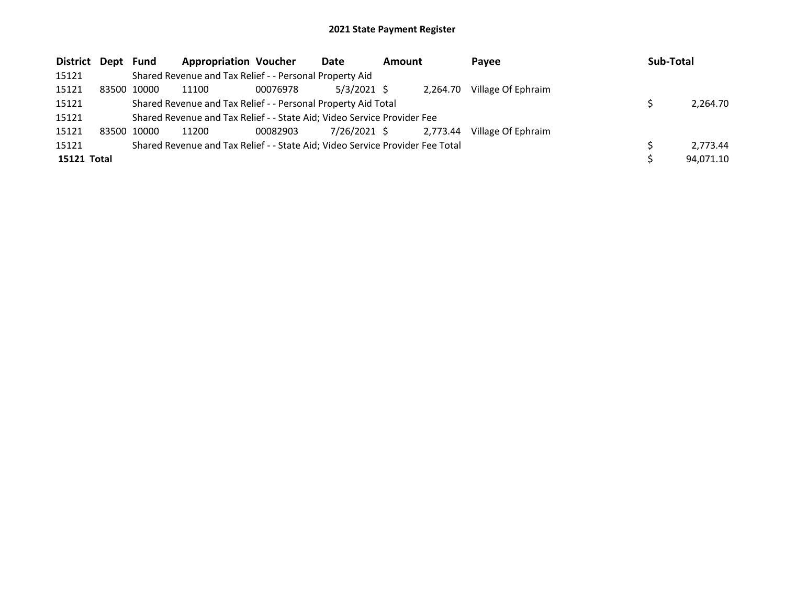| District Dept Fund |             | <b>Appropriation Voucher</b>                                                  |          | Date          | <b>Amount</b> |          | Payee              | Sub-Total |           |
|--------------------|-------------|-------------------------------------------------------------------------------|----------|---------------|---------------|----------|--------------------|-----------|-----------|
| 15121              |             | Shared Revenue and Tax Relief - - Personal Property Aid                       |          |               |               |          |                    |           |           |
| 15121              | 83500 10000 | 11100                                                                         | 00076978 | $5/3/2021$ \$ |               | 2.264.70 | Village Of Ephraim |           |           |
| 15121              |             | Shared Revenue and Tax Relief - - Personal Property Aid Total                 |          |               | 2,264.70      |          |                    |           |           |
| 15121              |             | Shared Revenue and Tax Relief - - State Aid; Video Service Provider Fee       |          |               |               |          |                    |           |           |
| 15121              | 83500 10000 | 11200                                                                         | 00082903 | 7/26/2021 \$  |               | 2.773.44 | Village Of Ephraim |           |           |
| 15121              |             | Shared Revenue and Tax Relief - - State Aid; Video Service Provider Fee Total |          |               |               |          |                    |           | 2.773.44  |
| 15121 Total        |             |                                                                               |          |               |               |          |                    |           | 94,071.10 |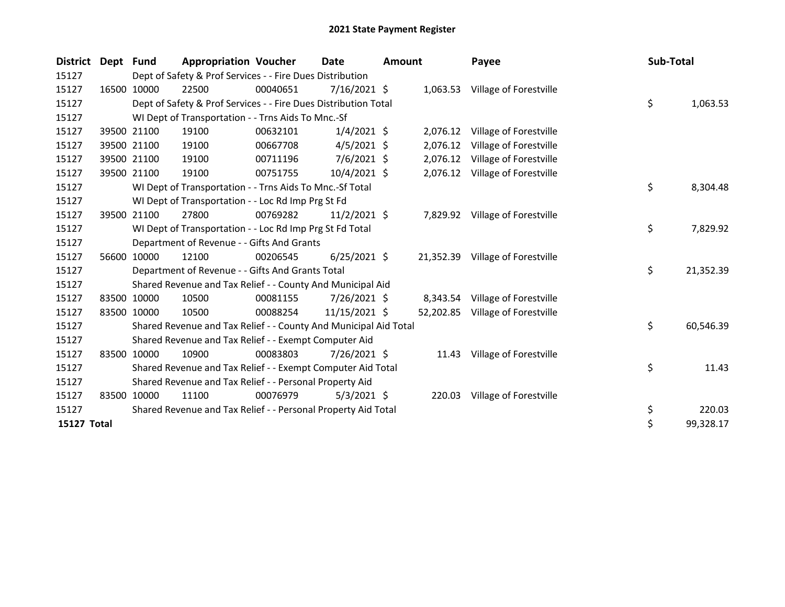| <b>District</b> | Dept Fund |                                            | <b>Appropriation Voucher</b>                                     |          | <b>Date</b>    | <b>Amount</b> |           | Payee                            | Sub-Total |           |
|-----------------|-----------|--------------------------------------------|------------------------------------------------------------------|----------|----------------|---------------|-----------|----------------------------------|-----------|-----------|
| 15127           |           |                                            | Dept of Safety & Prof Services - - Fire Dues Distribution        |          |                |               |           |                                  |           |           |
| 15127           |           | 16500 10000                                | 22500                                                            | 00040651 | $7/16/2021$ \$ |               |           | 1,063.53 Village of Forestville  |           |           |
| 15127           |           |                                            | Dept of Safety & Prof Services - - Fire Dues Distribution Total  |          |                |               |           |                                  | \$        | 1,063.53  |
| 15127           |           |                                            | WI Dept of Transportation - - Trns Aids To Mnc.-Sf               |          |                |               |           |                                  |           |           |
| 15127           |           | 39500 21100                                | 19100                                                            | 00632101 | $1/4/2021$ \$  |               |           | 2,076.12 Village of Forestville  |           |           |
| 15127           |           | 39500 21100                                | 19100                                                            | 00667708 | $4/5/2021$ \$  |               | 2,076.12  | Village of Forestville           |           |           |
| 15127           |           | 39500 21100                                | 19100                                                            | 00711196 | $7/6/2021$ \$  |               | 2,076.12  | Village of Forestville           |           |           |
| 15127           |           | 39500 21100                                | 19100                                                            | 00751755 | 10/4/2021 \$   |               |           | 2,076.12 Village of Forestville  |           |           |
| 15127           |           |                                            | WI Dept of Transportation - - Trns Aids To Mnc.-Sf Total         |          |                |               |           |                                  | \$        | 8,304.48  |
| 15127           |           |                                            | WI Dept of Transportation - - Loc Rd Imp Prg St Fd               |          |                |               |           |                                  |           |           |
| 15127           |           | 39500 21100                                | 27800                                                            | 00769282 | $11/2/2021$ \$ |               |           | 7,829.92 Village of Forestville  |           |           |
| 15127           |           |                                            | WI Dept of Transportation - - Loc Rd Imp Prg St Fd Total         |          |                |               |           |                                  | \$        | 7,829.92  |
| 15127           |           | Department of Revenue - - Gifts And Grants |                                                                  |          |                |               |           |                                  |           |           |
| 15127           |           | 56600 10000                                | 12100                                                            | 00206545 | $6/25/2021$ \$ |               | 21,352.39 | Village of Forestville           |           |           |
| 15127           |           |                                            | Department of Revenue - - Gifts And Grants Total                 |          |                |               |           |                                  | \$        | 21,352.39 |
| 15127           |           |                                            | Shared Revenue and Tax Relief - - County And Municipal Aid       |          |                |               |           |                                  |           |           |
| 15127           |           | 83500 10000                                | 10500                                                            | 00081155 | 7/26/2021 \$   |               | 8,343.54  | Village of Forestville           |           |           |
| 15127           |           | 83500 10000                                | 10500                                                            | 00088254 | 11/15/2021 \$  |               |           | 52,202.85 Village of Forestville |           |           |
| 15127           |           |                                            | Shared Revenue and Tax Relief - - County And Municipal Aid Total |          |                |               |           |                                  | \$        | 60,546.39 |
| 15127           |           |                                            | Shared Revenue and Tax Relief - - Exempt Computer Aid            |          |                |               |           |                                  |           |           |
| 15127           |           | 83500 10000                                | 10900                                                            | 00083803 | 7/26/2021 \$   |               |           | 11.43 Village of Forestville     |           |           |
| 15127           |           |                                            | Shared Revenue and Tax Relief - - Exempt Computer Aid Total      |          |                |               |           |                                  | \$        | 11.43     |
| 15127           |           |                                            | Shared Revenue and Tax Relief - - Personal Property Aid          |          |                |               |           |                                  |           |           |
| 15127           | 83500     | 10000                                      | 11100                                                            | 00076979 | $5/3/2021$ \$  |               |           | 220.03 Village of Forestville    |           |           |
| 15127           |           |                                            | Shared Revenue and Tax Relief - - Personal Property Aid Total    |          |                |               |           |                                  | \$        | 220.03    |
| 15127 Total     |           |                                            |                                                                  |          |                |               |           |                                  | \$        | 99,328.17 |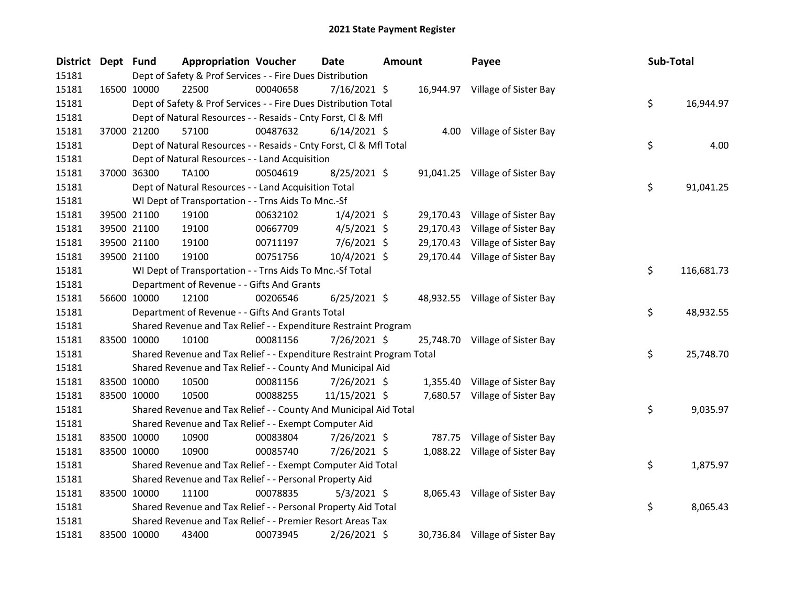| District Dept Fund |             | <b>Appropriation Voucher</b>                                          |          | <b>Date</b>    | <b>Amount</b> |  | Payee                           |  | Sub-Total |            |
|--------------------|-------------|-----------------------------------------------------------------------|----------|----------------|---------------|--|---------------------------------|--|-----------|------------|
| 15181              |             | Dept of Safety & Prof Services - - Fire Dues Distribution             |          |                |               |  |                                 |  |           |            |
| 15181              | 16500 10000 | 22500                                                                 | 00040658 | $7/16/2021$ \$ |               |  | 16,944.97 Village of Sister Bay |  |           |            |
| 15181              |             | Dept of Safety & Prof Services - - Fire Dues Distribution Total       |          |                |               |  |                                 |  | \$        | 16,944.97  |
| 15181              |             | Dept of Natural Resources - - Resaids - Cnty Forst, Cl & Mfl          |          |                |               |  |                                 |  |           |            |
| 15181              | 37000 21200 | 57100                                                                 | 00487632 | $6/14/2021$ \$ |               |  | 4.00 Village of Sister Bay      |  |           |            |
| 15181              |             | Dept of Natural Resources - - Resaids - Cnty Forst, Cl & Mfl Total    |          |                |               |  |                                 |  | \$        | 4.00       |
| 15181              |             | Dept of Natural Resources - - Land Acquisition                        |          |                |               |  |                                 |  |           |            |
| 15181              | 37000 36300 | <b>TA100</b>                                                          | 00504619 | 8/25/2021 \$   |               |  | 91,041.25 Village of Sister Bay |  |           |            |
| 15181              |             | Dept of Natural Resources - - Land Acquisition Total                  |          |                |               |  |                                 |  | \$        | 91,041.25  |
| 15181              |             | WI Dept of Transportation - - Trns Aids To Mnc.-Sf                    |          |                |               |  |                                 |  |           |            |
| 15181              | 39500 21100 | 19100                                                                 | 00632102 | $1/4/2021$ \$  |               |  | 29,170.43 Village of Sister Bay |  |           |            |
| 15181              | 39500 21100 | 19100                                                                 | 00667709 | $4/5/2021$ \$  |               |  | 29,170.43 Village of Sister Bay |  |           |            |
| 15181              | 39500 21100 | 19100                                                                 | 00711197 | 7/6/2021 \$    |               |  | 29,170.43 Village of Sister Bay |  |           |            |
| 15181              | 39500 21100 | 19100                                                                 | 00751756 | 10/4/2021 \$   |               |  | 29,170.44 Village of Sister Bay |  |           |            |
| 15181              |             | WI Dept of Transportation - - Trns Aids To Mnc.-Sf Total              |          |                |               |  |                                 |  | \$        | 116,681.73 |
| 15181              |             | Department of Revenue - - Gifts And Grants                            |          |                |               |  |                                 |  |           |            |
| 15181              | 56600 10000 | 12100                                                                 | 00206546 | $6/25/2021$ \$ |               |  | 48,932.55 Village of Sister Bay |  |           |            |
| 15181              |             | Department of Revenue - - Gifts And Grants Total                      |          |                |               |  |                                 |  | \$        | 48,932.55  |
| 15181              |             | Shared Revenue and Tax Relief - - Expenditure Restraint Program       |          |                |               |  |                                 |  |           |            |
| 15181              | 83500 10000 | 10100                                                                 | 00081156 | 7/26/2021 \$   |               |  | 25,748.70 Village of Sister Bay |  |           |            |
| 15181              |             | Shared Revenue and Tax Relief - - Expenditure Restraint Program Total |          |                |               |  |                                 |  | \$        | 25,748.70  |
| 15181              |             | Shared Revenue and Tax Relief - - County And Municipal Aid            |          |                |               |  |                                 |  |           |            |
| 15181              | 83500 10000 | 10500                                                                 | 00081156 | 7/26/2021 \$   |               |  | 1,355.40 Village of Sister Bay  |  |           |            |
| 15181              | 83500 10000 | 10500                                                                 | 00088255 | 11/15/2021 \$  |               |  | 7,680.57 Village of Sister Bay  |  |           |            |
| 15181              |             | Shared Revenue and Tax Relief - - County And Municipal Aid Total      |          |                |               |  |                                 |  | \$        | 9,035.97   |
| 15181              |             | Shared Revenue and Tax Relief - - Exempt Computer Aid                 |          |                |               |  |                                 |  |           |            |
| 15181              | 83500 10000 | 10900                                                                 | 00083804 | 7/26/2021 \$   |               |  | 787.75 Village of Sister Bay    |  |           |            |
| 15181              | 83500 10000 | 10900                                                                 | 00085740 | 7/26/2021 \$   |               |  | 1,088.22 Village of Sister Bay  |  |           |            |
| 15181              |             | Shared Revenue and Tax Relief - - Exempt Computer Aid Total           |          |                |               |  |                                 |  | \$        | 1,875.97   |
| 15181              |             | Shared Revenue and Tax Relief - - Personal Property Aid               |          |                |               |  |                                 |  |           |            |
| 15181              | 83500 10000 | 11100                                                                 | 00078835 | $5/3/2021$ \$  |               |  | 8,065.43 Village of Sister Bay  |  |           |            |
| 15181              |             | Shared Revenue and Tax Relief - - Personal Property Aid Total         |          |                |               |  |                                 |  | \$        | 8,065.43   |
| 15181              |             | Shared Revenue and Tax Relief - - Premier Resort Areas Tax            |          |                |               |  |                                 |  |           |            |
| 15181              | 83500 10000 | 43400                                                                 | 00073945 | 2/26/2021 \$   |               |  | 30,736.84 Village of Sister Bay |  |           |            |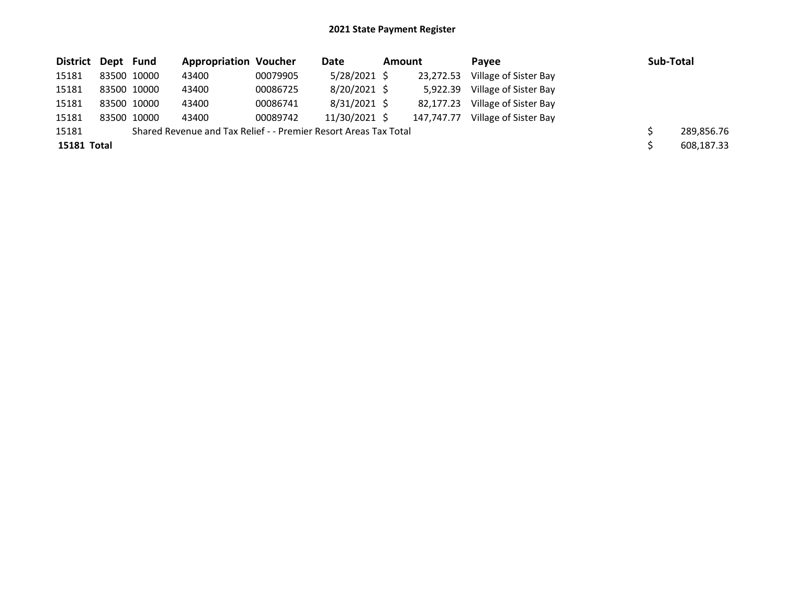| District Dept Fund |             | <b>Appropriation Voucher</b>                                     |          | Date           | Amount |            | Pavee                 | Sub-Total  |
|--------------------|-------------|------------------------------------------------------------------|----------|----------------|--------|------------|-----------------------|------------|
| 15181              | 83500 10000 | 43400                                                            | 00079905 | $5/28/2021$ \$ |        | 23,272.53  | Village of Sister Bay |            |
| 15181              | 83500 10000 | 43400                                                            | 00086725 | $8/20/2021$ \$ |        | 5.922.39   | Village of Sister Bay |            |
| 15181              | 83500 10000 | 43400                                                            | 00086741 | $8/31/2021$ \$ |        | 82,177.23  | Village of Sister Bay |            |
| 15181              | 83500 10000 | 43400                                                            | 00089742 | 11/30/2021 \$  |        | 147.747.77 | Village of Sister Bay |            |
| 15181              |             | Shared Revenue and Tax Relief - - Premier Resort Areas Tax Total |          |                |        |            |                       | 289,856.76 |
| 15181 Total        |             |                                                                  |          |                |        |            |                       | 608,187.33 |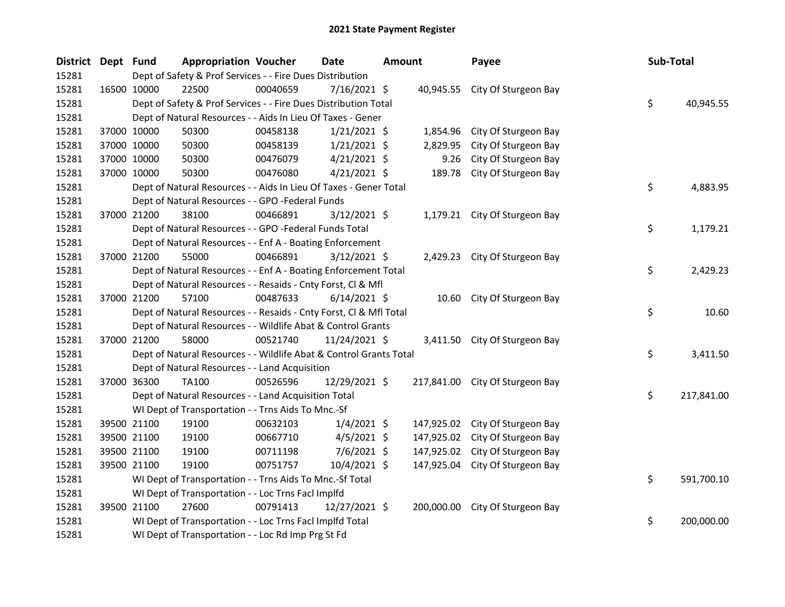| District Dept Fund |             | <b>Appropriation Voucher</b>                                       |          | <b>Date</b>    | <b>Amount</b> |            | Payee                           | Sub-Total |            |
|--------------------|-------------|--------------------------------------------------------------------|----------|----------------|---------------|------------|---------------------------------|-----------|------------|
| 15281              |             | Dept of Safety & Prof Services - - Fire Dues Distribution          |          |                |               |            |                                 |           |            |
| 15281              | 16500 10000 | 22500                                                              | 00040659 | $7/16/2021$ \$ |               |            | 40,945.55 City Of Sturgeon Bay  |           |            |
| 15281              |             | Dept of Safety & Prof Services - - Fire Dues Distribution Total    |          |                |               |            |                                 | \$        | 40,945.55  |
| 15281              |             | Dept of Natural Resources - - Aids In Lieu Of Taxes - Gener        |          |                |               |            |                                 |           |            |
| 15281              | 37000 10000 | 50300                                                              | 00458138 | $1/21/2021$ \$ |               | 1,854.96   | City Of Sturgeon Bay            |           |            |
| 15281              | 37000 10000 | 50300                                                              | 00458139 | $1/21/2021$ \$ |               | 2,829.95   | City Of Sturgeon Bay            |           |            |
| 15281              | 37000 10000 | 50300                                                              | 00476079 | $4/21/2021$ \$ |               | 9.26       | City Of Sturgeon Bay            |           |            |
| 15281              | 37000 10000 | 50300                                                              | 00476080 | $4/21/2021$ \$ |               | 189.78     | City Of Sturgeon Bay            |           |            |
| 15281              |             | Dept of Natural Resources - - Aids In Lieu Of Taxes - Gener Total  |          |                |               |            |                                 | \$        | 4,883.95   |
| 15281              |             | Dept of Natural Resources - - GPO -Federal Funds                   |          |                |               |            |                                 |           |            |
| 15281              | 37000 21200 | 38100                                                              | 00466891 | $3/12/2021$ \$ |               |            | 1,179.21 City Of Sturgeon Bay   |           |            |
| 15281              |             | Dept of Natural Resources - - GPO -Federal Funds Total             |          |                |               |            |                                 | \$        | 1,179.21   |
| 15281              |             | Dept of Natural Resources - - Enf A - Boating Enforcement          |          |                |               |            |                                 |           |            |
| 15281              | 37000 21200 | 55000                                                              | 00466891 | $3/12/2021$ \$ |               |            | 2,429.23 City Of Sturgeon Bay   |           |            |
| 15281              |             | Dept of Natural Resources - - Enf A - Boating Enforcement Total    |          |                |               |            |                                 | \$        | 2,429.23   |
| 15281              |             | Dept of Natural Resources - - Resaids - Cnty Forst, Cl & Mfl       |          |                |               |            |                                 |           |            |
| 15281              | 37000 21200 | 57100                                                              | 00487633 | $6/14/2021$ \$ |               |            | 10.60 City Of Sturgeon Bay      |           |            |
| 15281              |             | Dept of Natural Resources - - Resaids - Cnty Forst, Cl & Mfl Total |          |                |               |            |                                 | \$        | 10.60      |
| 15281              |             | Dept of Natural Resources - - Wildlife Abat & Control Grants       |          |                |               |            |                                 |           |            |
| 15281              | 37000 21200 | 58000                                                              | 00521740 | 11/24/2021 \$  |               |            | 3,411.50 City Of Sturgeon Bay   |           |            |
| 15281              |             | Dept of Natural Resources - - Wildlife Abat & Control Grants Total |          |                |               |            |                                 | \$        | 3,411.50   |
| 15281              |             | Dept of Natural Resources - - Land Acquisition                     |          |                |               |            |                                 |           |            |
| 15281              | 37000 36300 | <b>TA100</b>                                                       | 00526596 | 12/29/2021 \$  |               |            | 217,841.00 City Of Sturgeon Bay |           |            |
| 15281              |             | Dept of Natural Resources - - Land Acquisition Total               |          |                |               |            |                                 | \$        | 217,841.00 |
| 15281              |             | WI Dept of Transportation - - Trns Aids To Mnc.-Sf                 |          |                |               |            |                                 |           |            |
| 15281              | 39500 21100 | 19100                                                              | 00632103 | $1/4/2021$ \$  |               | 147,925.02 | City Of Sturgeon Bay            |           |            |
| 15281              | 39500 21100 | 19100                                                              | 00667710 | $4/5/2021$ \$  |               | 147,925.02 | City Of Sturgeon Bay            |           |            |
| 15281              | 39500 21100 | 19100                                                              | 00711198 | $7/6/2021$ \$  |               | 147,925.02 | City Of Sturgeon Bay            |           |            |
| 15281              | 39500 21100 | 19100                                                              | 00751757 | 10/4/2021 \$   |               | 147,925.04 | City Of Sturgeon Bay            |           |            |
| 15281              |             | WI Dept of Transportation - - Trns Aids To Mnc.-Sf Total           |          |                |               |            |                                 | \$        | 591,700.10 |
| 15281              |             | WI Dept of Transportation - - Loc Trns Facl Implfd                 |          |                |               |            |                                 |           |            |
| 15281              | 39500 21100 | 27600                                                              | 00791413 | 12/27/2021 \$  |               |            | 200,000.00 City Of Sturgeon Bay |           |            |
| 15281              |             | WI Dept of Transportation - - Loc Trns Facl Implfd Total           |          |                |               |            |                                 | \$        | 200,000.00 |
| 15281              |             | WI Dept of Transportation - - Loc Rd Imp Prg St Fd                 |          |                |               |            |                                 |           |            |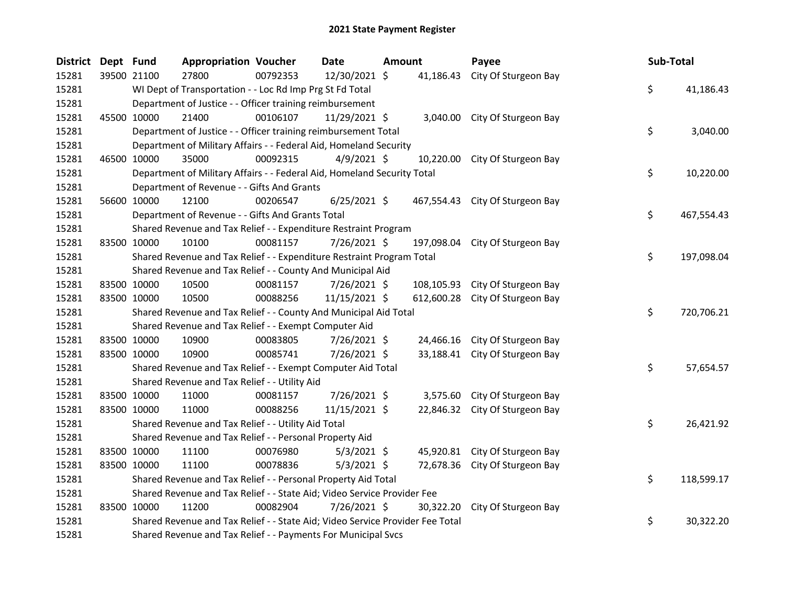| <b>District</b> | Dept Fund   |             | <b>Appropriation Voucher</b>                                                  |          | <b>Date</b>    | <b>Amount</b> |            | Payee                           | Sub-Total |            |
|-----------------|-------------|-------------|-------------------------------------------------------------------------------|----------|----------------|---------------|------------|---------------------------------|-----------|------------|
| 15281           | 39500 21100 |             | 27800                                                                         | 00792353 | 12/30/2021 \$  |               | 41,186.43  | City Of Sturgeon Bay            |           |            |
| 15281           |             |             | WI Dept of Transportation - - Loc Rd Imp Prg St Fd Total                      |          |                |               |            |                                 | \$        | 41,186.43  |
| 15281           |             |             | Department of Justice - - Officer training reimbursement                      |          |                |               |            |                                 |           |            |
| 15281           |             | 45500 10000 | 21400                                                                         | 00106107 | 11/29/2021 \$  |               |            | 3,040.00 City Of Sturgeon Bay   |           |            |
| 15281           |             |             | Department of Justice - - Officer training reimbursement Total                |          |                |               |            |                                 | \$        | 3,040.00   |
| 15281           |             |             | Department of Military Affairs - - Federal Aid, Homeland Security             |          |                |               |            |                                 |           |            |
| 15281           |             | 46500 10000 | 35000                                                                         | 00092315 | $4/9/2021$ \$  |               | 10,220.00  | City Of Sturgeon Bay            |           |            |
| 15281           |             |             | Department of Military Affairs - - Federal Aid, Homeland Security Total       |          |                |               |            |                                 | \$        | 10,220.00  |
| 15281           |             |             | Department of Revenue - - Gifts And Grants                                    |          |                |               |            |                                 |           |            |
| 15281           | 56600 10000 |             | 12100                                                                         | 00206547 | $6/25/2021$ \$ |               |            | 467,554.43 City Of Sturgeon Bay |           |            |
| 15281           |             |             | Department of Revenue - - Gifts And Grants Total                              |          |                |               |            |                                 | \$        | 467,554.43 |
| 15281           |             |             | Shared Revenue and Tax Relief - - Expenditure Restraint Program               |          |                |               |            |                                 |           |            |
| 15281           |             | 83500 10000 | 10100                                                                         | 00081157 | 7/26/2021 \$   |               | 197,098.04 | City Of Sturgeon Bay            |           |            |
| 15281           |             |             | Shared Revenue and Tax Relief - - Expenditure Restraint Program Total         |          |                |               |            |                                 | \$        | 197,098.04 |
| 15281           |             |             | Shared Revenue and Tax Relief - - County And Municipal Aid                    |          |                |               |            |                                 |           |            |
| 15281           |             | 83500 10000 | 10500                                                                         | 00081157 | 7/26/2021 \$   |               | 108,105.93 | City Of Sturgeon Bay            |           |            |
| 15281           |             | 83500 10000 | 10500                                                                         | 00088256 | 11/15/2021 \$  |               | 612,600.28 | City Of Sturgeon Bay            |           |            |
| 15281           |             |             | Shared Revenue and Tax Relief - - County And Municipal Aid Total              |          |                |               |            |                                 | \$        | 720,706.21 |
| 15281           |             |             | Shared Revenue and Tax Relief - - Exempt Computer Aid                         |          |                |               |            |                                 |           |            |
| 15281           |             | 83500 10000 | 10900                                                                         | 00083805 | 7/26/2021 \$   |               | 24,466.16  | City Of Sturgeon Bay            |           |            |
| 15281           |             | 83500 10000 | 10900                                                                         | 00085741 | 7/26/2021 \$   |               |            | 33,188.41 City Of Sturgeon Bay  |           |            |
| 15281           |             |             | Shared Revenue and Tax Relief - - Exempt Computer Aid Total                   |          |                |               |            |                                 | \$        | 57,654.57  |
| 15281           |             |             | Shared Revenue and Tax Relief - - Utility Aid                                 |          |                |               |            |                                 |           |            |
| 15281           |             | 83500 10000 | 11000                                                                         | 00081157 | 7/26/2021 \$   |               | 3,575.60   | City Of Sturgeon Bay            |           |            |
| 15281           |             | 83500 10000 | 11000                                                                         | 00088256 | 11/15/2021 \$  |               | 22,846.32  | City Of Sturgeon Bay            |           |            |
| 15281           |             |             | Shared Revenue and Tax Relief - - Utility Aid Total                           |          |                |               |            |                                 | \$        | 26,421.92  |
| 15281           |             |             | Shared Revenue and Tax Relief - - Personal Property Aid                       |          |                |               |            |                                 |           |            |
| 15281           |             | 83500 10000 | 11100                                                                         | 00076980 | $5/3/2021$ \$  |               |            | 45,920.81 City Of Sturgeon Bay  |           |            |
| 15281           |             | 83500 10000 | 11100                                                                         | 00078836 | $5/3/2021$ \$  |               |            | 72,678.36 City Of Sturgeon Bay  |           |            |
| 15281           |             |             | Shared Revenue and Tax Relief - - Personal Property Aid Total                 |          |                |               |            |                                 | \$        | 118,599.17 |
| 15281           |             |             | Shared Revenue and Tax Relief - - State Aid; Video Service Provider Fee       |          |                |               |            |                                 |           |            |
| 15281           | 83500 10000 |             | 11200                                                                         | 00082904 | 7/26/2021 \$   |               | 30,322.20  | City Of Sturgeon Bay            |           |            |
| 15281           |             |             | Shared Revenue and Tax Relief - - State Aid; Video Service Provider Fee Total |          |                |               |            |                                 | \$        | 30,322.20  |
| 15281           |             |             | Shared Revenue and Tax Relief - - Payments For Municipal Svcs                 |          |                |               |            |                                 |           |            |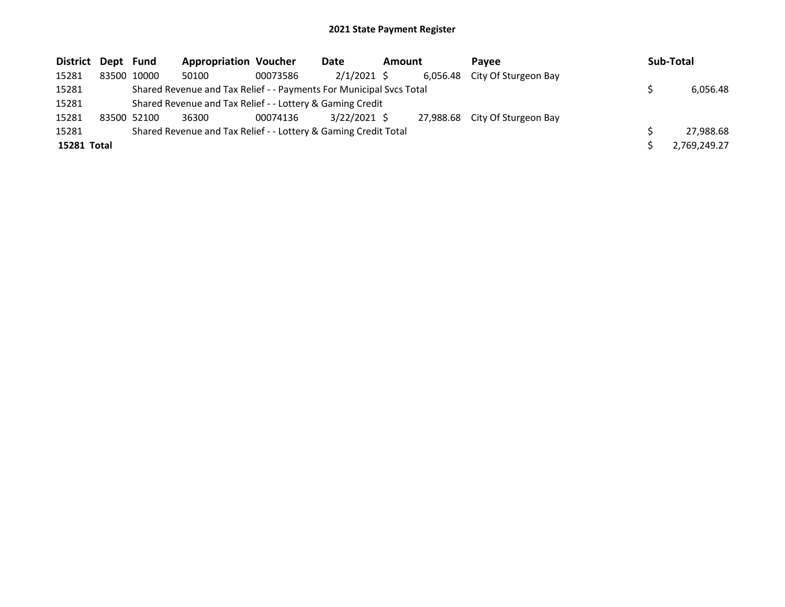| District Dept Fund |                                                                     | <b>Appropriation Voucher</b> |          | Date           | Amount |  | Pavee                          |  | Sub-Total    |  |
|--------------------|---------------------------------------------------------------------|------------------------------|----------|----------------|--------|--|--------------------------------|--|--------------|--|
| 15281              | 83500 10000                                                         | 50100                        | 00073586 | $2/1/2021$ \$  |        |  | 6,056.48 City Of Sturgeon Bay  |  |              |  |
| 15281              | Shared Revenue and Tax Relief - - Payments For Municipal Svcs Total |                              |          |                |        |  |                                |  | 6,056.48     |  |
| 15281              | Shared Revenue and Tax Relief - - Lottery & Gaming Credit           |                              |          |                |        |  |                                |  |              |  |
| 15281              | 83500 52100                                                         | 36300                        | 00074136 | $3/22/2021$ \$ |        |  | 27,988.68 City Of Sturgeon Bay |  |              |  |
| 15281              | Shared Revenue and Tax Relief - - Lottery & Gaming Credit Total     |                              |          |                |        |  |                                |  | 27,988.68    |  |
| 15281 Total        |                                                                     |                              |          |                |        |  |                                |  | 2,769,249.27 |  |